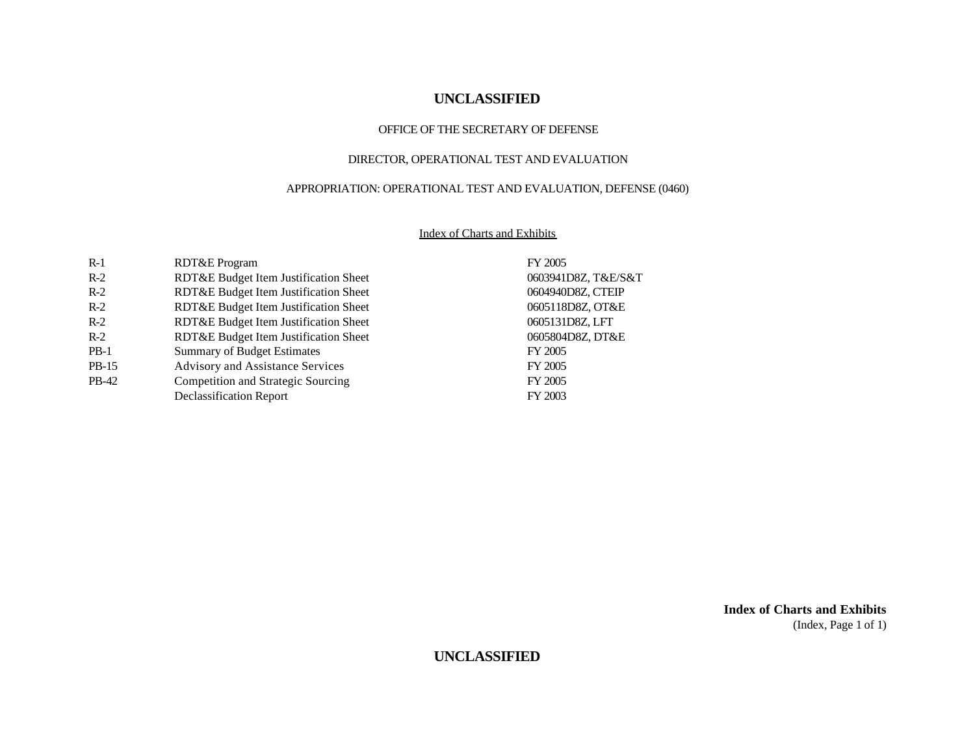#### OFFICE OF THE SECRETARY OF DEFENSE

#### DIRECTOR, OPERATIONAL TEST AND EVALUATION

#### APPROPRIATION: OPERATIONAL TEST AND EVALUATION, DEFENSE (0460)

#### Index of Charts and Exhibits

| $R-1$   | RDT&E Program                         | FY 2005             |
|---------|---------------------------------------|---------------------|
| $R-2$   | RDT&E Budget Item Justification Sheet | 0603941D8Z, T&E/S&T |
| $R-2$   | RDT&E Budget Item Justification Sheet | 0604940D8Z, CTEIP   |
| $R-2$   | RDT&E Budget Item Justification Sheet | 0605118D8Z, OT&E    |
| $R-2$   | RDT&E Budget Item Justification Sheet | 0605131D8Z, LFT     |
| $R-2$   | RDT&E Budget Item Justification Sheet | 0605804D8Z, DT&E    |
| $PB-1$  | <b>Summary of Budget Estimates</b>    | FY 2005             |
| $PB-15$ | Advisory and Assistance Services      | FY 2005             |
| PB-42   | Competition and Strategic Sourcing    | FY 2005             |
|         | Declassification Report               | FY 2003             |

**Index of Charts and Exhibits** (Index, Page 1 of 1)

**UNCLASSIFIED**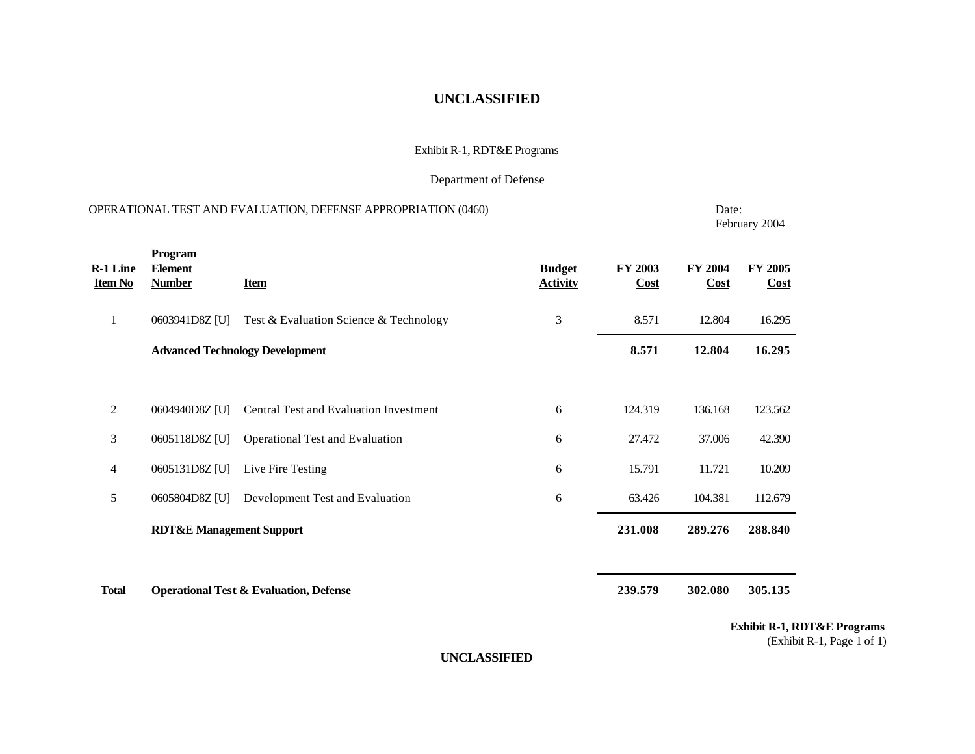#### Exhibit R-1, RDT&E Programs

#### Department of Defense

|                                   |                                            | OPERATIONAL TEST AND EVALUATION, DEFENSE APPROPRIATION (0460) |                                  |                 | Date:           | February 2004          |
|-----------------------------------|--------------------------------------------|---------------------------------------------------------------|----------------------------------|-----------------|-----------------|------------------------|
| <b>R-1 Line</b><br><b>Item No</b> | Program<br><b>Element</b><br><b>Number</b> | <b>Item</b>                                                   | <b>Budget</b><br><b>Activity</b> | FY 2003<br>Cost | FY 2004<br>Cost | <b>FY 2005</b><br>Cost |
| $\mathbf{1}$                      | 0603941D8Z [U]                             | Test & Evaluation Science & Technology                        | 3                                | 8.571           | 12.804          | 16.295                 |
|                                   |                                            | <b>Advanced Technology Development</b>                        |                                  | 8.571           | 12.804          | 16.295                 |
|                                   |                                            |                                                               |                                  |                 |                 |                        |
| 2                                 | 0604940D8Z [U]                             | Central Test and Evaluation Investment                        | 6                                | 124.319         | 136.168         | 123.562                |
| 3                                 | 0605118D8Z [U]                             | <b>Operational Test and Evaluation</b>                        | 6                                | 27.472          | 37.006          | 42.390                 |
| 4                                 | 0605131D8Z [U]                             | Live Fire Testing                                             | 6                                | 15.791          | 11.721          | 10.209                 |
| 5                                 | 0605804D8Z [U]                             | Development Test and Evaluation                               | 6                                | 63.426          | 104.381         | 112.679                |
|                                   | <b>RDT&amp;E Management Support</b>        |                                                               |                                  | 231.008         | 289.276         | 288.840                |
| <b>Total</b>                      |                                            | <b>Operational Test &amp; Evaluation, Defense</b>             |                                  | 239.579         | 302.080         | 305.135                |

**Exhibit R-1, RDT&E Programs**

(Exhibit R-1, Page 1 of 1)

**UNCLASSIFIED**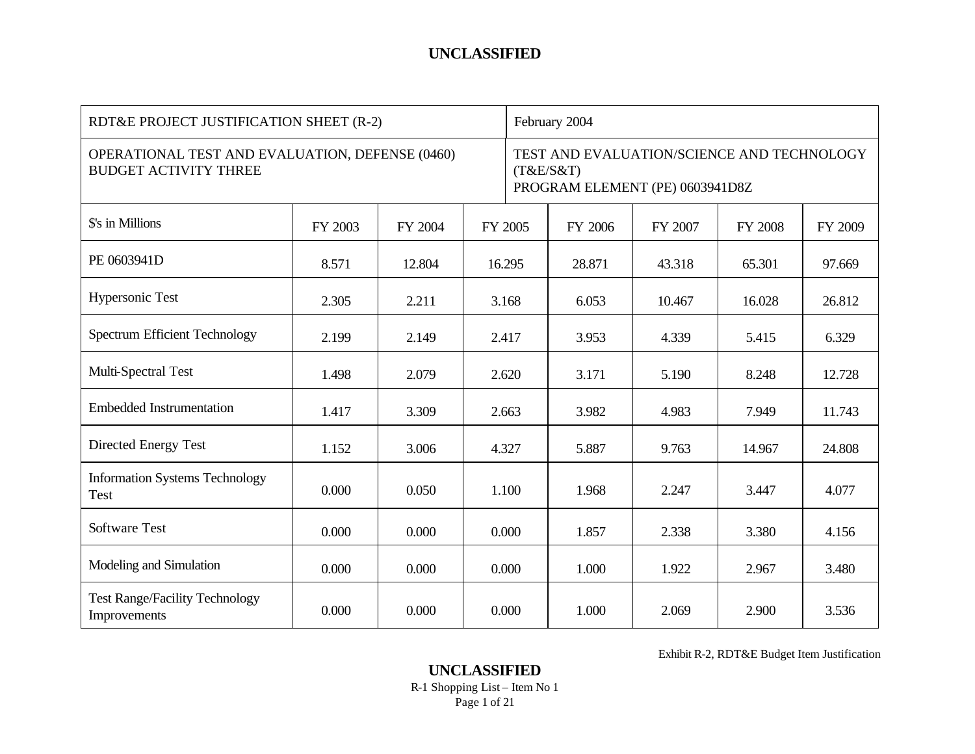| RDT&E PROJECT JUSTIFICATION SHEET (R-2)                                         |         |         |         | February 2004                                                                              |         |         |                |         |
|---------------------------------------------------------------------------------|---------|---------|---------|--------------------------------------------------------------------------------------------|---------|---------|----------------|---------|
| OPERATIONAL TEST AND EVALUATION, DEFENSE (0460)<br><b>BUDGET ACTIVITY THREE</b> |         |         |         | TEST AND EVALUATION/SCIENCE AND TECHNOLOGY<br>(T&E/S&T)<br>PROGRAM ELEMENT (PE) 0603941D8Z |         |         |                |         |
| \$'s in Millions                                                                | FY 2003 | FY 2004 | FY 2005 |                                                                                            | FY 2006 | FY 2007 | <b>FY 2008</b> | FY 2009 |
| PE 0603941D                                                                     | 8.571   | 12.804  | 16.295  |                                                                                            | 28.871  | 43.318  | 65.301         | 97.669  |
| Hypersonic Test                                                                 | 2.305   | 2.211   |         | 3.168                                                                                      | 6.053   | 10.467  | 16.028         | 26.812  |
| <b>Spectrum Efficient Technology</b>                                            | 2.199   | 2.149   | 2.417   |                                                                                            | 3.953   | 4.339   | 5.415          | 6.329   |
| Multi-Spectral Test                                                             | 1.498   | 2.079   |         | 2.620                                                                                      | 3.171   | 5.190   | 8.248          | 12.728  |
| <b>Embedded Instrumentation</b>                                                 | 1.417   | 3.309   | 2.663   |                                                                                            | 3.982   | 4.983   | 7.949          | 11.743  |
| Directed Energy Test                                                            | 1.152   | 3.006   | 4.327   |                                                                                            | 5.887   | 9.763   | 14.967         | 24.808  |
| <b>Information Systems Technology</b><br>Test                                   | 0.000   | 0.050   |         | 1.100                                                                                      | 1.968   | 2.247   | 3.447          | 4.077   |
| <b>Software Test</b>                                                            | 0.000   | 0.000   |         | 0.000                                                                                      | 1.857   | 2.338   | 3.380          | 4.156   |
| Modeling and Simulation                                                         | 0.000   | 0.000   |         | 0.000                                                                                      | 1.000   | 1.922   | 2.967          | 3.480   |
| <b>Test Range/Facility Technology</b><br>Improvements                           | 0.000   | 0.000   |         | 0.000                                                                                      | 1.000   | 2.069   | 2.900          | 3.536   |

Exhibit R-2, RDT&E Budget Item Justification

**UNCLASSIFIED** R-1 Shopping List – Item No 1 Page 1 of 21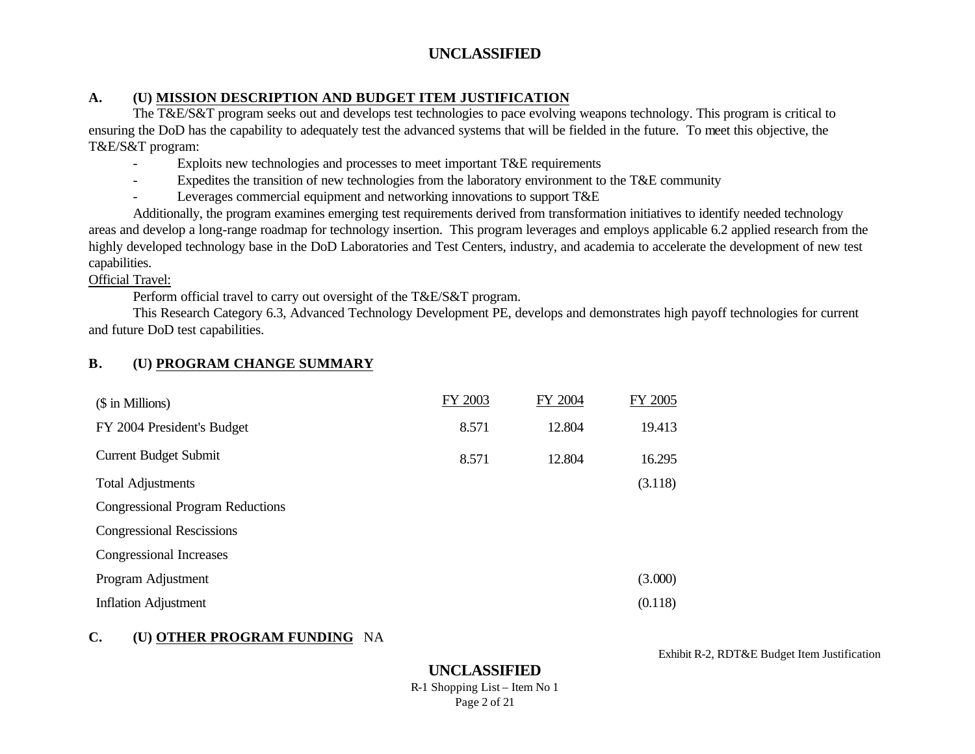## **A. (U) MISSION DESCRIPTION AND BUDGET ITEM JUSTIFICATION**

The T&E/S&T program seeks out and develops test technologies to pace evolving weapons technology. This program is critical to ensuring the DoD has the capability to adequately test the advanced systems that will be fielded in the future. To meet this objective, the T&E/S&T program:

- Exploits new technologies and processes to meet important T&E requirements
- Expedites the transition of new technologies from the laboratory environment to the T&E community
- Leverages commercial equipment and networking innovations to support T&E

Additionally, the program examines emerging test requirements derived from transformation initiatives to identify needed technology areas and develop a long-range roadmap for technology insertion. This program leverages and employs applicable 6.2 applied research from the highly developed technology base in the DoD Laboratories and Test Centers, industry, and academia to accelerate the development of new test capabilities.

### Official Travel:

Perform official travel to carry out oversight of the T&E/S&T program.

This Research Category 6.3, Advanced Technology Development PE, develops and demonstrates high payoff technologies for current and future DoD test capabilities.

# **B. (U) PROGRAM CHANGE SUMMARY**

| (\$ in Millions)                        | FY 2003 | FY 2004 | FY 2005 |
|-----------------------------------------|---------|---------|---------|
| FY 2004 President's Budget              | 8.571   | 12.804  | 19.413  |
| <b>Current Budget Submit</b>            | 8.571   | 12.804  | 16.295  |
| <b>Total Adjustments</b>                |         |         | (3.118) |
| <b>Congressional Program Reductions</b> |         |         |         |
| <b>Congressional Rescissions</b>        |         |         |         |
| Congressional Increases                 |         |         |         |
| Program Adjustment                      |         |         | (3.000) |
| <b>Inflation Adjustment</b>             |         |         | (0.118) |

# **C. (U) OTHER PROGRAM FUNDING** NA

Exhibit R-2, RDT&E Budget Item Justification

**UNCLASSIFIED** R-1 Shopping List – Item No 1 Page 2 of 21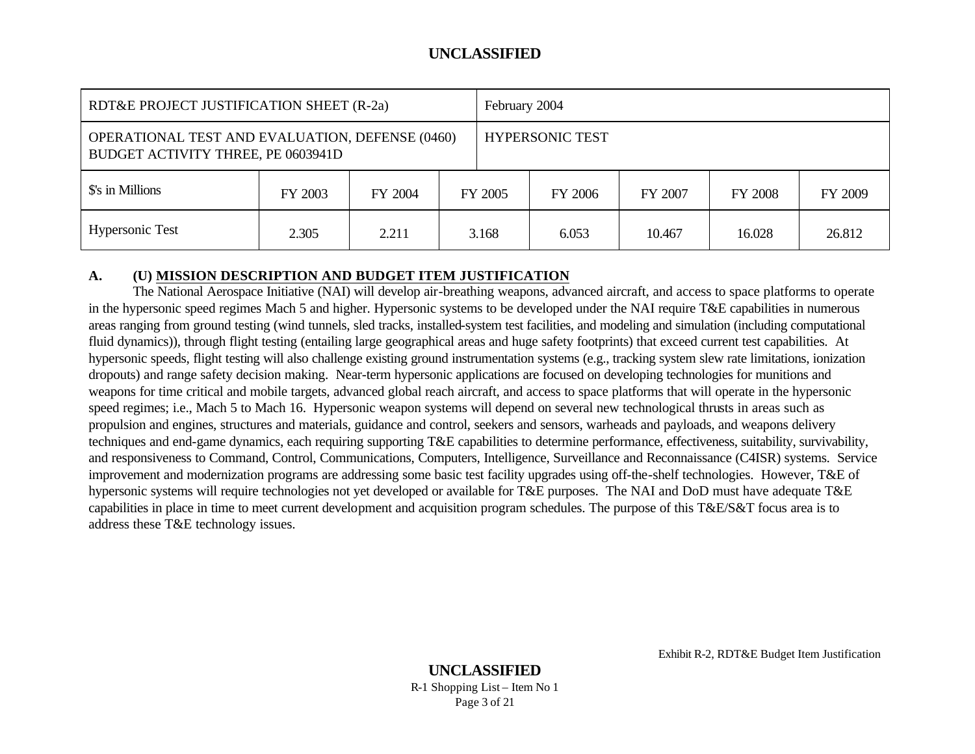| RDT&E PROJECT JUSTIFICATION SHEET (R-2a) |                                                                                                                 |         |  | February 2004                                   |       |        |        |         |
|------------------------------------------|-----------------------------------------------------------------------------------------------------------------|---------|--|-------------------------------------------------|-------|--------|--------|---------|
|                                          | OPERATIONAL TEST AND EVALUATION, DEFENSE (0460)<br><b>HYPERSONIC TEST</b><br>BUDGET ACTIVITY THREE, PE 0603941D |         |  |                                                 |       |        |        |         |
| \$'s in Millions                         | FY 2003                                                                                                         | FY 2004 |  | <b>FY 2008</b><br>FY 2005<br>FY 2006<br>FY 2007 |       |        |        | FY 2009 |
| <b>Hypersonic Test</b>                   | 2.305                                                                                                           | 2.211   |  | 3.168                                           | 6.053 | 10.467 | 16.028 | 26.812  |

#### **A. (U) MISSION DESCRIPTION AND BUDGET ITEM JUSTIFICATION**

The National Aerospace Initiative (NAI) will develop air-breathing weapons, advanced aircraft, and access to space platforms to operate in the hypersonic speed regimes Mach 5 and higher. Hypersonic systems to be developed under the NAI require T&E capabilities in numerous areas ranging from ground testing (wind tunnels, sled tracks, installed-system test facilities, and modeling and simulation (including computational fluid dynamics)), through flight testing (entailing large geographical areas and huge safety footprints) that exceed current test capabilities. At hypersonic speeds, flight testing will also challenge existing ground instrumentation systems (e.g., tracking system slew rate limitations, ionization dropouts) and range safety decision making. Near-term hypersonic applications are focused on developing technologies for munitions and weapons for time critical and mobile targets, advanced global reach aircraft, and access to space platforms that will operate in the hypersonic speed regimes; i.e., Mach 5 to Mach 16. Hypersonic weapon systems will depend on several new technological thrusts in areas such as propulsion and engines, structures and materials, guidance and control, seekers and sensors, warheads and payloads, and weapons delivery techniques and end-game dynamics, each requiring supporting T&E capabilities to determine performance, effectiveness, suitability, survivability, and responsiveness to Command, Control, Communications, Computers, Intelligence, Surveillance and Reconnaissance (C4ISR) systems. Service improvement and modernization programs are addressing some basic test facility upgrades using off-the-shelf technologies. However, T&E of hypersonic systems will require technologies not yet developed or available for T&E purposes. The NAI and DoD must have adequate T&E capabilities in place in time to meet current development and acquisition program schedules. The purpose of this T&E/S&T focus area is to address these T&E technology issues.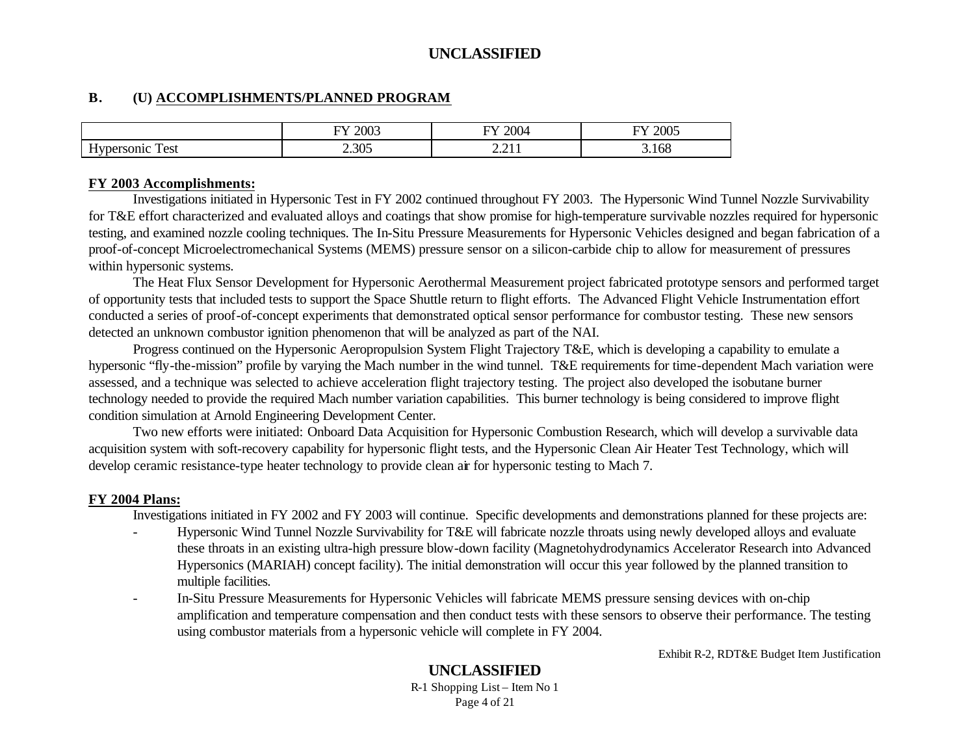#### **B. (U) ACCOMPLISHMENTS/PLANNED PROGRAM**

|                                                | റററ<br>--<br>ZUU. | 2004<br>$\overline{\phantom{a}}$                                            | $\bigcap_{n\in\mathbb{N}}$<br>. .<br>ZUUJ |
|------------------------------------------------|-------------------|-----------------------------------------------------------------------------|-------------------------------------------|
| $\sim$ $\sim$<br>--<br>est<br>н<br>.<br>$   -$ | 2.305             | ,,,<br>.<br>the contract of the contract of the contract of the contract of | 3.168                                     |

#### **FY 2003 Accomplishments:**

Investigations initiated in Hypersonic Test in FY 2002 continued throughout FY 2003. The Hypersonic Wind Tunnel Nozzle Survivability for T&E effort characterized and evaluated alloys and coatings that show promise for high-temperature survivable nozzles required for hypersonic testing, and examined nozzle cooling techniques. The In-Situ Pressure Measurements for Hypersonic Vehicles designed and began fabrication of a proof-of-concept Microelectromechanical Systems (MEMS) pressure sensor on a silicon-carbide chip to allow for measurement of pressures within hypersonic systems.

The Heat Flux Sensor Development for Hypersonic Aerothermal Measurement project fabricated prototype sensors and performed target of opportunity tests that included tests to support the Space Shuttle return to flight efforts. The Advanced Flight Vehicle Instrumentation effort conducted a series of proof-of-concept experiments that demonstrated optical sensor performance for combustor testing. These new sensors detected an unknown combustor ignition phenomenon that will be analyzed as part of the NAI.

Progress continued on the Hypersonic Aeropropulsion System Flight Trajectory T&E, which is developing a capability to emulate a hypersonic "fly-the-mission" profile by varying the Mach number in the wind tunnel. T&E requirements for time-dependent Mach variation were assessed, and a technique was selected to achieve acceleration flight trajectory testing. The project also developed the isobutane burner technology needed to provide the required Mach number variation capabilities. This burner technology is being considered to improve flight condition simulation at Arnold Engineering Development Center.

Two new efforts were initiated: Onboard Data Acquisition for Hypersonic Combustion Research, which will develop a survivable data acquisition system with soft-recovery capability for hypersonic flight tests, and the Hypersonic Clean Air Heater Test Technology, which will develop ceramic resistance-type heater technology to provide clean air for hypersonic testing to Mach 7.

#### **FY 2004 Plans:**

Investigations initiated in FY 2002 and FY 2003 will continue. Specific developments and demonstrations planned for these projects are:

- Hypersonic Wind Tunnel Nozzle Survivability for T&E will fabricate nozzle throats using newly developed alloys and evaluate these throats in an existing ultra-high pressure blow-down facility (Magnetohydrodynamics Accelerator Research into Advanced Hypersonics (MARIAH) concept facility). The initial demonstration will occur this year followed by the planned transition to multiple facilities.
- In-Situ Pressure Measurements for Hypersonic Vehicles will fabricate MEMS pressure sensing devices with on-chip amplification and temperature compensation and then conduct tests with these sensors to observe their performance. The testing using combustor materials from a hypersonic vehicle will complete in FY 2004.

Exhibit R-2, RDT&E Budget Item Justification

# **UNCLASSIFIED**

R-1 Shopping List – Item No 1 Page 4 of 21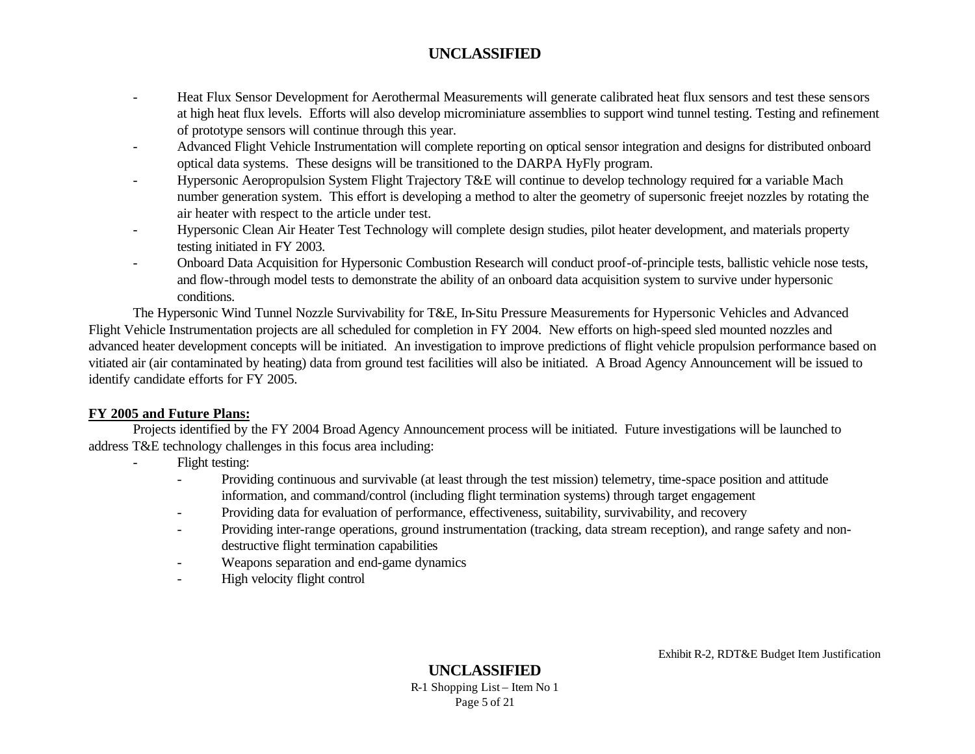- Heat Flux Sensor Development for Aerothermal Measurements will generate calibrated heat flux sensors and test these sensors at high heat flux levels. Efforts will also develop microminiature assemblies to support wind tunnel testing. Testing and refinement of prototype sensors will continue through this year.
- Advanced Flight Vehicle Instrumentation will complete reporting on optical sensor integration and designs for distributed onboard optical data systems. These designs will be transitioned to the DARPA HyFly program.
- Hypersonic Aeropropulsion System Flight Trajectory T&E will continue to develop technology required for a variable Mach number generation system. This effort is developing a method to alter the geometry of supersonic freejet nozzles by rotating the air heater with respect to the article under test.
- Hypersonic Clean Air Heater Test Technology will complete design studies, pilot heater development, and materials property testing initiated in FY 2003.
- Onboard Data Acquisition for Hypersonic Combustion Research will conduct proof-of-principle tests, ballistic vehicle nose tests, and flow-through model tests to demonstrate the ability of an onboard data acquisition system to survive under hypersonic conditions.

The Hypersonic Wind Tunnel Nozzle Survivability for T&E, In-Situ Pressure Measurements for Hypersonic Vehicles and Advanced Flight Vehicle Instrumentation projects are all scheduled for completion in FY 2004. New efforts on high-speed sled mounted nozzles and advanced heater development concepts will be initiated. An investigation to improve predictions of flight vehicle propulsion performance based on vitiated air (air contaminated by heating) data from ground test facilities will also be initiated. A Broad Agency Announcement will be issued to identify candidate efforts for FY 2005.

#### **FY 2005 and Future Plans:**

Projects identified by the FY 2004 Broad Agency Announcement process will be initiated. Future investigations will be launched to address T&E technology challenges in this focus area including:

- Flight testing:
	- Providing continuous and survivable (at least through the test mission) telemetry, time-space position and attitude information, and command/control (including flight termination systems) through target engagement
	- Providing data for evaluation of performance, effectiveness, suitability, survivability, and recovery
	- Providing inter-range operations, ground instrumentation (tracking, data stream reception), and range safety and nondestructive flight termination capabilities
	- Weapons separation and end-game dynamics
	- High velocity flight control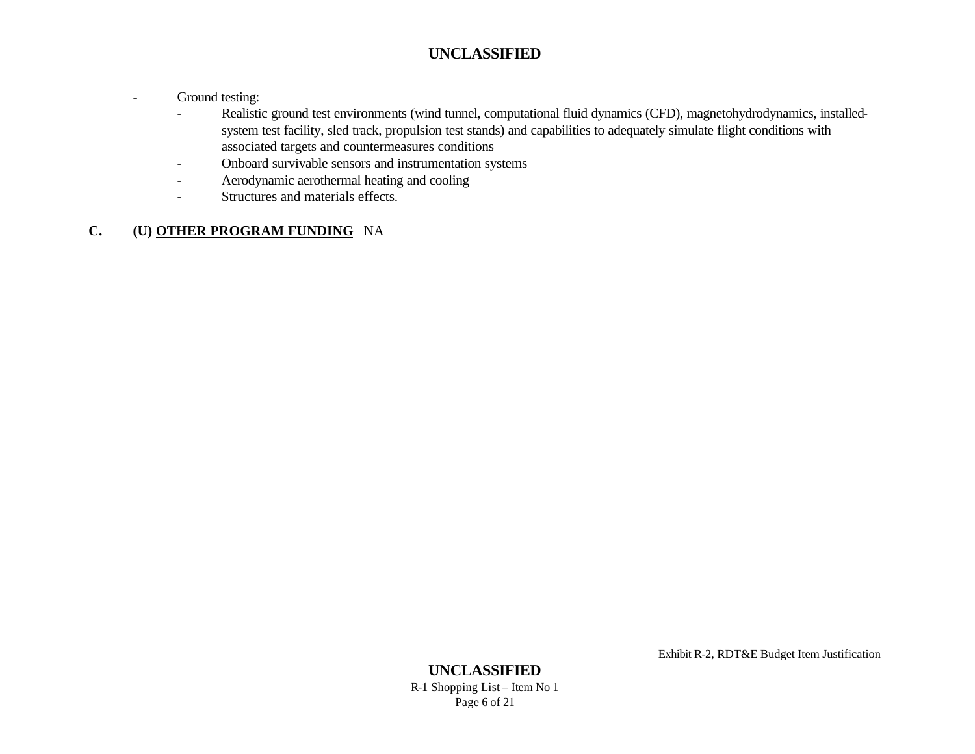- Ground testing:
	- Realistic ground test environments (wind tunnel, computational fluid dynamics (CFD), magnetohydrodynamics, installedsystem test facility, sled track, propulsion test stands) and capabilities to adequately simulate flight conditions with associated targets and countermeasures conditions
	- Onboard survivable sensors and instrumentation systems
	- Aerodynamic aerothermal heating and cooling
	- Structures and materials effects.

# **C. (U) OTHER PROGRAM FUNDING** NA

Exhibit R-2, RDT&E Budget Item Justification

# **UNCLASSIFIED**

R-1 Shopping List – Item No 1 Page 6 of 21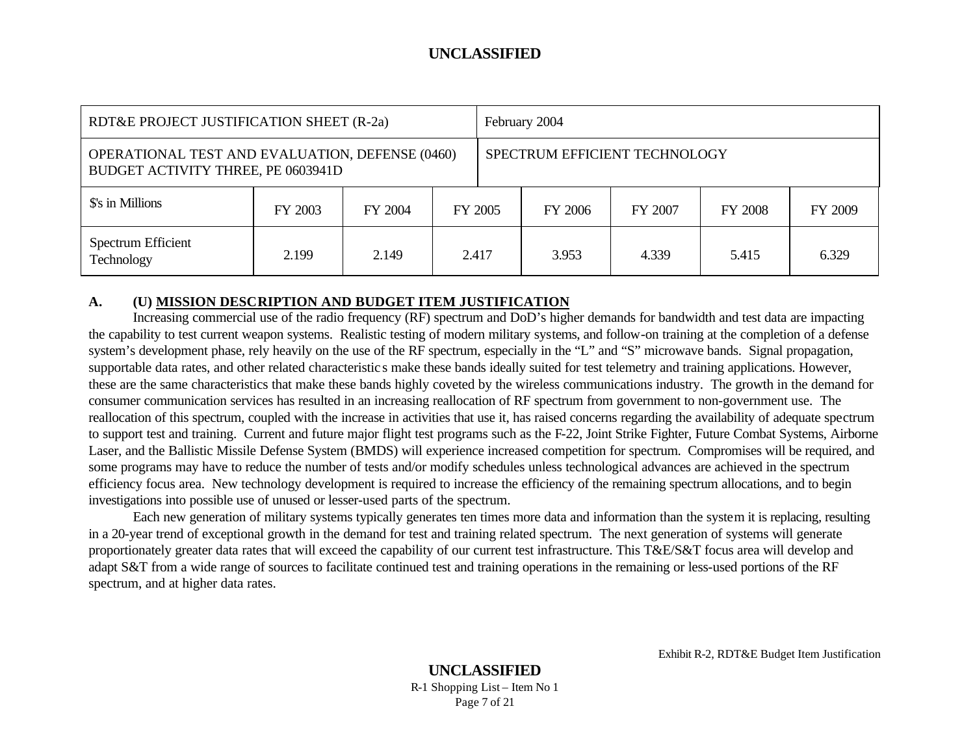| RDT&E PROJECT JUSTIFICATION SHEET (R-2a) |                                                        |         |         | February 2004                 |         |         |                |         |
|------------------------------------------|--------------------------------------------------------|---------|---------|-------------------------------|---------|---------|----------------|---------|
| BUDGET ACTIVITY THREE, PE 0603941D       | <b>OPERATIONAL TEST AND EVALUATION, DEFENSE (0460)</b> |         |         | SPECTRUM EFFICIENT TECHNOLOGY |         |         |                |         |
| \$'s in Millions                         | FY 2003                                                | FY 2004 | FY 2005 |                               | FY 2006 | FY 2007 | <b>FY 2008</b> | FY 2009 |
| Spectrum Efficient<br>Technology         | 2.199                                                  | 2.149   | 2.417   |                               | 3.953   | 4.339   | 5.415          | 6.329   |

#### **A. (U) MISSION DESCRIPTION AND BUDGET ITEM JUSTIFICATION**

Increasing commercial use of the radio frequency (RF) spectrum and DoD's higher demands for bandwidth and test data are impacting the capability to test current weapon systems. Realistic testing of modern military systems, and follow-on training at the completion of a defense system's development phase, rely heavily on the use of the RF spectrum, especially in the "L" and "S" microwave bands. Signal propagation, supportable data rates, and other related characteristic s make these bands ideally suited for test telemetry and training applications. However, these are the same characteristics that make these bands highly coveted by the wireless communications industry. The growth in the demand for consumer communication services has resulted in an increasing reallocation of RF spectrum from government to non-government use. The reallocation of this spectrum, coupled with the increase in activities that use it, has raised concerns regarding the availability of adequate spectrum to support test and training. Current and future major flight test programs such as the F-22, Joint Strike Fighter, Future Combat Systems, Airborne Laser, and the Ballistic Missile Defense System (BMDS) will experience increased competition for spectrum. Compromises will be required, and some programs may have to reduce the number of tests and/or modify schedules unless technological advances are achieved in the spectrum efficiency focus area. New technology development is required to increase the efficiency of the remaining spectrum allocations, and to begin investigations into possible use of unused or lesser-used parts of the spectrum.

Each new generation of military systems typically generates ten times more data and information than the system it is replacing, resulting in a 20-year trend of exceptional growth in the demand for test and training related spectrum. The next generation of systems will generate proportionately greater data rates that will exceed the capability of our current test infrastructure. This T&E/S&T focus area will develop and adapt S&T from a wide range of sources to facilitate continued test and training operations in the remaining or less-used portions of the RF spectrum, and at higher data rates.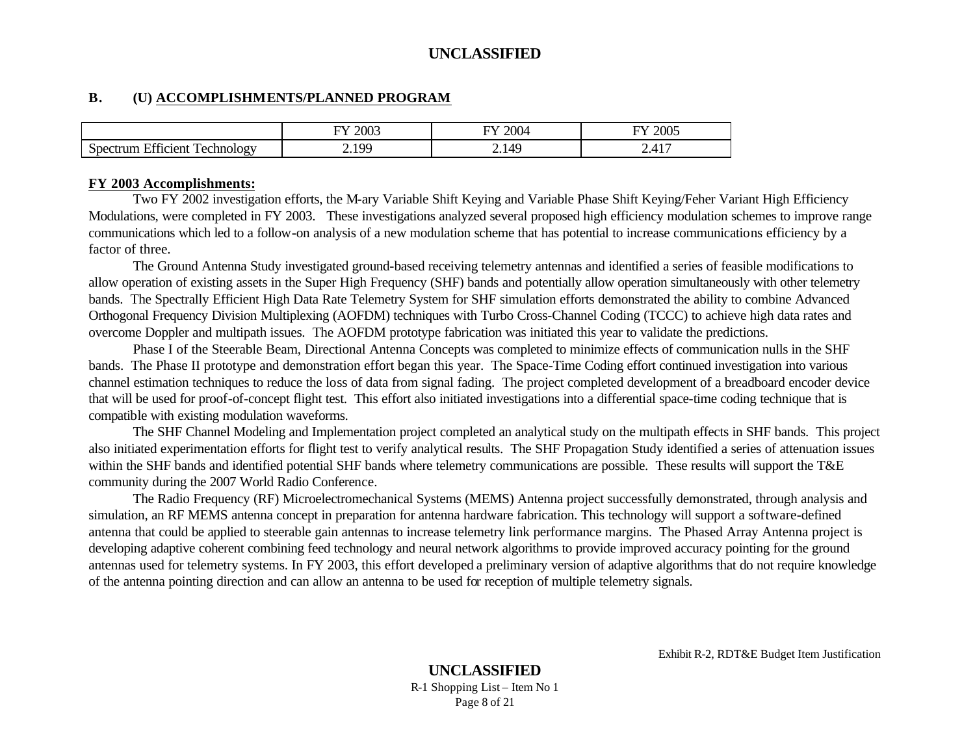#### **B. (U) ACCOMPLISHMENTS/PLANNED PROGRAM**

|                                                                  | 2003                             | 2004      | 2005                                             |
|------------------------------------------------------------------|----------------------------------|-----------|--------------------------------------------------|
|                                                                  | TT.                              | --        | --                                               |
| $\blacksquare$<br>$\sim$<br>—<br>rechnology<br>T101AN<br>н<br>J. | 100<br>$\rightarrow \rightarrow$ | AC<br>2.1 | 1 <sub>7</sub><br>∼⊷<br>$\overline{\phantom{a}}$ |

#### **FY 2003 Accomplishments:**

Two FY 2002 investigation efforts, the M-ary Variable Shift Keying and Variable Phase Shift Keying/Feher Variant High Efficiency Modulations, were completed in FY 2003. These investigations analyzed several proposed high efficiency modulation schemes to improve range communications which led to a follow-on analysis of a new modulation scheme that has potential to increase communications efficiency by a factor of three.

The Ground Antenna Study investigated ground-based receiving telemetry antennas and identified a series of feasible modifications to allow operation of existing assets in the Super High Frequency (SHF) bands and potentially allow operation simultaneously with other telemetry bands. The Spectrally Efficient High Data Rate Telemetry System for SHF simulation efforts demonstrated the ability to combine Advanced Orthogonal Frequency Division Multiplexing (AOFDM) techniques with Turbo Cross-Channel Coding (TCCC) to achieve high data rates and overcome Doppler and multipath issues. The AOFDM prototype fabrication was initiated this year to validate the predictions.

Phase I of the Steerable Beam, Directional Antenna Concepts was completed to minimize effects of communication nulls in the SHF bands. The Phase II prototype and demonstration effort began this year. The Space-Time Coding effort continued investigation into various channel estimation techniques to reduce the loss of data from signal fading. The project completed development of a breadboard encoder device that will be used for proof-of-concept flight test. This effort also initiated investigations into a differential space-time coding technique that is compatible with existing modulation waveforms.

The SHF Channel Modeling and Implementation project completed an analytical study on the multipath effects in SHF bands. This project also initiated experimentation efforts for flight test to verify analytical results. The SHF Propagation Study identified a series of attenuation issues within the SHF bands and identified potential SHF bands where telemetry communications are possible. These results will support the T&E community during the 2007 World Radio Conference.

The Radio Frequency (RF) Microelectromechanical Systems (MEMS) Antenna project successfully demonstrated, through analysis and simulation, an RF MEMS antenna concept in preparation for antenna hardware fabrication. This technology will support a software-defined antenna that could be applied to steerable gain antennas to increase telemetry link performance margins. The Phased Array Antenna project is developing adaptive coherent combining feed technology and neural network algorithms to provide improved accuracy pointing for the ground antennas used for telemetry systems. In FY 2003, this effort developed a preliminary version of adaptive algorithms that do not require knowledge of the antenna pointing direction and can allow an antenna to be used for reception of multiple telemetry signals.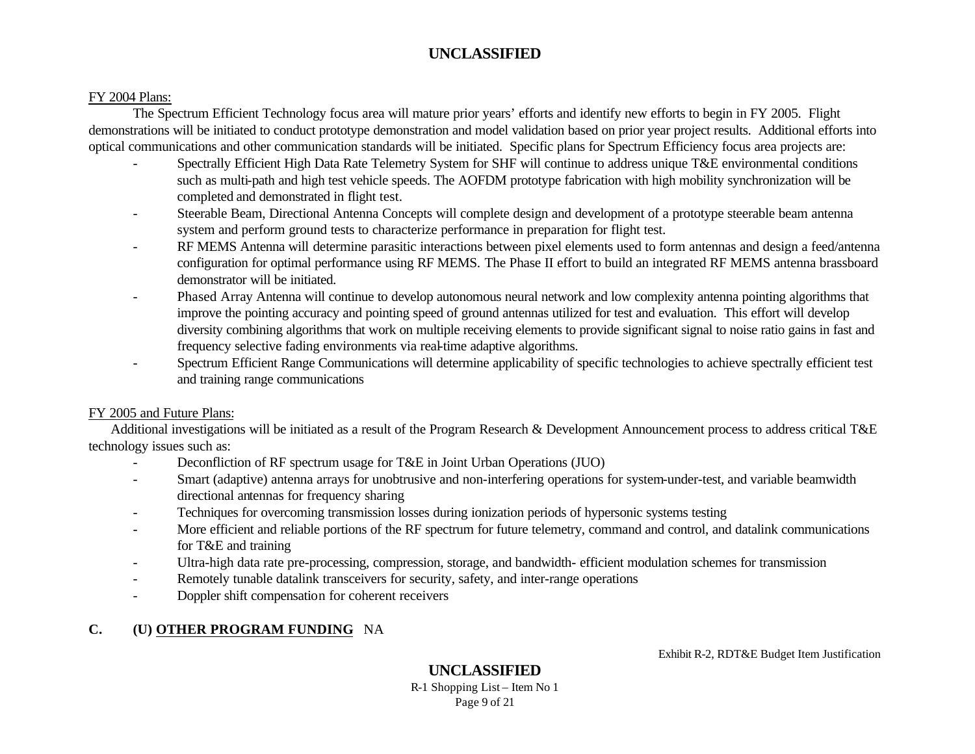#### FY 2004 Plans:

The Spectrum Efficient Technology focus area will mature prior years' efforts and identify new efforts to begin in FY 2005. Flight demonstrations will be initiated to conduct prototype demonstration and model validation based on prior year project results. Additional efforts into optical communications and other communication standards will be initiated. Specific plans for Spectrum Efficiency focus area projects are:

- Spectrally Efficient High Data Rate Telemetry System for SHF will continue to address unique T&E environmental conditions such as multi-path and high test vehicle speeds. The AOFDM prototype fabrication with high mobility synchronization will be completed and demonstrated in flight test.
- Steerable Beam, Directional Antenna Concepts will complete design and development of a prototype steerable beam antenna system and perform ground tests to characterize performance in preparation for flight test.
- RF MEMS Antenna will determine parasitic interactions between pixel elements used to form antennas and design a feed/antenna configuration for optimal performance using RF MEMS. The Phase II effort to build an integrated RF MEMS antenna brassboard demonstrator will be initiated.
- Phased Array Antenna will continue to develop autonomous neural network and low complexity antenna pointing algorithms that improve the pointing accuracy and pointing speed of ground antennas utilized for test and evaluation. This effort will develop diversity combining algorithms that work on multiple receiving elements to provide significant signal to noise ratio gains in fast and frequency selective fading environments via real-time adaptive algorithms.
- Spectrum Efficient Range Communications will determine applicability of specific technologies to achieve spectrally efficient test and training range communications

#### FY 2005 and Future Plans:

Additional investigations will be initiated as a result of the Program Research & Development Announcement process to address critical T&E technology issues such as:

- Deconfliction of RF spectrum usage for T&E in Joint Urban Operations (JUO)
- Smart (adaptive) antenna arrays for unobtrusive and non-interfering operations for system-under-test, and variable beamwidth directional antennas for frequency sharing
- Techniques for overcoming transmission losses during ionization periods of hypersonic systems testing
- More efficient and reliable portions of the RF spectrum for future telemetry, command and control, and datalink communications for T&E and training
- Ultra-high data rate pre-processing, compression, storage, and bandwidth- efficient modulation schemes for transmission
- Remotely tunable datalink transceivers for security, safety, and inter-range operations
- Doppler shift compensation for coherent receivers

# **C. (U) OTHER PROGRAM FUNDING** NA

Exhibit R-2, RDT&E Budget Item Justification

# **UNCLASSIFIED**

R-1 Shopping List – Item No 1 Page 9 of 21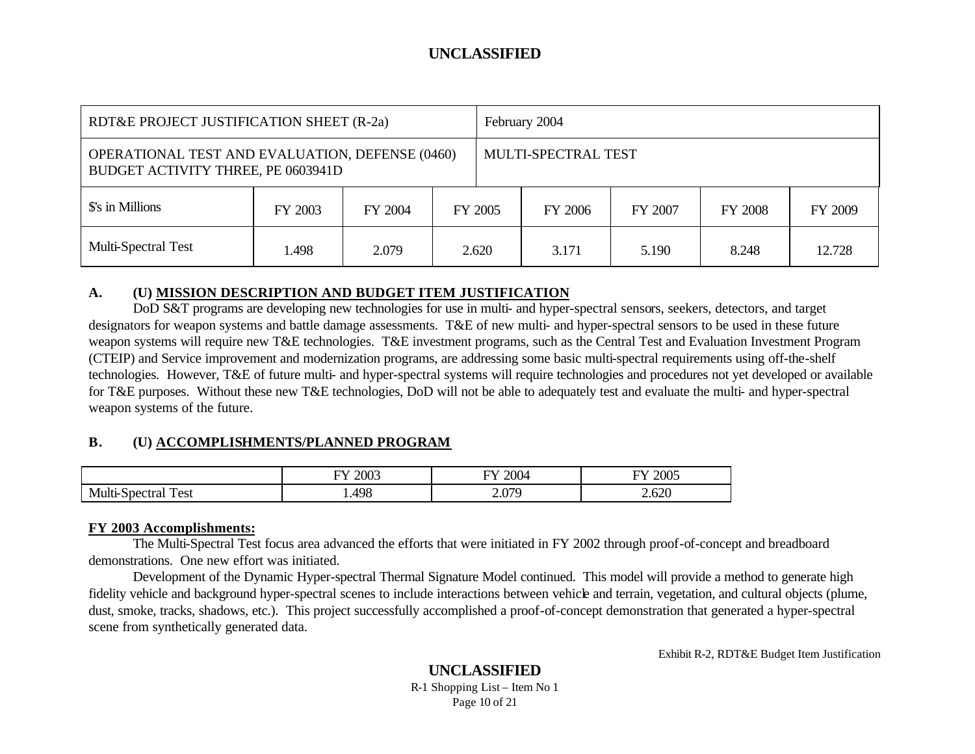| RDT&E PROJECT JUSTIFICATION SHEET (R-2a)                                                     |         |         | February 2004 |                                                 |       |       |       |         |
|----------------------------------------------------------------------------------------------|---------|---------|---------------|-------------------------------------------------|-------|-------|-------|---------|
| <b>OPERATIONAL TEST AND EVALUATION, DEFENSE (0460)</b><br>BUDGET ACTIVITY THREE, PE 0603941D |         |         |               | MULTI-SPECTRAL TEST                             |       |       |       |         |
| \$'s in Millions                                                                             | FY 2003 | FY 2004 |               | FY 2005<br><b>FY 2008</b><br>FY 2006<br>FY 2007 |       |       |       | FY 2009 |
| <b>Multi-Spectral Test</b>                                                                   | 1.498   | 2.079   |               | 2.620                                           | 3.171 | 5.190 | 8.248 | 12.728  |

#### **A. (U) MISSION DESCRIPTION AND BUDGET ITEM JUSTIFICATION**

DoD S&T programs are developing new technologies for use in multi- and hyper-spectral sensors, seekers, detectors, and target designators for weapon systems and battle damage assessments. T&E of new multi- and hyper-spectral sensors to be used in these future weapon systems will require new T&E technologies. T&E investment programs, such as the Central Test and Evaluation Investment Program (CTEIP) and Service improvement and modernization programs, are addressing some basic multi-spectral requirements using off-the-shelf technologies. However, T&E of future multi- and hyper-spectral systems will require technologies and procedures not yet developed or available for T&E purposes. Without these new T&E technologies, DoD will not be able to adequately test and evaluate the multi- and hyper-spectral weapon systems of the future.

### **B. (U) ACCOMPLISHMENTS/PLANNED PROGRAM**

|     | 2003 | TV.    | $\Delta \Omega$ |
|-----|------|--------|-----------------|
|     | ГV Z | ററ     | ᠇               |
|     |      |        | ZUU.            |
|     | ____ | _____  | ___             |
|     |      |        |                 |
| NA. | 498  | 070    | $\epsilon$      |
| est |      | $\sim$ | $\sim$          |

#### **FY 2003 Accomplishments:**

The Multi-Spectral Test focus area advanced the efforts that were initiated in FY 2002 through proof-of-concept and breadboard demonstrations. One new effort was initiated.

Development of the Dynamic Hyper-spectral Thermal Signature Model continued. This model will provide a method to generate high fidelity vehicle and background hyper-spectral scenes to include interactions between vehicle and terrain, vegetation, and cultural objects (plume, dust, smoke, tracks, shadows, etc.). This project successfully accomplished a proof-of-concept demonstration that generated a hyper-spectral scene from synthetically generated data.

Exhibit R-2, RDT&E Budget Item Justification

#### **UNCLASSIFIED** R-1 Shopping List – Item No 1 Page 10 of 21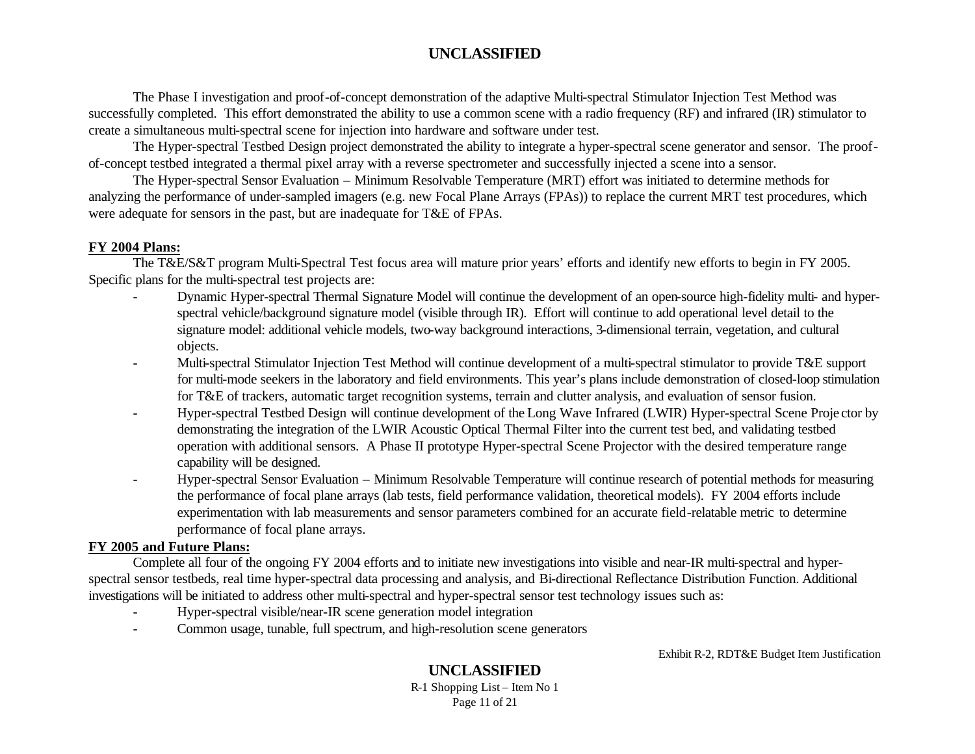The Phase I investigation and proof-of-concept demonstration of the adaptive Multi-spectral Stimulator Injection Test Method was successfully completed. This effort demonstrated the ability to use a common scene with a radio frequency (RF) and infrared (IR) stimulator to create a simultaneous multi-spectral scene for injection into hardware and software under test.

The Hyper-spectral Testbed Design project demonstrated the ability to integrate a hyper-spectral scene generator and sensor. The proofof-concept testbed integrated a thermal pixel array with a reverse spectrometer and successfully injected a scene into a sensor.

The Hyper-spectral Sensor Evaluation – Minimum Resolvable Temperature (MRT) effort was initiated to determine methods for analyzing the performance of under-sampled imagers (e.g. new Focal Plane Arrays (FPAs)) to replace the current MRT test procedures, which were adequate for sensors in the past, but are inadequate for T&E of FPAs.

#### **FY 2004 Plans:**

The T&E/S&T program Multi-Spectral Test focus area will mature prior years' efforts and identify new efforts to begin in FY 2005. Specific plans for the multi-spectral test projects are:

- Dynamic Hyper-spectral Thermal Signature Model will continue the development of an open-source high-fidelity multi- and hyperspectral vehicle/background signature model (visible through IR). Effort will continue to add operational level detail to the signature model: additional vehicle models, two-way background interactions, 3-dimensional terrain, vegetation, and cultural objects.
- Multi-spectral Stimulator Injection Test Method will continue development of a multi-spectral stimulator to provide T&E support for multi-mode seekers in the laboratory and field environments. This year's plans include demonstration of closed-loop stimulation for T&E of trackers, automatic target recognition systems, terrain and clutter analysis, and evaluation of sensor fusion.
- Hyper-spectral Testbed Design will continue development of the Long Wave Infrared (LWIR) Hyper-spectral Scene Proje ctor by demonstrating the integration of the LWIR Acoustic Optical Thermal Filter into the current test bed, and validating testbed operation with additional sensors. A Phase II prototype Hyper-spectral Scene Projector with the desired temperature range capability will be designed.
- Hyper-spectral Sensor Evaluation Minimum Resolvable Temperature will continue research of potential methods for measuring the performance of focal plane arrays (lab tests, field performance validation, theoretical models). FY 2004 efforts include experimentation with lab measurements and sensor parameters combined for an accurate field-relatable metric to determine performance of focal plane arrays.

#### **FY 2005 and Future Plans:**

Complete all four of the ongoing FY 2004 efforts and to initiate new investigations into visible and near-IR multi-spectral and hyperspectral sensor testbeds, real time hyper-spectral data processing and analysis, and Bi-directional Reflectance Distribution Function. Additional investigations will be initiated to address other multi-spectral and hyper-spectral sensor test technology issues such as:

- Hyper-spectral visible/near-IR scene generation model integration
- Common usage, tunable, full spectrum, and high-resolution scene generators

Exhibit R-2, RDT&E Budget Item Justification

# **UNCLASSIFIED**

R-1 Shopping List – Item No 1 Page 11 of 21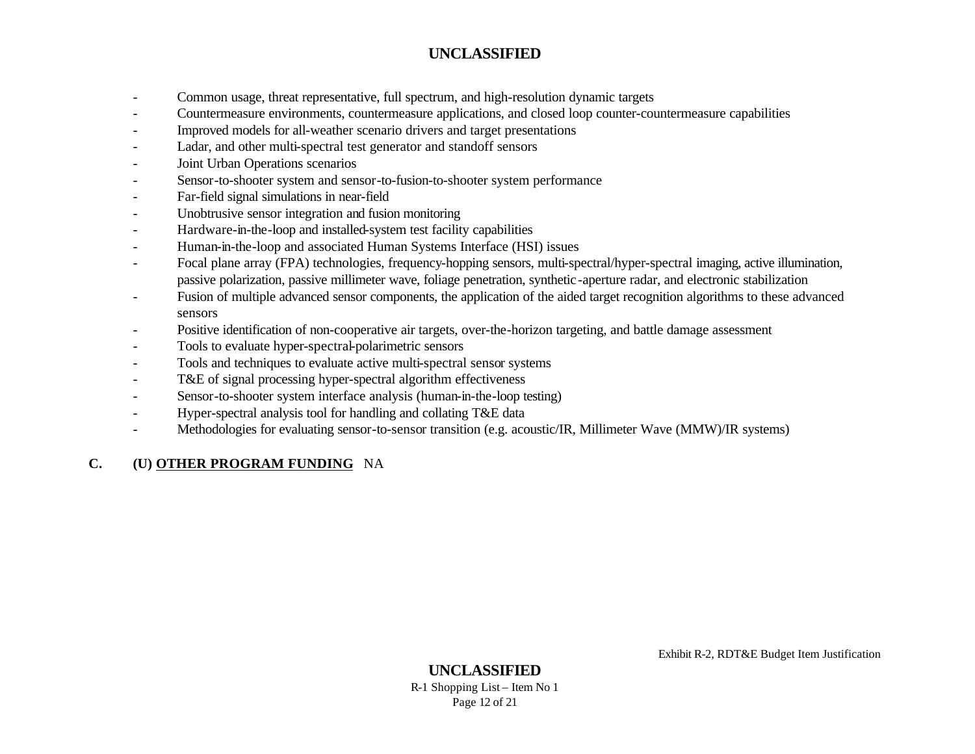- Common usage, threat representative, full spectrum, and high-resolution dynamic targets
- Countermeasure environments, countermeasure applications, and closed loop counter-countermeasure capabilities
- Improved models for all-weather scenario drivers and target presentations
- Ladar, and other multi-spectral test generator and standoff sensors
- Joint Urban Operations scenarios
- Sensor-to-shooter system and sensor-to-fusion-to-shooter system performance
- Far-field signal simulations in near-field
- Unobtrusive sensor integration and fusion monitoring
- Hardware-in-the-loop and installed-system test facility capabilities
- Human-in-the-loop and associated Human Systems Interface (HSI) issues
- Focal plane array (FPA) technologies, frequency-hopping sensors, multi-spectral/hyper-spectral imaging, active illumination, passive polarization, passive millimeter wave, foliage penetration, synthetic-aperture radar, and electronic stabilization
- Fusion of multiple advanced sensor components, the application of the aided target recognition algorithms to these advanced sensors
- Positive identification of non-cooperative air targets, over-the-horizon targeting, and battle damage assessment
- Tools to evaluate hyper-spectral-polarimetric sensors
- Tools and techniques to evaluate active multi-spectral sensor systems
- T&E of signal processing hyper-spectral algorithm effectiveness
- Sensor-to-shooter system interface analysis (human-in-the-loop testing)
- Hyper-spectral analysis tool for handling and collating T&E data
- Methodologies for evaluating sensor-to-sensor transition (e.g. acoustic/IR, Millimeter Wave (MMW)/IR systems)

# **C. (U) OTHER PROGRAM FUNDING** NA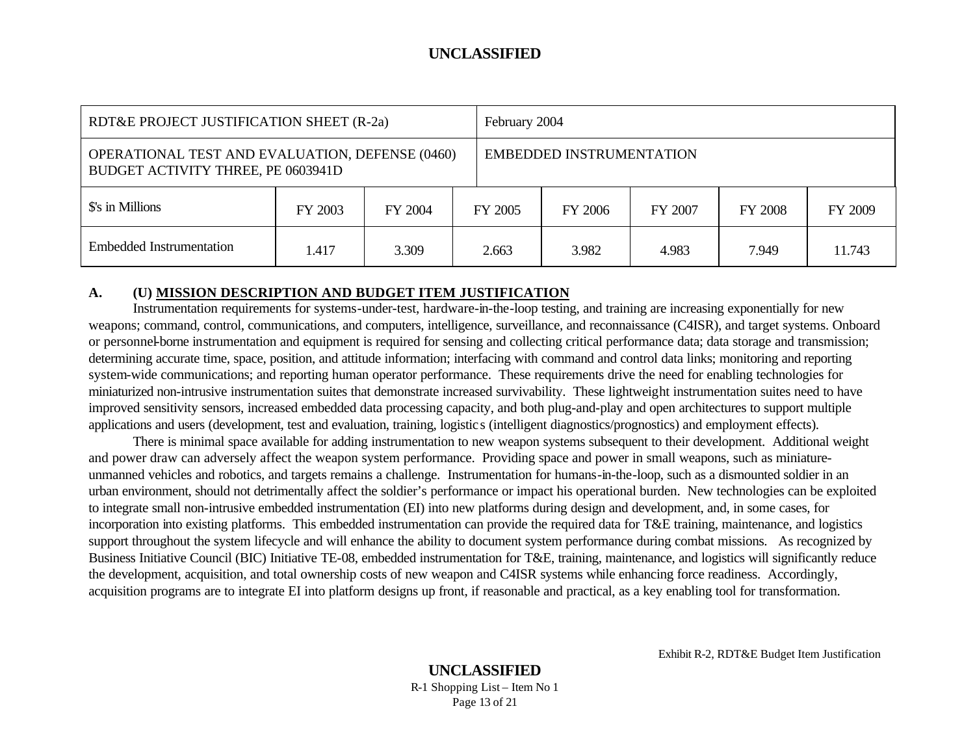| RDT&E PROJECT JUSTIFICATION SHEET (R-2a)                                                     |         |         |         | February 2004                                   |       |       |        |  |
|----------------------------------------------------------------------------------------------|---------|---------|---------|-------------------------------------------------|-------|-------|--------|--|
| <b>OPERATIONAL TEST AND EVALUATION, DEFENSE (0460)</b><br>BUDGET ACTIVITY THREE, PE 0603941D |         |         |         | <b>EMBEDDED INSTRUMENTATION</b>                 |       |       |        |  |
| \$'s in Millions                                                                             | FY 2003 | FY 2004 | FY 2005 | <b>FY 2008</b><br>FY 2009<br>FY 2006<br>FY 2007 |       |       |        |  |
| Embedded Instrumentation                                                                     | 1.417   | 3.309   | 2.663   | 3.982                                           | 4.983 | 7.949 | 11.743 |  |

#### **A. (U) MISSION DESCRIPTION AND BUDGET ITEM JUSTIFICATION**

Instrumentation requirements for systems-under-test, hardware-in-the-loop testing, and training are increasing exponentially for new weapons; command, control, communications, and computers, intelligence, surveillance, and reconnaissance (C4ISR), and target systems. Onboard or personnel-borne instrumentation and equipment is required for sensing and collecting critical performance data; data storage and transmission; determining accurate time, space, position, and attitude information; interfacing with command and control data links; monitoring and reporting system-wide communications; and reporting human operator performance. These requirements drive the need for enabling technologies for miniaturized non-intrusive instrumentation suites that demonstrate increased survivability. These lightweight instrumentation suites need to have improved sensitivity sensors, increased embedded data processing capacity, and both plug-and-play and open architectures to support multiple applications and users (development, test and evaluation, training, logistics (intelligent diagnostics/prognostics) and employment effects).

There is minimal space available for adding instrumentation to new weapon systems subsequent to their development. Additional weight and power draw can adversely affect the weapon system performance. Providing space and power in small weapons, such as miniatureunmanned vehicles and robotics, and targets remains a challenge. Instrumentation for humans-in-the-loop, such as a dismounted soldier in an urban environment, should not detrimentally affect the soldier's performance or impact his operational burden. New technologies can be exploited to integrate small non-intrusive embedded instrumentation (EI) into new platforms during design and development, and, in some cases, for incorporation into existing platforms. This embedded instrumentation can provide the required data for T&E training, maintenance, and logistics support throughout the system lifecycle and will enhance the ability to document system performance during combat missions. As recognized by Business Initiative Council (BIC) Initiative TE-08, embedded instrumentation for T&E, training, maintenance, and logistics will significantly reduce the development, acquisition, and total ownership costs of new weapon and C4ISR systems while enhancing force readiness. Accordingly, acquisition programs are to integrate EI into platform designs up front, if reasonable and practical, as a key enabling tool for transformation.

Exhibit R-2, RDT&E Budget Item Justification

#### **UNCLASSIFIED** R-1 Shopping List – Item No 1 Page 13 of 21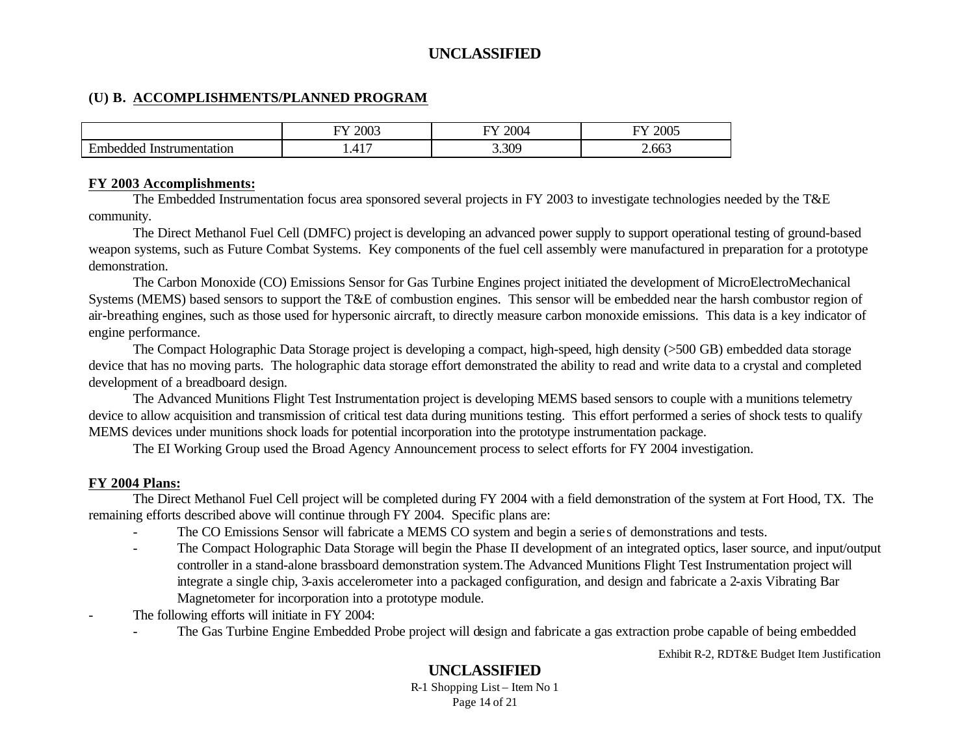#### **(U) B. ACCOMPLISHMENTS/PLANNED PROGRAM**

|                                               | 2003<br>$\nabla$                     | $\sim$ $\sim$ $\sim$<br>--<br>$-00 +$ | $\sim$ $\sim$ $\sim$<br>$\mathcal{T}^{\bullet}$<br>200- |
|-----------------------------------------------|--------------------------------------|---------------------------------------|---------------------------------------------------------|
| $\mathbf$<br>. ddec<br>nentatıor<br>Inst<br>. | 11 <sup>7</sup><br>–<br><b>T.ITI</b> | $\Delta$<br>.JU                       | $\sim$<br>2.003                                         |

#### **FY 2003 Accomplishments:**

The Embedded Instrumentation focus area sponsored several projects in FY 2003 to investigate technologies needed by the T&E community.

The Direct Methanol Fuel Cell (DMFC) project is developing an advanced power supply to support operational testing of ground-based weapon systems, such as Future Combat Systems. Key components of the fuel cell assembly were manufactured in preparation for a prototype demonstration.

The Carbon Monoxide (CO) Emissions Sensor for Gas Turbine Engines project initiated the development of MicroElectroMechanical Systems (MEMS) based sensors to support the T&E of combustion engines. This sensor will be embedded near the harsh combustor region of air-breathing engines, such as those used for hypersonic aircraft, to directly measure carbon monoxide emissions. This data is a key indicator of engine performance.

The Compact Holographic Data Storage project is developing a compact, high-speed, high density (>500 GB) embedded data storage device that has no moving parts. The holographic data storage effort demonstrated the ability to read and write data to a crystal and completed development of a breadboard design.

The Advanced Munitions Flight Test Instrumentation project is developing MEMS based sensors to couple with a munitions telemetry device to allow acquisition and transmission of critical test data during munitions testing. This effort performed a series of shock tests to qualify MEMS devices under munitions shock loads for potential incorporation into the prototype instrumentation package.

The EI Working Group used the Broad Agency Announcement process to select efforts for FY 2004 investigation.

#### **FY 2004 Plans:**

The Direct Methanol Fuel Cell project will be completed during FY 2004 with a field demonstration of the system at Fort Hood, TX. The remaining efforts described above will continue through FY 2004. Specific plans are:

- The CO Emissions Sensor will fabricate a MEMS CO system and begin a serie s of demonstrations and tests.
- The Compact Holographic Data Storage will begin the Phase II development of an integrated optics, laser source, and input/output controller in a stand-alone brassboard demonstration system.The Advanced Munitions Flight Test Instrumentation project will integrate a single chip, 3-axis accelerometer into a packaged configuration, and design and fabricate a 2-axis Vibrating Bar Magnetometer for incorporation into a prototype module.
- The following efforts will initiate in FY 2004:
	- The Gas Turbine Engine Embedded Probe project will design and fabricate a gas extraction probe capable of being embedded

Exhibit R-2, RDT&E Budget Item Justification

# **UNCLASSIFIED**

R-1 Shopping List – Item No 1 Page 14 of 21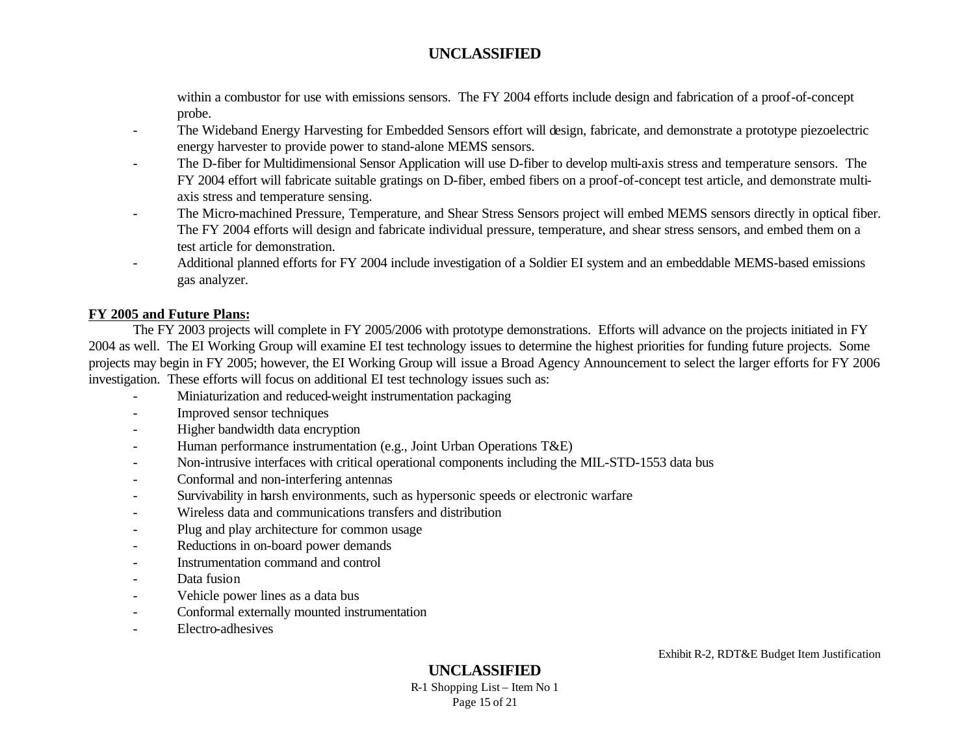within a combustor for use with emissions sensors. The FY 2004 efforts include design and fabrication of a proof-of-concept probe.

- The Wideband Energy Harvesting for Embedded Sensors effort will design, fabricate, and demonstrate a prototype piezoelectric energy harvester to provide power to stand-alone MEMS sensors.
- The D-fiber for Multidimensional Sensor Application will use D-fiber to develop multi-axis stress and temperature sensors. The FY 2004 effort will fabricate suitable gratings on D-fiber, embed fibers on a proof-of-concept test article, and demonstrate multiaxis stress and temperature sensing.
- The Micro-machined Pressure, Temperature, and Shear Stress Sensors project will embed MEMS sensors directly in optical fiber. The FY 2004 efforts will design and fabricate individual pressure, temperature, and shear stress sensors, and embed them on a test article for demonstration.
- Additional planned efforts for FY 2004 include investigation of a Soldier EI system and an embeddable MEMS-based emissions gas analyzer.

#### **FY 2005 and Future Plans:**

The FY 2003 projects will complete in FY 2005/2006 with prototype demonstrations. Efforts will advance on the projects initiated in FY 2004 as well. The EI Working Group will examine EI test technology issues to determine the highest priorities for funding future projects. Some projects may begin in FY 2005; however, the EI Working Group will issue a Broad Agency Announcement to select the larger efforts for FY 2006 investigation. These efforts will focus on additional EI test technology issues such as:

- Miniaturization and reduced-weight instrumentation packaging
- Improved sensor techniques
- Higher bandwidth data encryption
- Human performance instrumentation (e.g., Joint Urban Operations T&E)
- Non-intrusive interfaces with critical operational components including the MIL-STD-1553 data bus
- Conformal and non-interfering antennas
- Survivability in harsh environments, such as hypersonic speeds or electronic warfare
- Wireless data and communications transfers and distribution
- Plug and play architecture for common usage
- Reductions in on-board power demands
- Instrumentation command and control
- Data fusion
- Vehicle power lines as a data bus
- Conformal externally mounted instrumentation
- Electro-adhesives

# **UNCLASSIFIED**

R-1 Shopping List – Item No 1 Page 15 of 21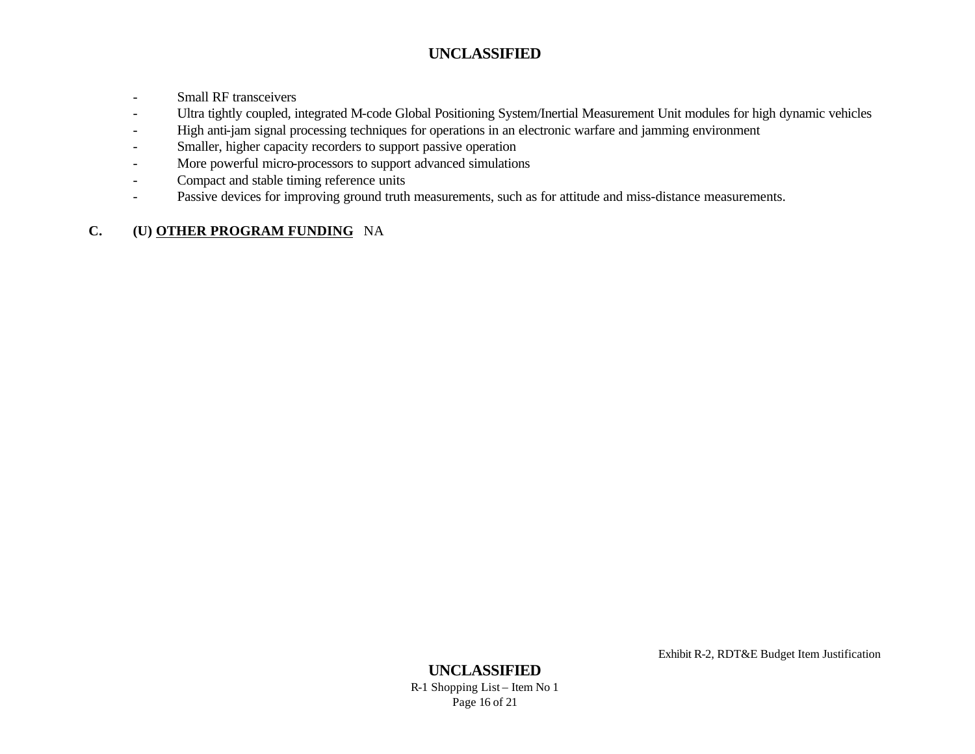- Small RF transceivers
- Ultra tightly coupled, integrated M-code Global Positioning System/Inertial Measurement Unit modules for high dynamic vehicles
- High anti-jam signal processing techniques for operations in an electronic warfare and jamming environment
- Smaller, higher capacity recorders to support passive operation
- More powerful micro-processors to support advanced simulations
- Compact and stable timing reference units
- Passive devices for improving ground truth measurements, such as for attitude and miss-distance measurements.

# **C. (U) OTHER PROGRAM FUNDING** NA

Exhibit R-2, RDT&E Budget Item Justification

#### **UNCLASSIFIED** R-1 Shopping List – Item No 1 Page 16 of 21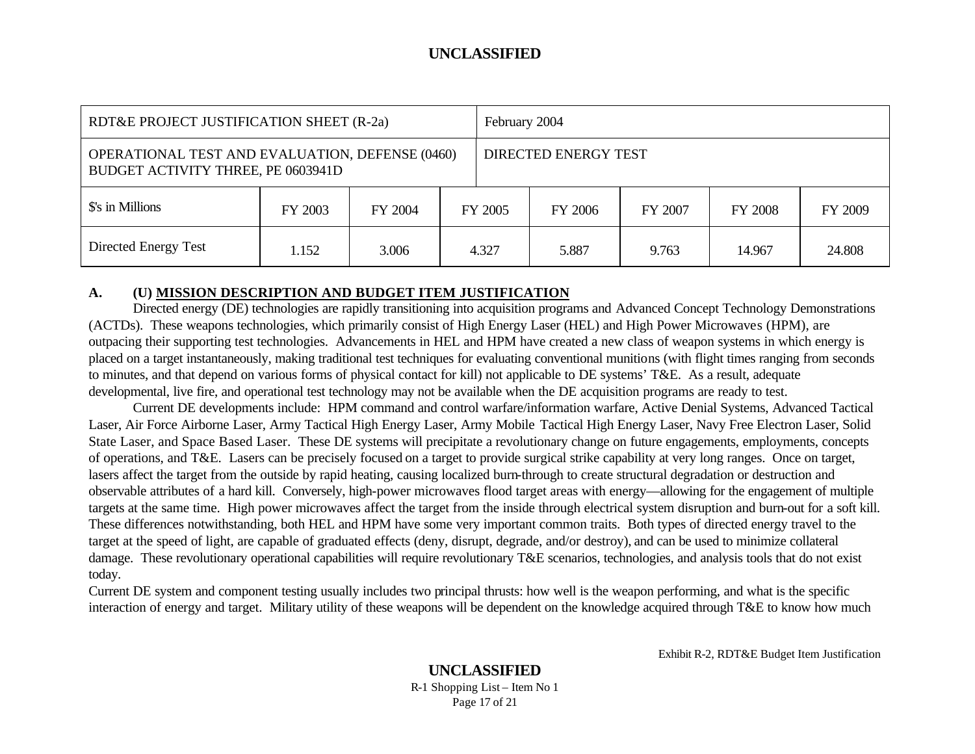| RDT&E PROJECT JUSTIFICATION SHEET (R-2a)                                                     |         |         |         | February 2004        |         |         |         |         |
|----------------------------------------------------------------------------------------------|---------|---------|---------|----------------------|---------|---------|---------|---------|
| <b>OPERATIONAL TEST AND EVALUATION, DEFENSE (0460)</b><br>BUDGET ACTIVITY THREE, PE 0603941D |         |         |         | DIRECTED ENERGY TEST |         |         |         |         |
| \$'s in Millions                                                                             | FY 2003 | FY 2004 | FY 2005 |                      | FY 2006 | FY 2007 | FY 2008 | FY 2009 |
| Directed Energy Test                                                                         | 1.152   | 3.006   |         | 4.327                | 5.887   | 9.763   | 14.967  | 24.808  |

#### **A. (U) MISSION DESCRIPTION AND BUDGET ITEM JUSTIFICATION**

Directed energy (DE) technologies are rapidly transitioning into acquisition programs and Advanced Concept Technology Demonstrations (ACTDs). These weapons technologies, which primarily consist of High Energy Laser (HEL) and High Power Microwaves (HPM), are outpacing their supporting test technologies. Advancements in HEL and HPM have created a new class of weapon systems in which energy is placed on a target instantaneously, making traditional test techniques for evaluating conventional munitions (with flight times ranging from seconds to minutes, and that depend on various forms of physical contact for kill) not applicable to DE systems' T&E. As a result, adequate developmental, live fire, and operational test technology may not be available when the DE acquisition programs are ready to test.

Current DE developments include: HPM command and control warfare/information warfare, Active Denial Systems, Advanced Tactical Laser, Air Force Airborne Laser, Army Tactical High Energy Laser, Army Mobile Tactical High Energy Laser, Navy Free Electron Laser, Solid State Laser, and Space Based Laser. These DE systems will precipitate a revolutionary change on future engagements, employments, concepts of operations, and T&E. Lasers can be precisely focused on a target to provide surgical strike capability at very long ranges. Once on target, lasers affect the target from the outside by rapid heating, causing localized burn-through to create structural degradation or destruction and observable attributes of a hard kill. Conversely, high-power microwaves flood target areas with energy—allowing for the engagement of multiple targets at the same time. High power microwaves affect the target from the inside through electrical system disruption and burn-out for a soft kill. These differences notwithstanding, both HEL and HPM have some very important common traits. Both types of directed energy travel to the target at the speed of light, are capable of graduated effects (deny, disrupt, degrade, and/or destroy), and can be used to minimize collateral damage. These revolutionary operational capabilities will require revolutionary T&E scenarios, technologies, and analysis tools that do not exist today.

Current DE system and component testing usually includes two principal thrusts: how well is the weapon performing, and what is the specific interaction of energy and target. Military utility of these weapons will be dependent on the knowledge acquired through T&E to know how much

Exhibit R-2, RDT&E Budget Item Justification

#### **UNCLASSIFIED** R-1 Shopping List – Item No 1 Page 17 of 21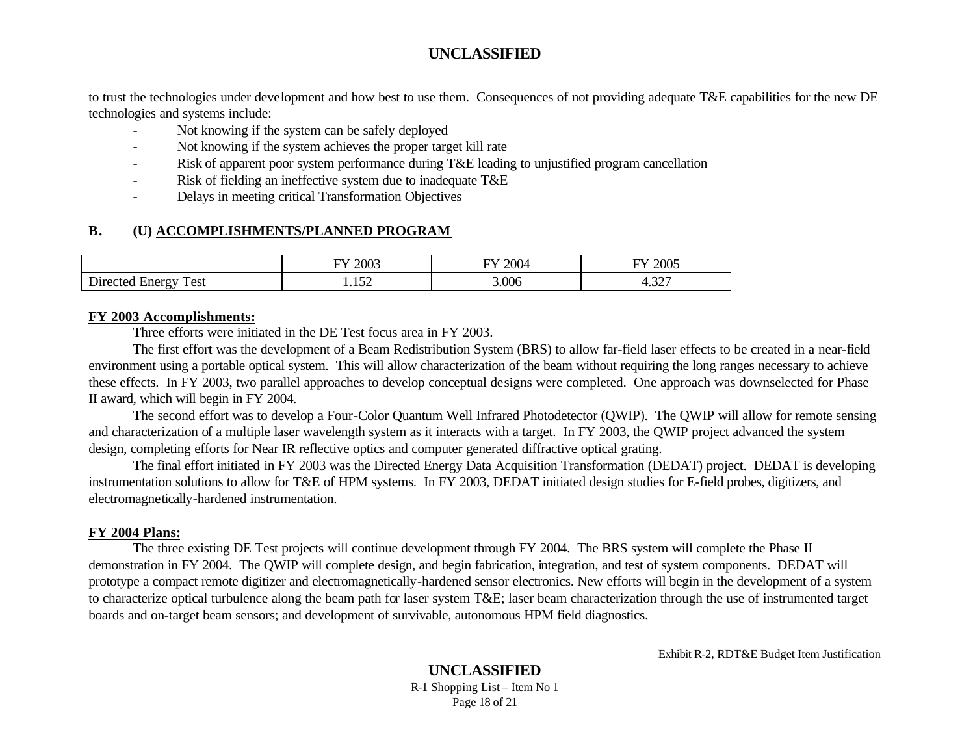to trust the technologies under development and how best to use them. Consequences of not providing adequate T&E capabilities for the new DE technologies and systems include:

- Not knowing if the system can be safely deployed
- Not knowing if the system achieves the proper target kill rate
- Risk of apparent poor system performance during T&E leading to unjustified program cancellation
- Risk of fielding an ineffective system due to inadequate T&E
- Delays in meeting critical Transformation Objectives

# **B. (U) ACCOMPLISHMENTS/PLANNED PROGRAM**

|                                                      | 2003<br>$\tau$      | 2004<br>┯ | 2005<br>᠇          |
|------------------------------------------------------|---------------------|-----------|--------------------|
| n'<br>$\mathbf{r}$<br>Test<br>$11r^2$<br>.nerc<br>J. | $\epsilon$<br>1.102 | 3.006     | $\Omega$<br>ו ∠כ.ד |

#### **FY 2003 Accomplishments:**

Three efforts were initiated in the DE Test focus area in FY 2003.

The first effort was the development of a Beam Redistribution System (BRS) to allow far-field laser effects to be created in a near-field environment using a portable optical system. This will allow characterization of the beam without requiring the long ranges necessary to achieve these effects. In FY 2003, two parallel approaches to develop conceptual designs were completed. One approach was downselected for Phase II award, which will begin in FY 2004.

The second effort was to develop a Four-Color Quantum Well Infrared Photodetector (QWIP). The QWIP will allow for remote sensing and characterization of a multiple laser wavelength system as it interacts with a target. In FY 2003, the QWIP project advanced the system design, completing efforts for Near IR reflective optics and computer generated diffractive optical grating.

The final effort initiated in FY 2003 was the Directed Energy Data Acquisition Transformation (DEDAT) project. DEDAT is developing instrumentation solutions to allow for T&E of HPM systems. In FY 2003, DEDAT initiated design studies for E-field probes, digitizers, and electromagnetically-hardened instrumentation.

### **FY 2004 Plans:**

The three existing DE Test projects will continue development through FY 2004. The BRS system will complete the Phase II demonstration in FY 2004. The QWIP will complete design, and begin fabrication, integration, and test of system components. DEDAT will prototype a compact remote digitizer and electromagnetically-hardened sensor electronics. New efforts will begin in the development of a system to characterize optical turbulence along the beam path for laser system T&E; laser beam characterization through the use of instrumented target boards and on-target beam sensors; and development of survivable, autonomous HPM field diagnostics.

Exhibit R-2, RDT&E Budget Item Justification

#### **UNCLASSIFIED** R-1 Shopping List – Item No 1 Page 18 of 21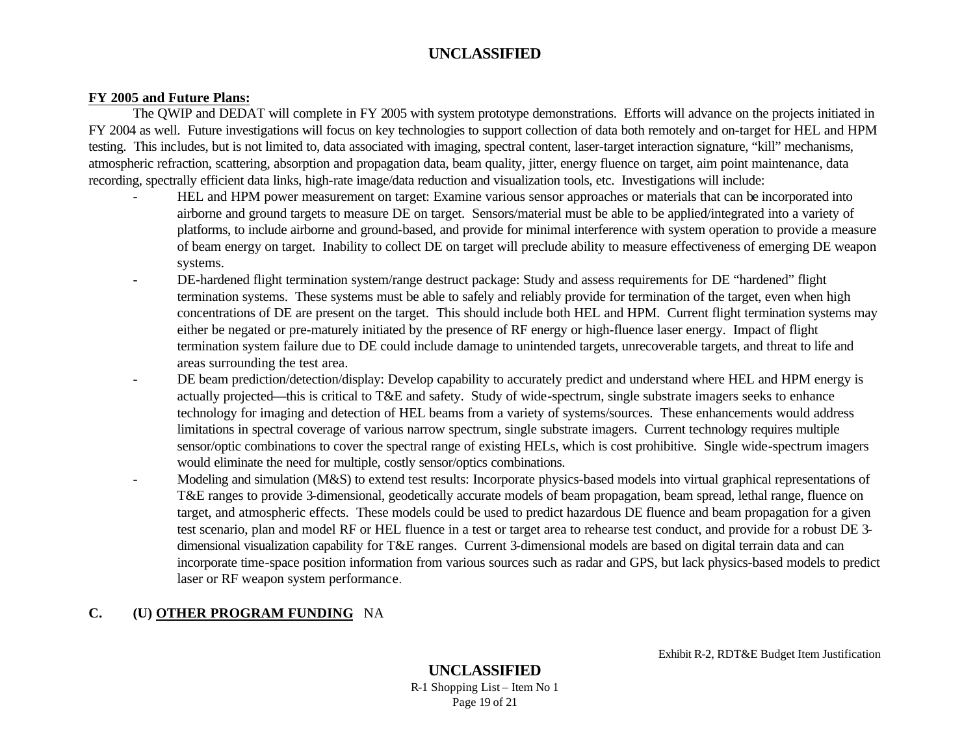#### **FY 2005 and Future Plans:**

The QWIP and DEDAT will complete in FY 2005 with system prototype demonstrations. Efforts will advance on the projects initiated in FY 2004 as well. Future investigations will focus on key technologies to support collection of data both remotely and on-target for HEL and HPM testing. This includes, but is not limited to, data associated with imaging, spectral content, laser-target interaction signature, "kill" mechanisms, atmospheric refraction, scattering, absorption and propagation data, beam quality, jitter, energy fluence on target, aim point maintenance, data recording, spectrally efficient data links, high-rate image/data reduction and visualization tools, etc. Investigations will include:

- HEL and HPM power measurement on target: Examine various sensor approaches or materials that can be incorporated into airborne and ground targets to measure DE on target. Sensors/material must be able to be applied/integrated into a variety of platforms, to include airborne and ground-based, and provide for minimal interference with system operation to provide a measure of beam energy on target. Inability to collect DE on target will preclude ability to measure effectiveness of emerging DE weapon systems.
- DE-hardened flight termination system/range destruct package: Study and assess requirements for DE "hardened" flight termination systems. These systems must be able to safely and reliably provide for termination of the target, even when high concentrations of DE are present on the target. This should include both HEL and HPM. Current flight termination systems may either be negated or pre-maturely initiated by the presence of RF energy or high-fluence laser energy. Impact of flight termination system failure due to DE could include damage to unintended targets, unrecoverable targets, and threat to life and areas surrounding the test area.
- DE beam prediction/detection/display: Develop capability to accurately predict and understand where HEL and HPM energy is actually projected—this is critical to T&E and safety. Study of wide-spectrum, single substrate imagers seeks to enhance technology for imaging and detection of HEL beams from a variety of systems/sources. These enhancements would address limitations in spectral coverage of various narrow spectrum, single substrate imagers. Current technology requires multiple sensor/optic combinations to cover the spectral range of existing HELs, which is cost prohibitive. Single wide-spectrum imagers would eliminate the need for multiple, costly sensor/optics combinations.
- Modeling and simulation (M&S) to extend test results: Incorporate physics-based models into virtual graphical representations of T&E ranges to provide 3-dimensional, geodetically accurate models of beam propagation, beam spread, lethal range, fluence on target, and atmospheric effects. These models could be used to predict hazardous DE fluence and beam propagation for a given test scenario, plan and model RF or HEL fluence in a test or target area to rehearse test conduct, and provide for a robust DE 3 dimensional visualization capability for T&E ranges. Current 3-dimensional models are based on digital terrain data and can incorporate time-space position information from various sources such as radar and GPS, but lack physics-based models to predict laser or RF weapon system performance.

## **C. (U) OTHER PROGRAM FUNDING** NA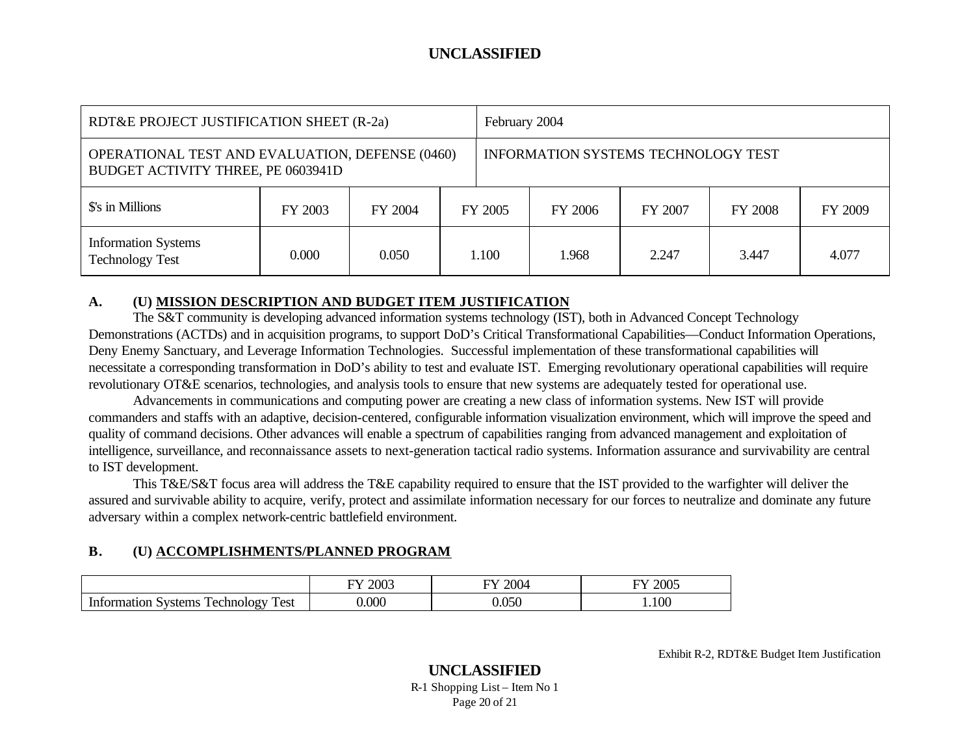| RDT&E PROJECT JUSTIFICATION SHEET (R-2a)                                                     |         |         |         | February 2004                       |         |         |                |         |
|----------------------------------------------------------------------------------------------|---------|---------|---------|-------------------------------------|---------|---------|----------------|---------|
| <b>OPERATIONAL TEST AND EVALUATION, DEFENSE (0460)</b><br>BUDGET ACTIVITY THREE, PE 0603941D |         |         |         | INFORMATION SYSTEMS TECHNOLOGY TEST |         |         |                |         |
| \$'s in Millions                                                                             | FY 2003 | FY 2004 | FY 2005 |                                     | FY 2006 | FY 2007 | <b>FY 2008</b> | FY 2009 |
| <b>Information Systems</b><br><b>Technology Test</b>                                         | 0.000   | 0.050   |         | 1.100                               | 1.968   | 2.247   | 3.447          | 4.077   |

#### **A. (U) MISSION DESCRIPTION AND BUDGET ITEM JUSTIFICATION**

The S&T community is developing advanced information systems technology (IST), both in Advanced Concept Technology Demonstrations (ACTDs) and in acquisition programs, to support DoD's Critical Transformational Capabilities—Conduct Information Operations, Deny Enemy Sanctuary, and Leverage Information Technologies. Successful implementation of these transformational capabilities will necessitate a corresponding transformation in DoD's ability to test and evaluate IST. Emerging revolutionary operational capabilities will require revolutionary OT&E scenarios, technologies, and analysis tools to ensure that new systems are adequately tested for operational use.

Advancements in communications and computing power are creating a new class of information systems. New IST will provide commanders and staffs with an adaptive, decision-centered, configurable information visualization environment, which will improve the speed and quality of command decisions. Other advances will enable a spectrum of capabilities ranging from advanced management and exploitation of intelligence, surveillance, and reconnaissance assets to next-generation tactical radio systems. Information assurance and survivability are central to IST development.

This T&E/S&T focus area will address the T&E capability required to ensure that the IST provided to the warfighter will deliver the assured and survivable ability to acquire, verify, protect and assimilate information necessary for our forces to neutralize and dominate any future adversary within a complex network-centric battlefield environment.

# **B. (U) ACCOMPLISHMENTS/PLANNED PROGRAM**

|                                                     | റററ                      | $\Delta \Omega$          | nnne                |
|-----------------------------------------------------|--------------------------|--------------------------|---------------------|
|                                                     | $\overline{\phantom{0}}$ | $\overline{\phantom{a}}$ | --                  |
|                                                     | ZUU-                     | ∠∪∪∸                     | LUUJ –              |
| –<br>Test<br>echnology<br>svstems<br>ormation.<br>ັ | .000                     | 0.050<br>.               | $\overline{0}$<br>w |

Exhibit R-2, RDT&E Budget Item Justification

#### **UNCLASSIFIED** R-1 Shopping List – Item No 1 Page 20 of 21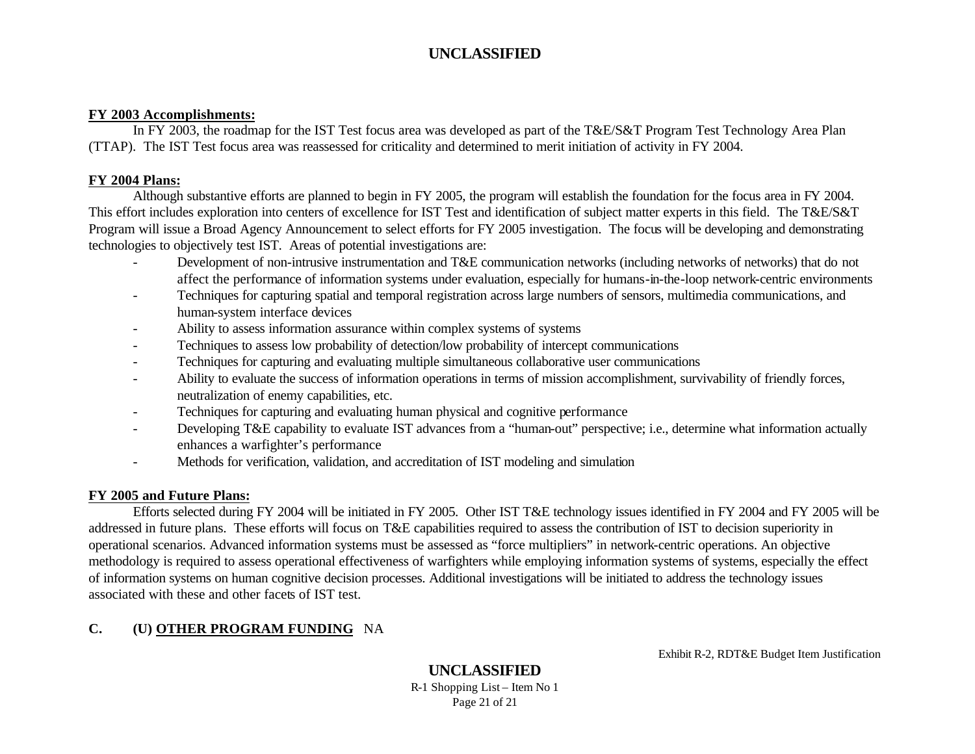#### **FY 2003 Accomplishments:**

In FY 2003, the roadmap for the IST Test focus area was developed as part of the T&E/S&T Program Test Technology Area Plan (TTAP). The IST Test focus area was reassessed for criticality and determined to merit initiation of activity in FY 2004.

#### **FY 2004 Plans:**

Although substantive efforts are planned to begin in FY 2005, the program will establish the foundation for the focus area in FY 2004. This effort includes exploration into centers of excellence for IST Test and identification of subject matter experts in this field. The T&E/S&T Program will issue a Broad Agency Announcement to select efforts for FY 2005 investigation. The focus will be developing and demonstrating technologies to objectively test IST. Areas of potential investigations are:

- Development of non-intrusive instrumentation and T&E communication networks (including networks of networks) that do not affect the performance of information systems under evaluation, especially for humans-in-the-loop network-centric environments
- Techniques for capturing spatial and temporal registration across large numbers of sensors, multimedia communications, and human-system interface devices
- Ability to assess information assurance within complex systems of systems
- Techniques to assess low probability of detection/low probability of intercept communications
- Techniques for capturing and evaluating multiple simultaneous collaborative user communications
- Ability to evaluate the success of information operations in terms of mission accomplishment, survivability of friendly forces, neutralization of enemy capabilities, etc.
- Techniques for capturing and evaluating human physical and cognitive performance
- Developing T&E capability to evaluate IST advances from a "human-out" perspective; i.e., determine what information actually enhances a warfighter's performance
- Methods for verification, validation, and accreditation of IST modeling and simulation

#### **FY 2005 and Future Plans:**

Efforts selected during FY 2004 will be initiated in FY 2005. Other IST T&E technology issues identified in FY 2004 and FY 2005 will be addressed in future plans. These efforts will focus on T&E capabilities required to assess the contribution of IST to decision superiority in operational scenarios. Advanced information systems must be assessed as "force multipliers" in network-centric operations. An objective methodology is required to assess operational effectiveness of warfighters while employing information systems of systems, especially the effect of information systems on human cognitive decision processes. Additional investigations will be initiated to address the technology issues associated with these and other facets of IST test.

### **C. (U) OTHER PROGRAM FUNDING** NA

Exhibit R-2, RDT&E Budget Item Justification

**UNCLASSIFIED** R-1 Shopping List – Item No 1 Page 21 of 21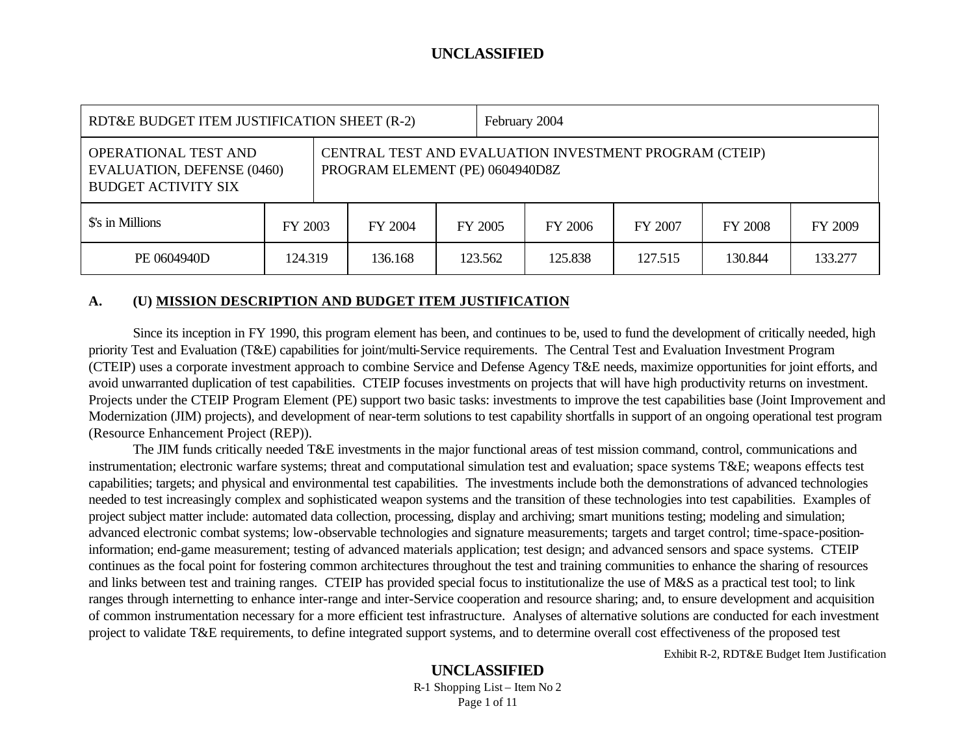| RDT&E BUDGET ITEM JUSTIFICATION SHEET (R-2)                                             |         |  |         | February 2004 |                                                                                           |         |         |                |         |
|-----------------------------------------------------------------------------------------|---------|--|---------|---------------|-------------------------------------------------------------------------------------------|---------|---------|----------------|---------|
| OPERATIONAL TEST AND<br><b>EVALUATION, DEFENSE (0460)</b><br><b>BUDGET ACTIVITY SIX</b> |         |  |         |               | CENTRAL TEST AND EVALUATION INVESTMENT PROGRAM (CTEIP)<br>PROGRAM ELEMENT (PE) 0604940D8Z |         |         |                |         |
| \$'s in Millions                                                                        | FY 2003 |  | FY 2004 | FY 2005       |                                                                                           | FY 2006 | FY 2007 | <b>FY 2008</b> | FY 2009 |
| PE 0604940D                                                                             | 124.319 |  | 136.168 |               | 123.562                                                                                   | 125.838 | 127.515 | 130.844        | 133.277 |

#### **A. (U) MISSION DESCRIPTION AND BUDGET ITEM JUSTIFICATION**

Since its inception in FY 1990, this program element has been, and continues to be, used to fund the development of critically needed, high priority Test and Evaluation (T&E) capabilities for joint/multi-Service requirements. The Central Test and Evaluation Investment Program (CTEIP) uses a corporate investment approach to combine Service and Defense Agency T&E needs, maximize opportunities for joint efforts, and avoid unwarranted duplication of test capabilities. CTEIP focuses investments on projects that will have high productivity returns on investment. Projects under the CTEIP Program Element (PE) support two basic tasks: investments to improve the test capabilities base (Joint Improvement and Modernization (JIM) projects), and development of near-term solutions to test capability shortfalls in support of an ongoing operational test program (Resource Enhancement Project (REP)).

The JIM funds critically needed T&E investments in the major functional areas of test mission command, control, communications and instrumentation; electronic warfare systems; threat and computational simulation test and evaluation; space systems T&E; weapons effects test capabilities; targets; and physical and environmental test capabilities. The investments include both the demonstrations of advanced technologies needed to test increasingly complex and sophisticated weapon systems and the transition of these technologies into test capabilities. Examples of project subject matter include: automated data collection, processing, display and archiving; smart munitions testing; modeling and simulation; advanced electronic combat systems; low-observable technologies and signature measurements; targets and target control; time-space-positioninformation; end-game measurement; testing of advanced materials application; test design; and advanced sensors and space systems. CTEIP continues as the focal point for fostering common architectures throughout the test and training communities to enhance the sharing of resources and links between test and training ranges. CTEIP has provided special focus to institutionalize the use of M&S as a practical test tool; to link ranges through internetting to enhance inter-range and inter-Service cooperation and resource sharing; and, to ensure development and acquisition of common instrumentation necessary for a more efficient test infrastructure. Analyses of alternative solutions are conducted for each investment project to validate T&E requirements, to define integrated support systems, and to determine overall cost effectiveness of the proposed test

Exhibit R-2, RDT&E Budget Item Justification

# **UNCLASSIFIED**

R-1 Shopping List – Item No 2 Page 1 of 11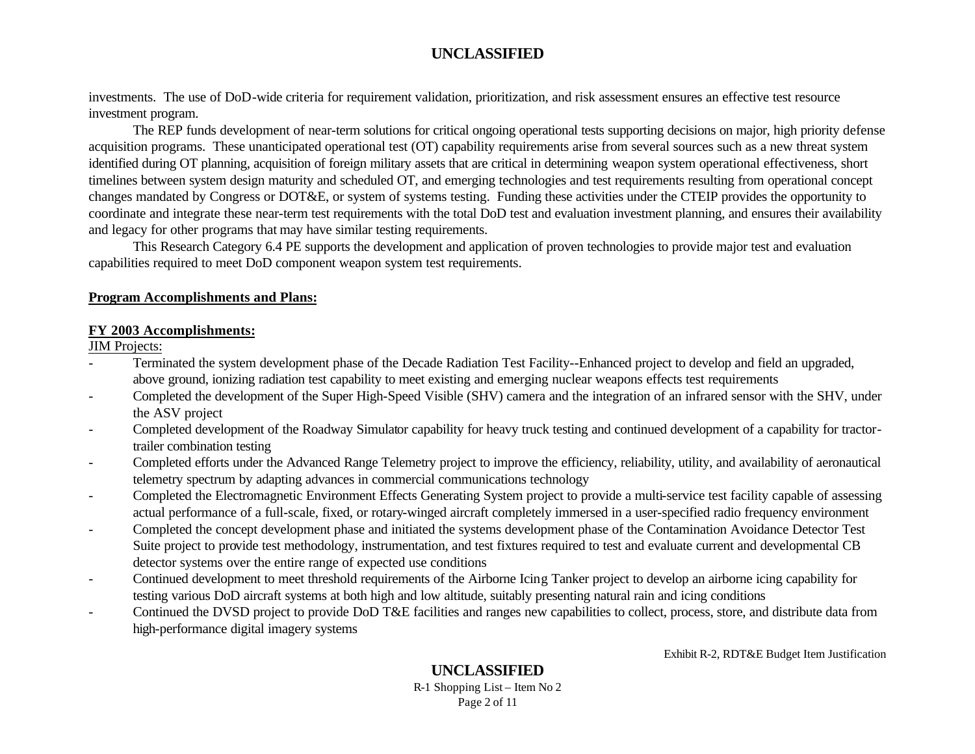investments. The use of DoD-wide criteria for requirement validation, prioritization, and risk assessment ensures an effective test resource investment program.

The REP funds development of near-term solutions for critical ongoing operational tests supporting decisions on major, high priority defense acquisition programs. These unanticipated operational test (OT) capability requirements arise from several sources such as a new threat system identified during OT planning, acquisition of foreign military assets that are critical in determining weapon system operational effectiveness, short timelines between system design maturity and scheduled OT, and emerging technologies and test requirements resulting from operational concept changes mandated by Congress or DOT&E, or system of systems testing. Funding these activities under the CTEIP provides the opportunity to coordinate and integrate these near-term test requirements with the total DoD test and evaluation investment planning, and ensures their availability and legacy for other programs that may have similar testing requirements.

This Research Category 6.4 PE supports the development and application of proven technologies to provide major test and evaluation capabilities required to meet DoD component weapon system test requirements.

#### **Program Accomplishments and Plans:**

#### **FY 2003 Accomplishments:**

JIM Projects:

- Terminated the system development phase of the Decade Radiation Test Facility--Enhanced project to develop and field an upgraded, above ground, ionizing radiation test capability to meet existing and emerging nuclear weapons effects test requirements
- Completed the development of the Super High-Speed Visible (SHV) camera and the integration of an infrared sensor with the SHV, under the ASV project
- Completed development of the Roadway Simulator capability for heavy truck testing and continued development of a capability for tractortrailer combination testing
- Completed efforts under the Advanced Range Telemetry project to improve the efficiency, reliability, utility, and availability of aeronautical telemetry spectrum by adapting advances in commercial communications technology
- Completed the Electromagnetic Environment Effects Generating System project to provide a multi-service test facility capable of assessing actual performance of a full-scale, fixed, or rotary-winged aircraft completely immersed in a user-specified radio frequency environment
- Completed the concept development phase and initiated the systems development phase of the Contamination Avoidance Detector Test Suite project to provide test methodology, instrumentation, and test fixtures required to test and evaluate current and developmental CB detector systems over the entire range of expected use conditions
- Continued development to meet threshold requirements of the Airborne Icing Tanker project to develop an airborne icing capability for testing various DoD aircraft systems at both high and low altitude, suitably presenting natural rain and icing conditions
- Continued the DVSD project to provide DoD T&E facilities and ranges new capabilities to collect, process, store, and distribute data from high-performance digital imagery systems

Exhibit R-2, RDT&E Budget Item Justification

#### **UNCLASSIFIED** R-1 Shopping List – Item No 2 Page 2 of 11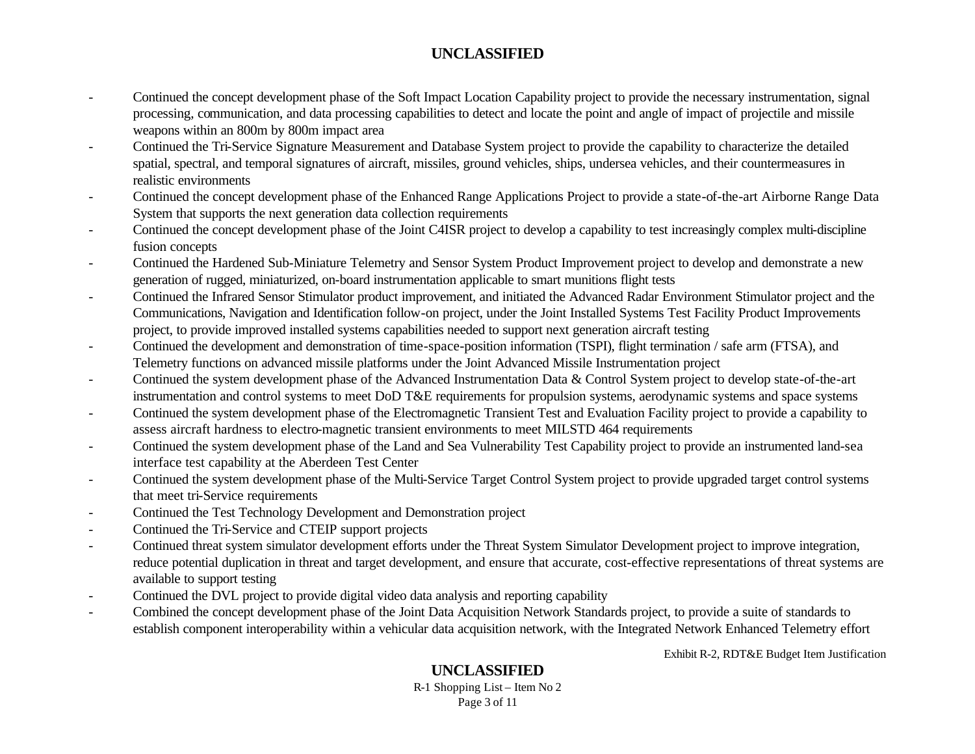- Continued the concept development phase of the Soft Impact Location Capability project to provide the necessary instrumentation, signal processing, communication, and data processing capabilities to detect and locate the point and angle of impact of projectile and missile weapons within an 800m by 800m impact area
- Continued the Tri-Service Signature Measurement and Database System project to provide the capability to characterize the detailed spatial, spectral, and temporal signatures of aircraft, missiles, ground vehicles, ships, undersea vehicles, and their countermeasures in realistic environments
- Continued the concept development phase of the Enhanced Range Applications Project to provide a state-of-the-art Airborne Range Data System that supports the next generation data collection requirements
- Continued the concept development phase of the Joint C4ISR project to develop a capability to test increasingly complex multi-discipline fusion concepts
- Continued the Hardened Sub-Miniature Telemetry and Sensor System Product Improvement project to develop and demonstrate a new generation of rugged, miniaturized, on-board instrumentation applicable to smart munitions flight tests
- Continued the Infrared Sensor Stimulator product improvement, and initiated the Advanced Radar Environment Stimulator project and the Communications, Navigation and Identification follow-on project, under the Joint Installed Systems Test Facility Product Improvements project, to provide improved installed systems capabilities needed to support next generation aircraft testing
- Continued the development and demonstration of time-space-position information (TSPI), flight termination / safe arm (FTSA), and Telemetry functions on advanced missile platforms under the Joint Advanced Missile Instrumentation project
- Continued the system development phase of the Advanced Instrumentation Data & Control System project to develop state-of-the-art instrumentation and control systems to meet DoD T&E requirements for propulsion systems, aerodynamic systems and space systems
- Continued the system development phase of the Electromagnetic Transient Test and Evaluation Facility project to provide a capability to assess aircraft hardness to electro-magnetic transient environments to meet MILSTD 464 requirements
- Continued the system development phase of the Land and Sea Vulnerability Test Capability project to provide an instrumented land-sea interface test capability at the Aberdeen Test Center
- Continued the system development phase of the Multi-Service Target Control System project to provide upgraded target control systems that meet tri-Service requirements
- Continued the Test Technology Development and Demonstration project
- Continued the Tri-Service and CTEIP support projects
- Continued threat system simulator development efforts under the Threat System Simulator Development project to improve integration, reduce potential duplication in threat and target development, and ensure that accurate, cost-effective representations of threat systems are available to support testing
- Continued the DVL project to provide digital video data analysis and reporting capability
- Combined the concept development phase of the Joint Data Acquisition Network Standards project, to provide a suite of standards to establish component interoperability within a vehicular data acquisition network, with the Integrated Network Enhanced Telemetry effort

Exhibit R-2, RDT&E Budget Item Justification

# **UNCLASSIFIED**

R-1 Shopping List – Item No 2 Page 3 of 11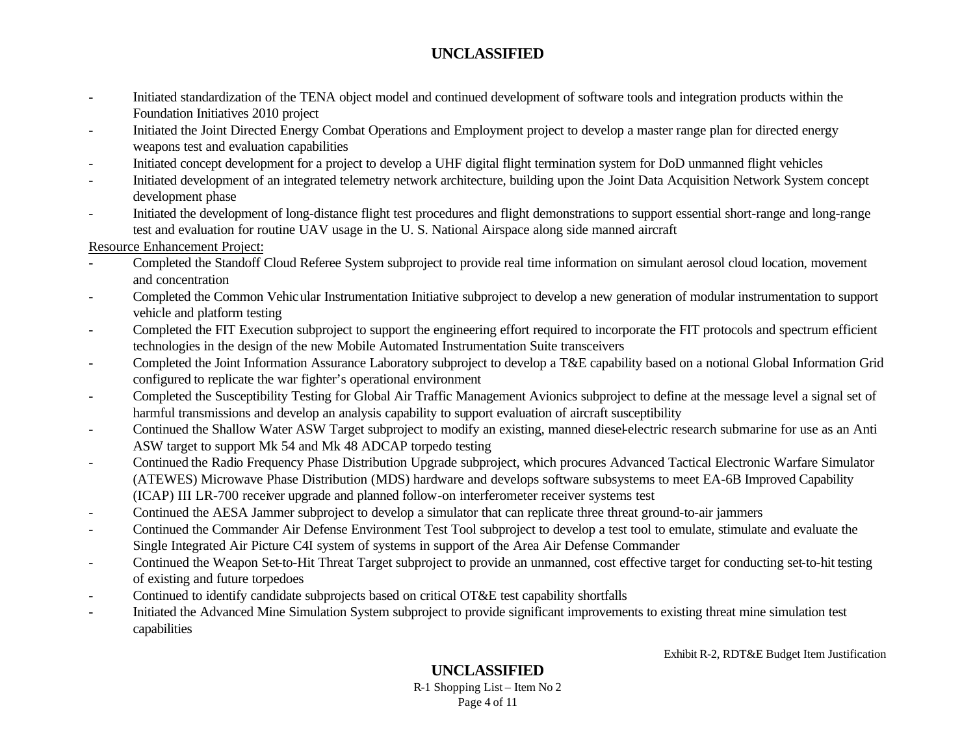- Initiated standardization of the TENA object model and continued development of software tools and integration products within the Foundation Initiatives 2010 project
- Initiated the Joint Directed Energy Combat Operations and Employment project to develop a master range plan for directed energy weapons test and evaluation capabilities
- Initiated concept development for a project to develop a UHF digital flight termination system for DoD unmanned flight vehicles
- Initiated development of an integrated telemetry network architecture, building upon the Joint Data Acquisition Network System concept development phase
- Initiated the development of long-distance flight test procedures and flight demonstrations to support essential short-range and long-range test and evaluation for routine UAV usage in the U. S. National Airspace along side manned aircraft

Resource Enhancement Project:

- Completed the Standoff Cloud Referee System subproject to provide real time information on simulant aerosol cloud location, movement and concentration
- Completed the Common Vehicular Instrumentation Initiative subproject to develop a new generation of modular instrumentation to support vehicle and platform testing
- Completed the FIT Execution subproject to support the engineering effort required to incorporate the FIT protocols and spectrum efficient technologies in the design of the new Mobile Automated Instrumentation Suite transceivers
- Completed the Joint Information Assurance Laboratory subproject to develop a T&E capability based on a notional Global Information Grid configured to replicate the war fighter's operational environment
- Completed the Susceptibility Testing for Global Air Traffic Management Avionics subproject to define at the message level a signal set of harmful transmissions and develop an analysis capability to support evaluation of aircraft susceptibility
- Continued the Shallow Water ASW Target subproject to modify an existing, manned diesel-electric research submarine for use as an Anti ASW target to support Mk 54 and Mk 48 ADCAP torpedo testing
- Continued the Radio Frequency Phase Distribution Upgrade subproject, which procures Advanced Tactical Electronic Warfare Simulator (ATEWES) Microwave Phase Distribution (MDS) hardware and develops software subsystems to meet EA-6B Improved Capability (ICAP) III LR-700 receiver upgrade and planned follow-on interferometer receiver systems test
- Continued the AESA Jammer subproject to develop a simulator that can replicate three threat ground-to-air jammers
- Continued the Commander Air Defense Environment Test Tool subproject to develop a test tool to emulate, stimulate and evaluate the Single Integrated Air Picture C4I system of systems in support of the Area Air Defense Commander
- Continued the Weapon Set-to-Hit Threat Target subproject to provide an unmanned, cost effective target for conducting set-to-hit testing of existing and future torpedoes
- Continued to identify candidate subprojects based on critical OT&E test capability shortfalls
- Initiated the Advanced Mine Simulation System subproject to provide significant improvements to existing threat mine simulation test capabilities

Exhibit R-2, RDT&E Budget Item Justification

# **UNCLASSIFIED**

R-1 Shopping List – Item No 2 Page 4 of 11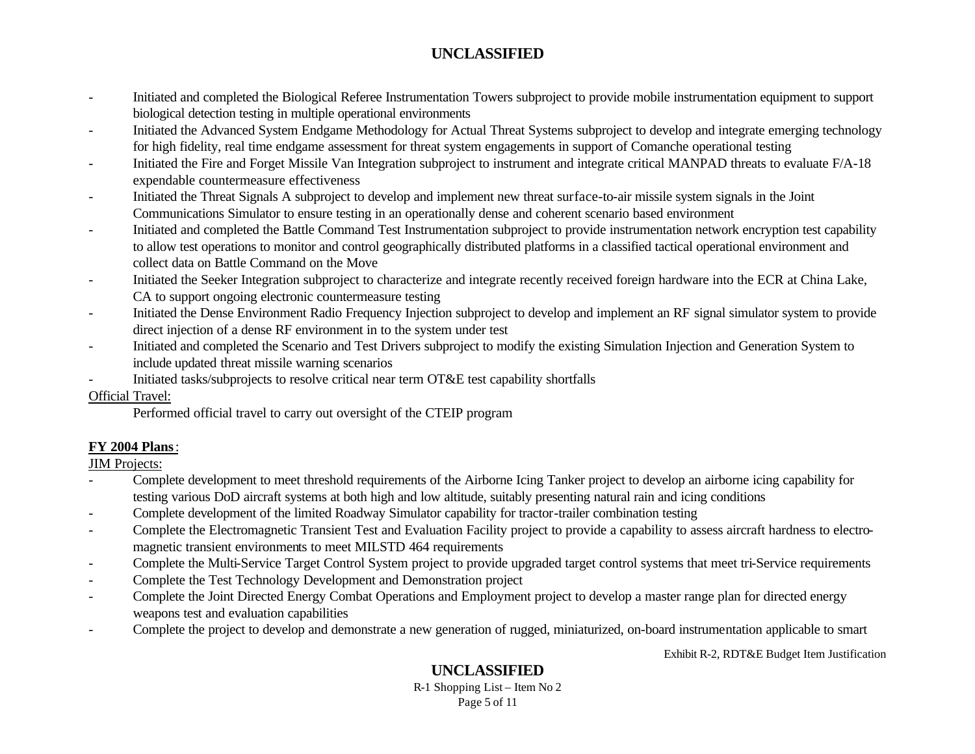- Initiated and completed the Biological Referee Instrumentation Towers subproject to provide mobile instrumentation equipment to support biological detection testing in multiple operational environments
- Initiated the Advanced System Endgame Methodology for Actual Threat Systems subproject to develop and integrate emerging technology for high fidelity, real time endgame assessment for threat system engagements in support of Comanche operational testing
- Initiated the Fire and Forget Missile Van Integration subproject to instrument and integrate critical MANPAD threats to evaluate F/A-18 expendable countermeasure effectiveness
- Initiated the Threat Signals A subproject to develop and implement new threat surface-to-air missile system signals in the Joint Communications Simulator to ensure testing in an operationally dense and coherent scenario based environment
- Initiated and completed the Battle Command Test Instrumentation subproject to provide instrumentation network encryption test capability to allow test operations to monitor and control geographically distributed platforms in a classified tactical operational environment and collect data on Battle Command on the Move
- Initiated the Seeker Integration subproject to characterize and integrate recently received foreign hardware into the ECR at China Lake, CA to support ongoing electronic countermeasure testing
- Initiated the Dense Environment Radio Frequency Injection subproject to develop and implement an RF signal simulator system to provide direct injection of a dense RF environment in to the system under test
- Initiated and completed the Scenario and Test Drivers subproject to modify the existing Simulation Injection and Generation System to include updated threat missile warning scenarios
- Initiated tasks/subprojects to resolve critical near term OT&E test capability shortfalls

### Official Travel:

Performed official travel to carry out oversight of the CTEIP program

# **FY 2004 Plans**:

JIM Projects:

- Complete development to meet threshold requirements of the Airborne Icing Tanker project to develop an airborne icing capability for testing various DoD aircraft systems at both high and low altitude, suitably presenting natural rain and icing conditions
- Complete development of the limited Roadway Simulator capability for tractor-trailer combination testing
- Complete the Electromagnetic Transient Test and Evaluation Facility project to provide a capability to assess aircraft hardness to electromagnetic transient environments to meet MILSTD 464 requirements
- Complete the Multi-Service Target Control System project to provide upgraded target control systems that meet tri-Service requirements
- Complete the Test Technology Development and Demonstration project
- Complete the Joint Directed Energy Combat Operations and Employment project to develop a master range plan for directed energy weapons test and evaluation capabilities
- Complete the project to develop and demonstrate a new generation of rugged, miniaturized, on-board instrumentation applicable to smart

Exhibit R-2, RDT&E Budget Item Justification

# **UNCLASSIFIED**

R-1 Shopping List – Item No 2 Page 5 of 11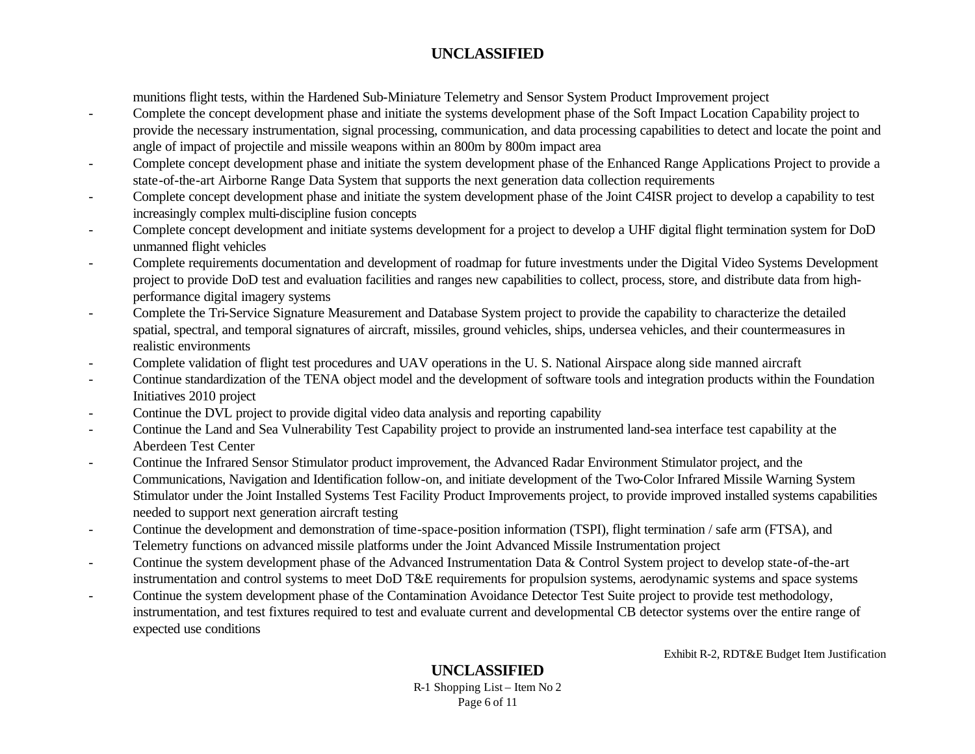munitions flight tests, within the Hardened Sub-Miniature Telemetry and Sensor System Product Improvement project

- Complete the concept development phase and initiate the systems development phase of the Soft Impact Location Capability project to provide the necessary instrumentation, signal processing, communication, and data processing capabilities to detect and locate the point and angle of impact of projectile and missile weapons within an 800m by 800m impact area
- Complete concept development phase and initiate the system development phase of the Enhanced Range Applications Project to provide a state-of-the-art Airborne Range Data System that supports the next generation data collection requirements
- Complete concept development phase and initiate the system development phase of the Joint C4ISR project to develop a capability to test increasingly complex multi-discipline fusion concepts
- Complete concept development and initiate systems development for a project to develop a UHF digital flight termination system for DoD unmanned flight vehicles
- Complete requirements documentation and development of roadmap for future investments under the Digital Video Systems Development project to provide DoD test and evaluation facilities and ranges new capabilities to collect, process, store, and distribute data from highperformance digital imagery systems
- Complete the Tri-Service Signature Measurement and Database System project to provide the capability to characterize the detailed spatial, spectral, and temporal signatures of aircraft, missiles, ground vehicles, ships, undersea vehicles, and their countermeasures in realistic environments
- Complete validation of flight test procedures and UAV operations in the U. S. National Airspace along side manned aircraft
- Continue standardization of the TENA object model and the development of software tools and integration products within the Foundation Initiatives 2010 project
- Continue the DVL project to provide digital video data analysis and reporting capability
- Continue the Land and Sea Vulnerability Test Capability project to provide an instrumented land-sea interface test capability at the Aberdeen Test Center
- Continue the Infrared Sensor Stimulator product improvement, the Advanced Radar Environment Stimulator project, and the Communications, Navigation and Identification follow-on, and initiate development of the Two-Color Infrared Missile Warning System Stimulator under the Joint Installed Systems Test Facility Product Improvements project, to provide improved installed systems capabilities needed to support next generation aircraft testing
- Continue the development and demonstration of time-space-position information (TSPI), flight termination / safe arm (FTSA), and Telemetry functions on advanced missile platforms under the Joint Advanced Missile Instrumentation project
- Continue the system development phase of the Advanced Instrumentation Data & Control System project to develop state-of-the-art instrumentation and control systems to meet DoD T&E requirements for propulsion systems, aerodynamic systems and space systems
- Continue the system development phase of the Contamination Avoidance Detector Test Suite project to provide test methodology, instrumentation, and test fixtures required to test and evaluate current and developmental CB detector systems over the entire range of expected use conditions

Exhibit R-2, RDT&E Budget Item Justification

#### **UNCLASSIFIED** R-1 Shopping List – Item No 2 Page 6 of 11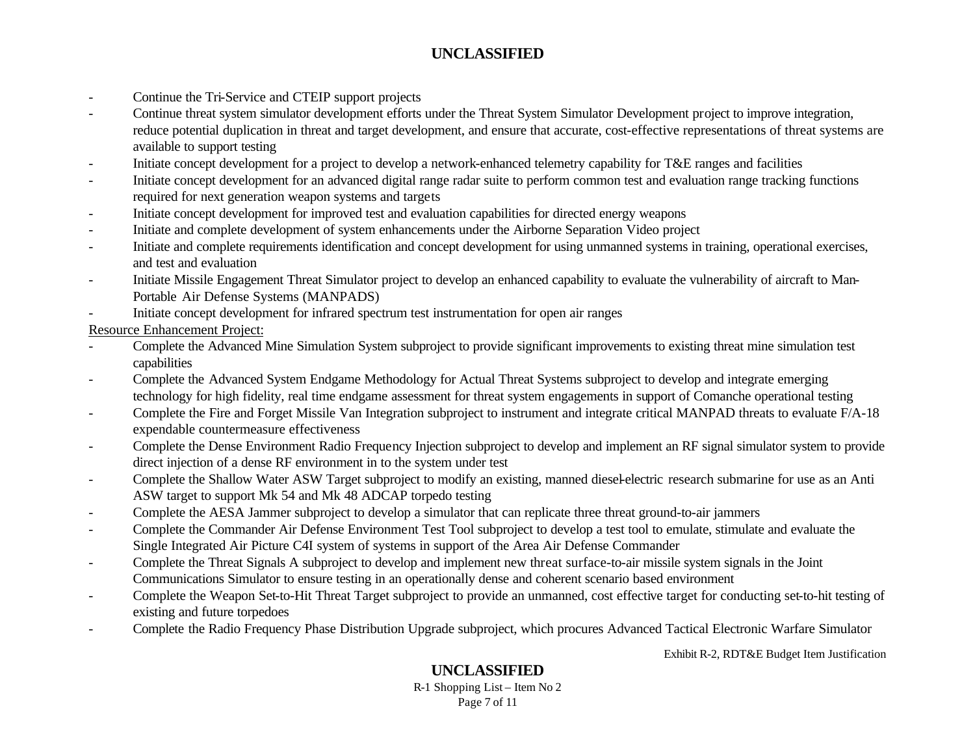- Continue the Tri-Service and CTEIP support projects
- Continue threat system simulator development efforts under the Threat System Simulator Development project to improve integration, reduce potential duplication in threat and target development, and ensure that accurate, cost-effective representations of threat systems are available to support testing
- Initiate concept development for a project to develop a network-enhanced telemetry capability for T&E ranges and facilities
- Initiate concept development for an advanced digital range radar suite to perform common test and evaluation range tracking functions required for next generation weapon systems and targets
- Initiate concept development for improved test and evaluation capabilities for directed energy weapons
- Initiate and complete development of system enhancements under the Airborne Separation Video project
- Initiate and complete requirements identification and concept development for using unmanned systems in training, operational exercises, and test and evaluation
- Initiate Missile Engagement Threat Simulator project to develop an enhanced capability to evaluate the vulnerability of aircraft to Man-Portable Air Defense Systems (MANPADS)
- Initiate concept development for infrared spectrum test instrumentation for open air ranges

Resource Enhancement Project:

- Complete the Advanced Mine Simulation System subproject to provide significant improvements to existing threat mine simulation test capabilities
- Complete the Advanced System Endgame Methodology for Actual Threat Systems subproject to develop and integrate emerging technology for high fidelity, real time endgame assessment for threat system engagements in support of Comanche operational testing
- Complete the Fire and Forget Missile Van Integration subproject to instrument and integrate critical MANPAD threats to evaluate F/A-18 expendable countermeasure effectiveness
- Complete the Dense Environment Radio Frequency Injection subproject to develop and implement an RF signal simulator system to provide direct injection of a dense RF environment in to the system under test
- Complete the Shallow Water ASW Target subproject to modify an existing, manned diesel-electric research submarine for use as an Anti ASW target to support Mk 54 and Mk 48 ADCAP torpedo testing
- Complete the AESA Jammer subproject to develop a simulator that can replicate three threat ground-to-air jammers
- Complete the Commander Air Defense Environment Test Tool subproject to develop a test tool to emulate, stimulate and evaluate the Single Integrated Air Picture C4I system of systems in support of the Area Air Defense Commander
- Complete the Threat Signals A subproject to develop and implement new threat surface-to-air missile system signals in the Joint Communications Simulator to ensure testing in an operationally dense and coherent scenario based environment
- Complete the Weapon Set-to-Hit Threat Target subproject to provide an unmanned, cost effective target for conducting set-to-hit testing of existing and future torpedoes
- Complete the Radio Frequency Phase Distribution Upgrade subproject, which procures Advanced Tactical Electronic Warfare Simulator

Exhibit R-2, RDT&E Budget Item Justification

# **UNCLASSIFIED**

R-1 Shopping List – Item No 2 Page 7 of 11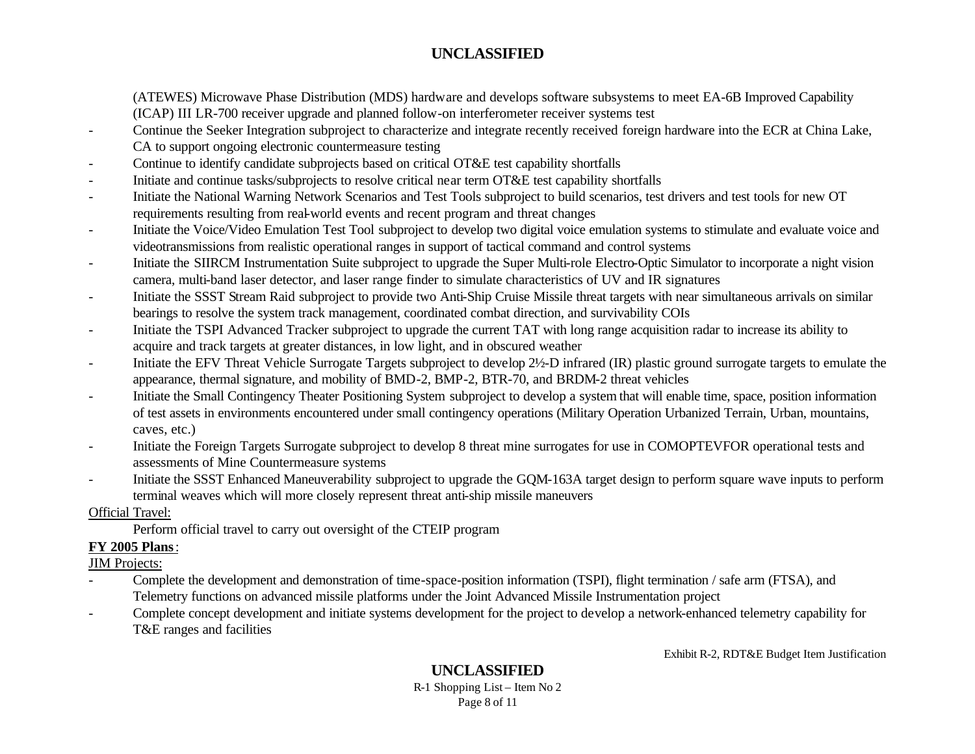(ATEWES) Microwave Phase Distribution (MDS) hardware and develops software subsystems to meet EA-6B Improved Capability (ICAP) III LR-700 receiver upgrade and planned follow-on interferometer receiver systems test

- Continue the Seeker Integration subproject to characterize and integrate recently received foreign hardware into the ECR at China Lake, CA to support ongoing electronic countermeasure testing
- Continue to identify candidate subprojects based on critical OT&E test capability shortfalls
- Initiate and continue tasks/subprojects to resolve critical near term OT&E test capability shortfalls
- Initiate the National Warning Network Scenarios and Test Tools subproject to build scenarios, test drivers and test tools for new OT requirements resulting from real-world events and recent program and threat changes
- Initiate the Voice/Video Emulation Test Tool subproject to develop two digital voice emulation systems to stimulate and evaluate voice and videotransmissions from realistic operational ranges in support of tactical command and control systems
- Initiate the SIIRCM Instrumentation Suite subproject to upgrade the Super Multi-role Electro-Optic Simulator to incorporate a night vision camera, multi-band laser detector, and laser range finder to simulate characteristics of UV and IR signatures
- Initiate the SSST Stream Raid subproject to provide two Anti-Ship Cruise Missile threat targets with near simultaneous arrivals on similar bearings to resolve the system track management, coordinated combat direction, and survivability COIs
- Initiate the TSPI Advanced Tracker subproject to upgrade the current TAT with long range acquisition radar to increase its ability to acquire and track targets at greater distances, in low light, and in obscured weather
- Initiate the EFV Threat Vehicle Surrogate Targets subproject to develop 2½-D infrared (IR) plastic ground surrogate targets to emulate the appearance, thermal signature, and mobility of BMD-2, BMP-2, BTR-70, and BRDM-2 threat vehicles
- Initiate the Small Contingency Theater Positioning System subproject to develop a system that will enable time, space, position information of test assets in environments encountered under small contingency operations (Military Operation Urbanized Terrain, Urban, mountains, caves, etc.)
- Initiate the Foreign Targets Surrogate subproject to develop 8 threat mine surrogates for use in COMOPTEVFOR operational tests and assessments of Mine Countermeasure systems
- Initiate the SSST Enhanced Maneuverability subproject to upgrade the GQM-163A target design to perform square wave inputs to perform terminal weaves which will more closely represent threat anti-ship missile maneuvers

### Official Travel:

Perform official travel to carry out oversight of the CTEIP program

# **FY 2005 Plans**:

# JIM Projects:

- Complete the development and demonstration of time-space-position information (TSPI), flight termination / safe arm (FTSA), and Telemetry functions on advanced missile platforms under the Joint Advanced Missile Instrumentation project
- Complete concept development and initiate systems development for the project to develop a network-enhanced telemetry capability for T&E ranges and facilities

Exhibit R-2, RDT&E Budget Item Justification

# **UNCLASSIFIED**

R-1 Shopping List – Item No 2 Page 8 of 11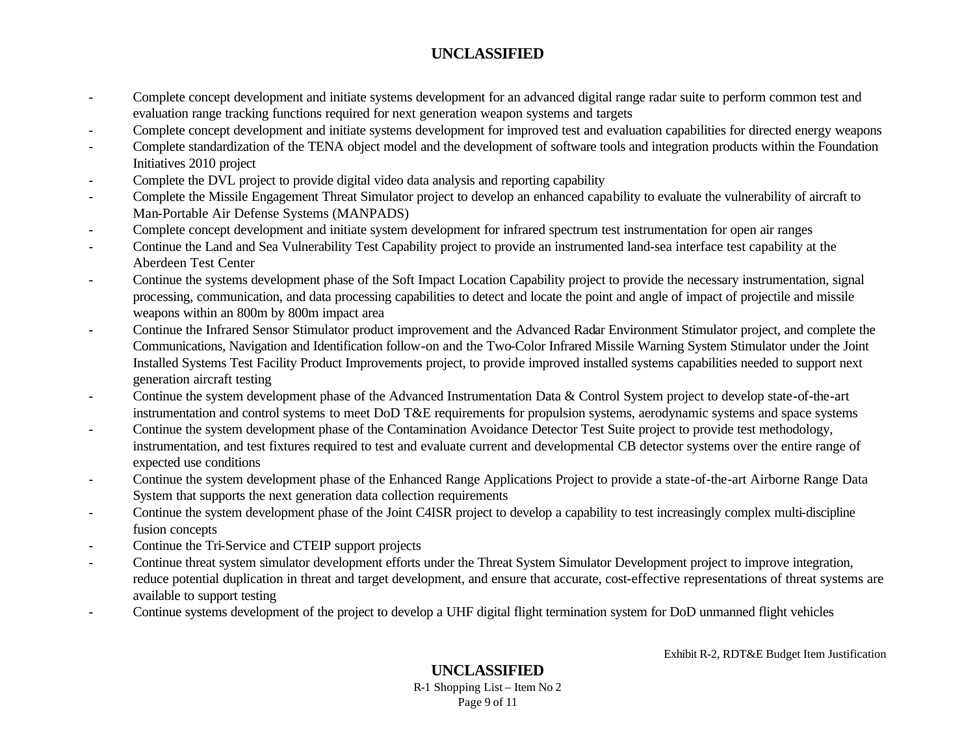- Complete concept development and initiate systems development for an advanced digital range radar suite to perform common test and evaluation range tracking functions required for next generation weapon systems and targets
- Complete concept development and initiate systems development for improved test and evaluation capabilities for directed energy weapons
- Complete standardization of the TENA object model and the development of software tools and integration products within the Foundation Initiatives 2010 project
- Complete the DVL project to provide digital video data analysis and reporting capability
- Complete the Missile Engagement Threat Simulator project to develop an enhanced capability to evaluate the vulnerability of aircraft to Man-Portable Air Defense Systems (MANPADS)
- Complete concept development and initiate system development for infrared spectrum test instrumentation for open air ranges
- Continue the Land and Sea Vulnerability Test Capability project to provide an instrumented land-sea interface test capability at the Aberdeen Test Center
- Continue the systems development phase of the Soft Impact Location Capability project to provide the necessary instrumentation, signal processing, communication, and data processing capabilities to detect and locate the point and angle of impact of projectile and missile weapons within an 800m by 800m impact area
- Continue the Infrared Sensor Stimulator product improvement and the Advanced Radar Environment Stimulator project, and complete the Communications, Navigation and Identification follow-on and the Two-Color Infrared Missile Warning System Stimulator under the Joint Installed Systems Test Facility Product Improvements project, to provide improved installed systems capabilities needed to support next generation aircraft testing
- Continue the system development phase of the Advanced Instrumentation Data & Control System project to develop state-of-the-art instrumentation and control systems to meet DoD T&E requirements for propulsion systems, aerodynamic systems and space systems
- Continue the system development phase of the Contamination Avoidance Detector Test Suite project to provide test methodology, instrumentation, and test fixtures required to test and evaluate current and developmental CB detector systems over the entire range of expected use conditions
- Continue the system development phase of the Enhanced Range Applications Project to provide a state-of-the-art Airborne Range Data System that supports the next generation data collection requirements
- Continue the system development phase of the Joint C4ISR project to develop a capability to test increasingly complex multi-discipline fusion concepts
- Continue the Tri-Service and CTEIP support projects
- Continue threat system simulator development efforts under the Threat System Simulator Development project to improve integration, reduce potential duplication in threat and target development, and ensure that accurate, cost-effective representations of threat systems are available to support testing
- Continue systems development of the project to develop a UHF digital flight termination system for DoD unmanned flight vehicles

Exhibit R-2, RDT&E Budget Item Justification

**UNCLASSIFIED** R-1 Shopping List – Item No 2 Page 9 of 11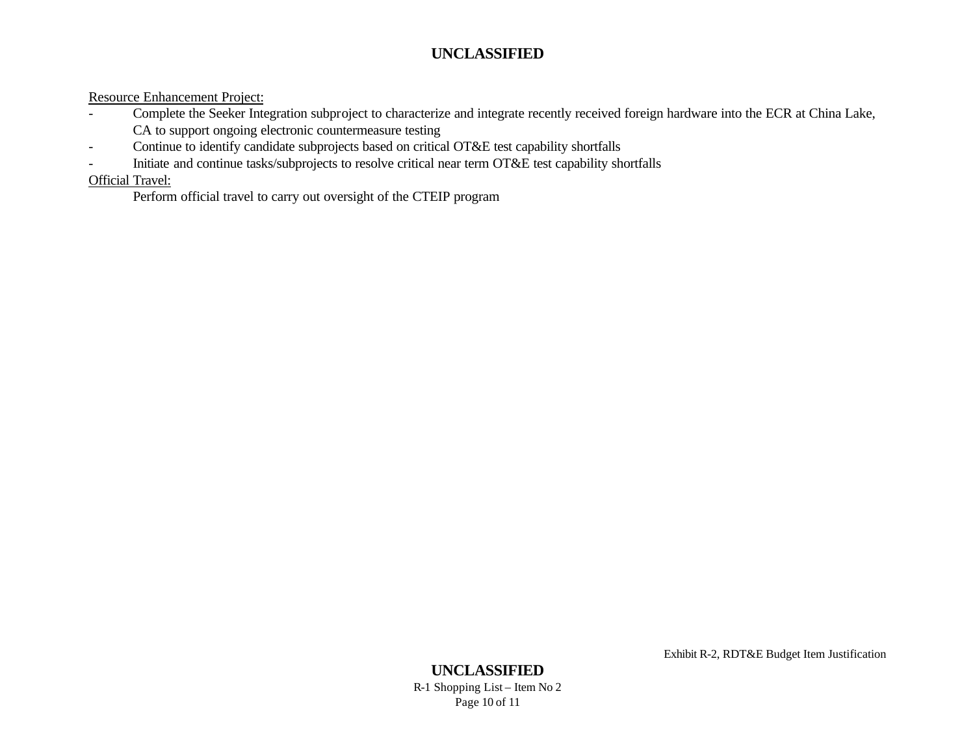Resource Enhancement Project:

- Complete the Seeker Integration subproject to characterize and integrate recently received foreign hardware into the ECR at China Lake, CA to support ongoing electronic countermeasure testing
- Continue to identify candidate subprojects based on critical OT&E test capability shortfalls
- Initiate and continue tasks/subprojects to resolve critical near term OT&E test capability shortfalls

# Official Travel:

Perform official travel to carry out oversight of the CTEIP program

Exhibit R-2, RDT&E Budget Item Justification

#### **UNCLASSIFIED** R-1 Shopping List – Item No 2 Page 10 of 11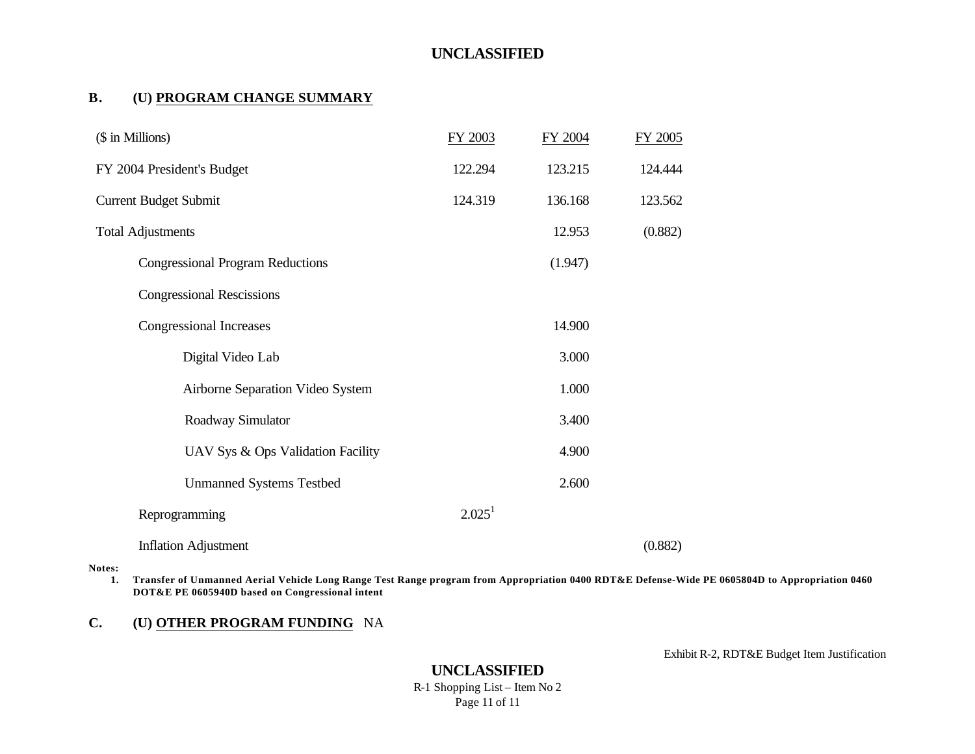#### **B. (U) PROGRAM CHANGE SUMMARY**

| (\$ in Millions)                        | FY 2003            | FY 2004 | FY 2005 |
|-----------------------------------------|--------------------|---------|---------|
| FY 2004 President's Budget              | 122.294            | 123.215 | 124.444 |
| <b>Current Budget Submit</b>            | 124.319            | 136.168 | 123.562 |
| <b>Total Adjustments</b>                |                    | 12.953  | (0.882) |
| <b>Congressional Program Reductions</b> |                    | (1.947) |         |
| <b>Congressional Rescissions</b>        |                    |         |         |
| <b>Congressional Increases</b>          |                    | 14.900  |         |
| Digital Video Lab                       |                    | 3.000   |         |
| Airborne Separation Video System        |                    | 1.000   |         |
| Roadway Simulator                       |                    | 3.400   |         |
| UAV Sys & Ops Validation Facility       |                    | 4.900   |         |
| <b>Unmanned Systems Testbed</b>         |                    | 2.600   |         |
| Reprogramming                           | 2.025 <sup>1</sup> |         |         |
| <b>Inflation Adjustment</b>             |                    |         | (0.882) |

#### **Notes:**

**1. Transfer of Unmanned Aerial Vehicle Long Range Test Range program from Appropriation 0400 RDT&E Defense-Wide PE 0605804D to Appropriation 0460 DOT&E PE 0605940D based on Congressional intent**

#### **C. (U) OTHER PROGRAM FUNDING** NA

Exhibit R-2, RDT&E Budget Item Justification

# **UNCLASSIFIED**

R-1 Shopping List – Item No 2 Page 11 of 11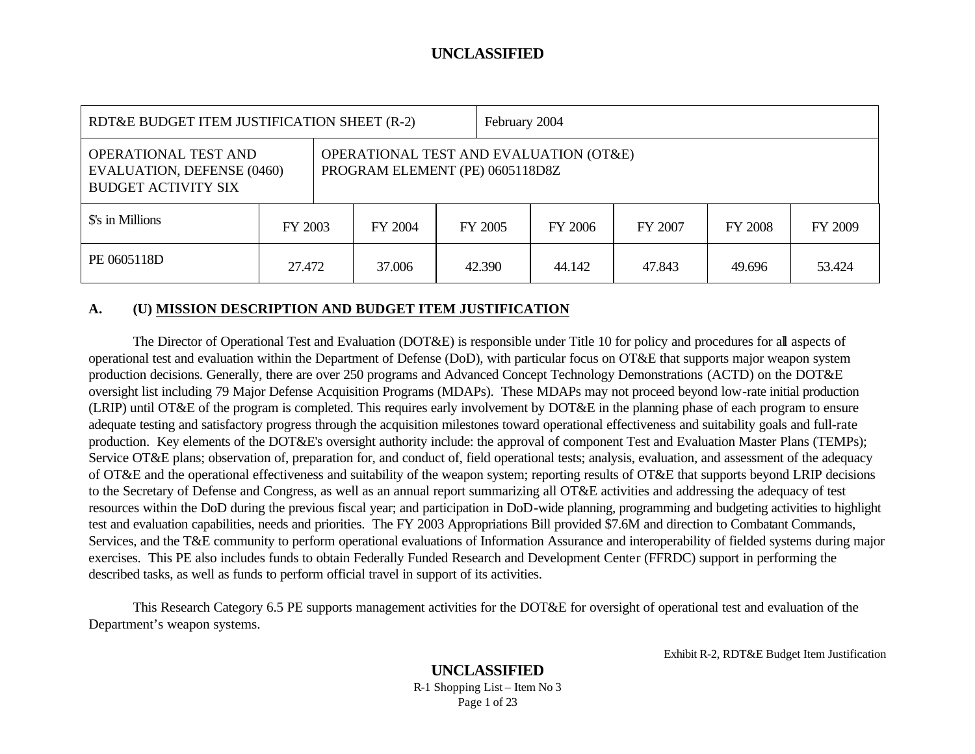| RDT&E BUDGET ITEM JUSTIFICATION SHEET (R-2)                                             |         |  |                                                                           |         | February 2004 |         |         |                |         |
|-----------------------------------------------------------------------------------------|---------|--|---------------------------------------------------------------------------|---------|---------------|---------|---------|----------------|---------|
| OPERATIONAL TEST AND<br><b>EVALUATION, DEFENSE (0460)</b><br><b>BUDGET ACTIVITY SIX</b> |         |  | OPERATIONAL TEST AND EVALUATION (OT&E)<br>PROGRAM ELEMENT (PE) 0605118D8Z |         |               |         |         |                |         |
| \$'s in Millions                                                                        | FY 2003 |  | FY 2004                                                                   | FY 2005 |               | FY 2006 | FY 2007 | <b>FY 2008</b> | FY 2009 |
| PE 0605118D                                                                             | 27.472  |  | 37.006                                                                    | 42.390  |               | 44.142  | 47.843  | 49.696         | 53.424  |

#### **A. (U) MISSION DESCRIPTION AND BUDGET ITEM JUSTIFICATION**

The Director of Operational Test and Evaluation (DOT&E) is responsible under Title 10 for policy and procedures for all aspects of operational test and evaluation within the Department of Defense (DoD), with particular focus on OT&E that supports major weapon system production decisions. Generally, there are over 250 programs and Advanced Concept Technology Demonstrations (ACTD) on the DOT&E oversight list including 79 Major Defense Acquisition Programs (MDAPs). These MDAPs may not proceed beyond low-rate initial production (LRIP) until OT&E of the program is completed. This requires early involvement by DOT&E in the planning phase of each program to ensure adequate testing and satisfactory progress through the acquisition milestones toward operational effectiveness and suitability goals and full-rate production. Key elements of the DOT&E's oversight authority include: the approval of component Test and Evaluation Master Plans (TEMPs); Service OT&E plans; observation of, preparation for, and conduct of, field operational tests; analysis, evaluation, and assessment of the adequacy of OT&E and the operational effectiveness and suitability of the weapon system; reporting results of OT&E that supports beyond LRIP decisions to the Secretary of Defense and Congress, as well as an annual report summarizing all OT&E activities and addressing the adequacy of test resources within the DoD during the previous fiscal year; and participation in DoD-wide planning, programming and budgeting activities to highlight test and evaluation capabilities, needs and priorities. The FY 2003 Appropriations Bill provided \$7.6M and direction to Combatant Commands, Services, and the T&E community to perform operational evaluations of Information Assurance and interoperability of fielded systems during major exercises. This PE also includes funds to obtain Federally Funded Research and Development Center (FFRDC) support in performing the described tasks, as well as funds to perform official travel in support of its activities.

This Research Category 6.5 PE supports management activities for the DOT&E for oversight of operational test and evaluation of the Department's weapon systems.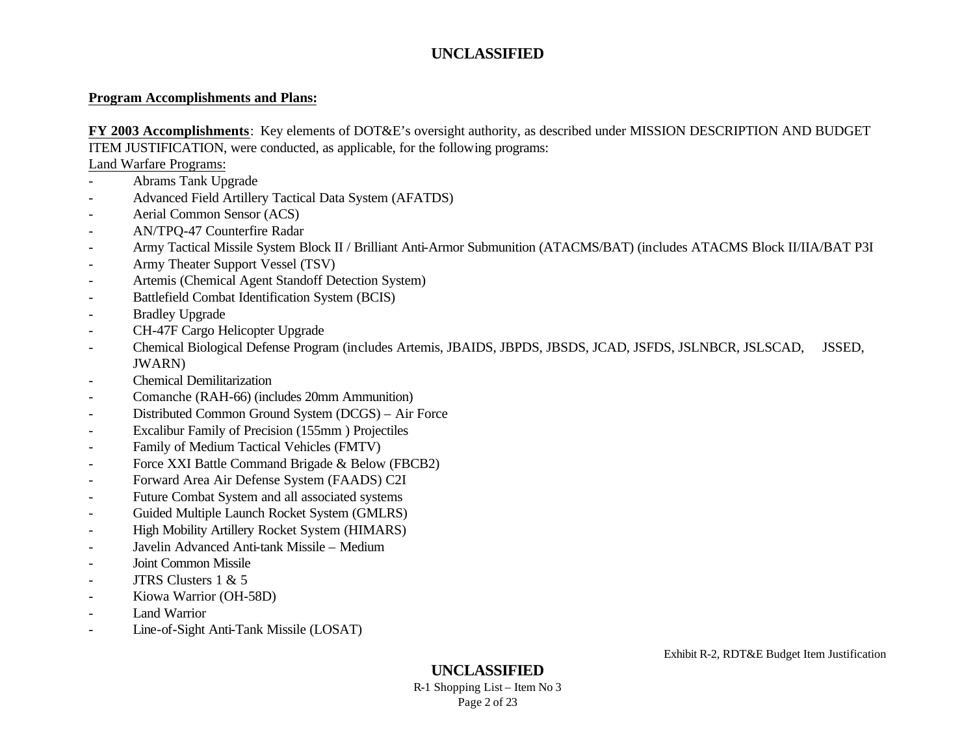#### **Program Accomplishments and Plans:**

**FY 2003 Accomplishments**:Key elements of DOT&E's oversight authority, as described under MISSION DESCRIPTION AND BUDGET ITEM JUSTIFICATION, were conducted, as applicable, for the following programs:

Land Warfare Programs:

- Abrams Tank Upgrade
- Advanced Field Artillery Tactical Data System (AFATDS)
- Aerial Common Sensor (ACS)
- AN/TPQ-47 Counterfire Radar
- Army Tactical Missile System Block II / Brilliant Anti-Armor Submunition (ATACMS/BAT) (includes ATACMS Block II/IIA/BAT P3I
- Army Theater Support Vessel (TSV)
- Artemis (Chemical Agent Standoff Detection System)
- Battlefield Combat Identification System (BCIS)
- Bradley Upgrade
- CH-47F Cargo Helicopter Upgrade
- Chemical Biological Defense Program (includes Artemis, JBAIDS, JBPDS, JBSDS, JCAD, JSFDS, JSLNBCR, JSLSCAD, JSSED, JWARN)
- Chemical Demilitarization
- Comanche (RAH-66) (includes 20mm Ammunition)
- Distributed Common Ground System (DCGS) Air Force
- Excalibur Family of Precision (155mm ) Projectiles
- Family of Medium Tactical Vehicles (FMTV)
- Force XXI Battle Command Brigade & Below (FBCB2)
- Forward Area Air Defense System (FAADS) C2I
- Future Combat System and all associated systems
- Guided Multiple Launch Rocket System (GMLRS)
- High Mobility Artillery Rocket System (HIMARS)
- Javelin Advanced Anti-tank Missile Medium
- Joint Common Missile
- JTRS Clusters  $1 \& 5$
- Kiowa Warrior (OH-58D)
- Land Warrior
- Line-of-Sight Anti-Tank Missile (LOSAT)

**UNCLASSIFIED**

R-1 Shopping List – Item No 3 Page 2 of 23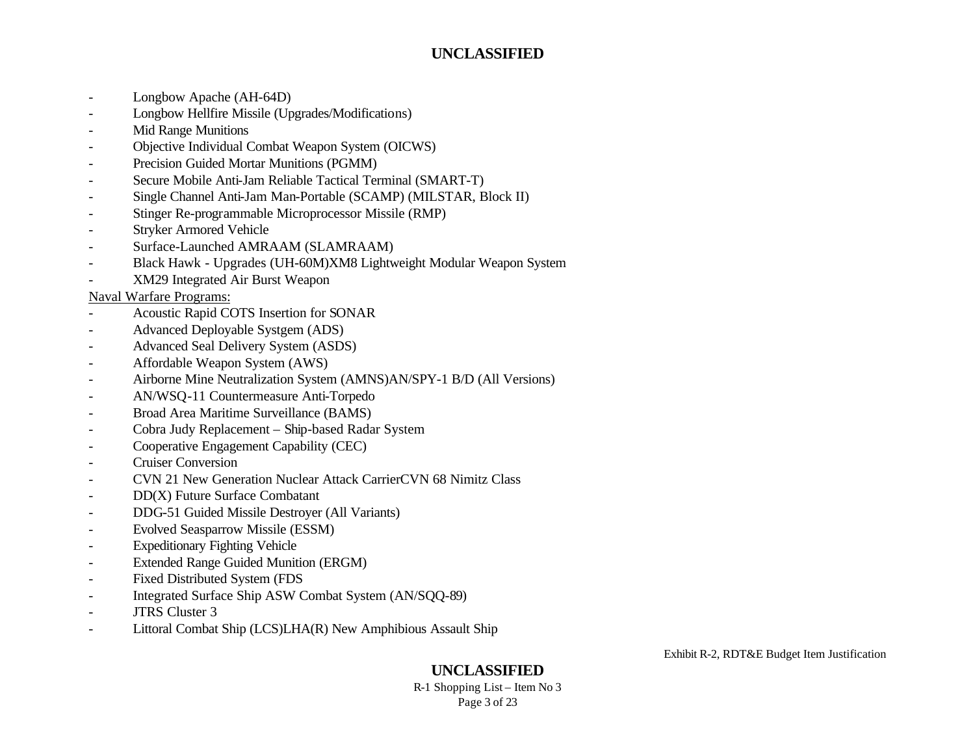- Longbow Apache (AH-64D)
- Longbow Hellfire Missile (Upgrades/Modifications)
- Mid Range Munitions
- Objective Individual Combat Weapon System (OICWS)
- Precision Guided Mortar Munitions (PGMM)
- Secure Mobile Anti-Jam Reliable Tactical Terminal (SMART-T)
- Single Channel Anti-Jam Man-Portable (SCAMP) (MILSTAR, Block II)
- Stinger Re-programmable Microprocessor Missile (RMP)
- Stryker Armored Vehicle
- Surface-Launched AMRAAM (SLAMRAAM)
- Black Hawk Upgrades (UH-60M)XM8 Lightweight Modular Weapon System
- XM29 Integrated Air Burst Weapon

#### Naval Warfare Programs:

- Acoustic Rapid COTS Insertion for SONAR
- Advanced Deployable Systgem (ADS)
- Advanced Seal Delivery System (ASDS)
- Affordable Weapon System (AWS)
- Airborne Mine Neutralization System (AMNS)AN/SPY-1 B/D (All Versions)
- AN/WSQ-11 Countermeasure Anti-Torpedo
- Broad Area Maritime Surveillance (BAMS)
- Cobra Judy Replacement Ship-based Radar System
- Cooperative Engagement Capability (CEC)
- **Cruiser Conversion**
- CVN 21 New Generation Nuclear Attack CarrierCVN 68 Nimitz Class
- DD(X) Future Surface Combatant
- DDG-51 Guided Missile Destroyer (All Variants)
- Evolved Seasparrow Missile (ESSM)
- **Expeditionary Fighting Vehicle**
- Extended Range Guided Munition (ERGM)
- Fixed Distributed System (FDS
- Integrated Surface Ship ASW Combat System (AN/SQQ-89)
- JTRS Cluster 3
- Littoral Combat Ship (LCS)LHA(R) New Amphibious Assault Ship

Exhibit R-2, RDT&E Budget Item Justification

## **UNCLASSIFIED**

R-1 Shopping List – Item No 3 Page 3 of 23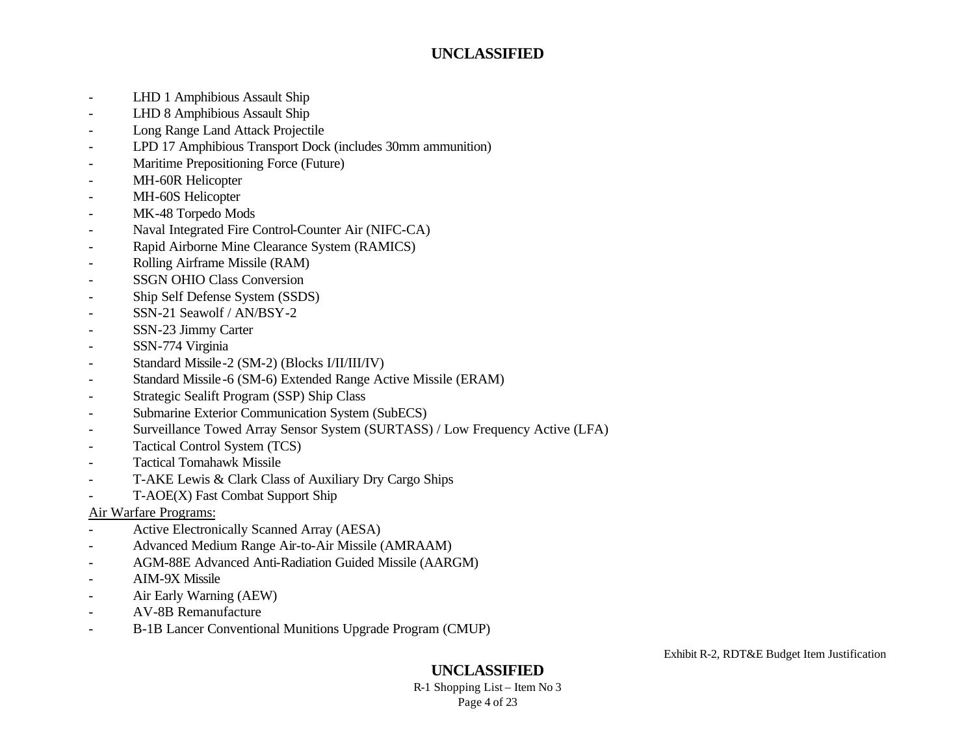- LHD 1 Amphibious Assault Ship
- LHD 8 Amphibious Assault Ship
- Long Range Land Attack Projectile
- LPD 17 Amphibious Transport Dock (includes 30mm ammunition)
- Maritime Prepositioning Force (Future)
- MH-60R Helicopter
- MH-60S Helicopter
- MK-48 Torpedo Mods
- Naval Integrated Fire Control-Counter Air (NIFC-CA)
- Rapid Airborne Mine Clearance System (RAMICS)
- Rolling Airframe Missile (RAM)
- SSGN OHIO Class Conversion
- Ship Self Defense System (SSDS)
- SSN-21 Seawolf / AN/BSY-2
- SSN-23 Jimmy Carter
- SSN-774 Virginia
- Standard Missile-2 (SM-2) (Blocks I/II/III/IV)
- Standard Missile-6 (SM-6) Extended Range Active Missile (ERAM)
- Strategic Sealift Program (SSP) Ship Class
- Submarine Exterior Communication System (SubECS)
- Surveillance Towed Array Sensor System (SURTASS) / Low Frequency Active (LFA)
- Tactical Control System (TCS)
- Tactical Tomahawk Missile
- T-AKE Lewis & Clark Class of Auxiliary Dry Cargo Ships
- T-AOE(X) Fast Combat Support Ship

#### Air Warfare Programs:

- Active Electronically Scanned Array (AESA)
- Advanced Medium Range Air-to-Air Missile (AMRAAM)
- AGM-88E Advanced Anti-Radiation Guided Missile (AARGM)
- AIM-9X Missile
- Air Early Warning (AEW)
- AV-8B Remanufacture
- B-1B Lancer Conventional Munitions Upgrade Program (CMUP)

Exhibit R-2, RDT&E Budget Item Justification

## **UNCLASSIFIED**

R-1 Shopping List – Item No 3 Page 4 of 23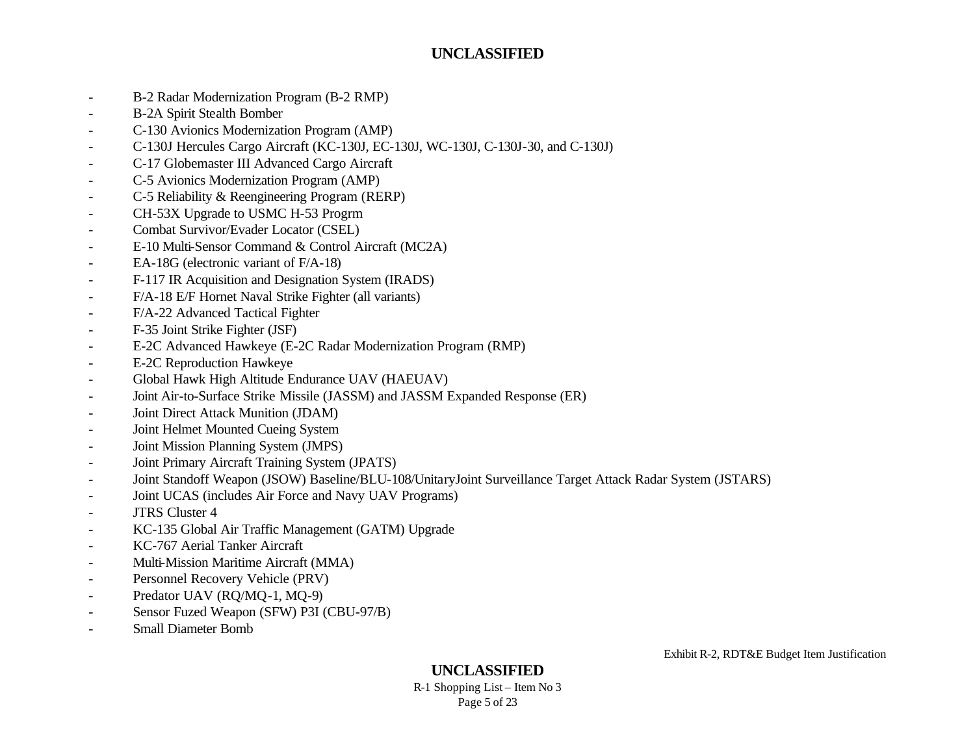- B-2 Radar Modernization Program (B-2 RMP)
- B-2A Spirit Stealth Bomber
- C-130 Avionics Modernization Program (AMP)
- C-130J Hercules Cargo Aircraft (KC-130J, EC-130J, WC-130J, C-130J-30, and C-130J)
- C-17 Globemaster III Advanced Cargo Aircraft
- C-5 Avionics Modernization Program (AMP)
- C-5 Reliability & Reengineering Program (RERP)
- CH-53X Upgrade to USMC H-53 Progrm
- Combat Survivor/Evader Locator (CSEL)
- E-10 Multi-Sensor Command & Control Aircraft (MC2A)
- EA-18G (electronic variant of F/A-18)
- F-117 IR Acquisition and Designation System (IRADS)
- F/A-18 E/F Hornet Naval Strike Fighter (all variants)
- F/A-22 Advanced Tactical Fighter
- F-35 Joint Strike Fighter (JSF)
- E-2C Advanced Hawkeye (E-2C Radar Modernization Program (RMP)
- E-2C Reproduction Hawkeye
- Global Hawk High Altitude Endurance UAV (HAEUAV)
- Joint Air-to-Surface Strike Missile (JASSM) and JASSM Expanded Response (ER)
- Joint Direct Attack Munition (JDAM)
- Joint Helmet Mounted Cueing System
- Joint Mission Planning System (JMPS)
- Joint Primary Aircraft Training System (JPATS)
- Joint Standoff Weapon (JSOW) Baseline/BLU-108/UnitaryJoint Surveillance Target Attack Radar System (JSTARS)
- Joint UCAS (includes Air Force and Navy UAV Programs)
- JTRS Cluster 4
- KC-135 Global Air Traffic Management (GATM) Upgrade
- KC-767 Aerial Tanker Aircraft
- Multi-Mission Maritime Aircraft (MMA)
- Personnel Recovery Vehicle (PRV)
- Predator UAV (RQ/MQ-1, MQ-9)
- Sensor Fuzed Weapon (SFW) P3I (CBU-97/B)
- Small Diameter Bomb

**UNCLASSIFIED**

R-1 Shopping List – Item No 3 Page 5 of 23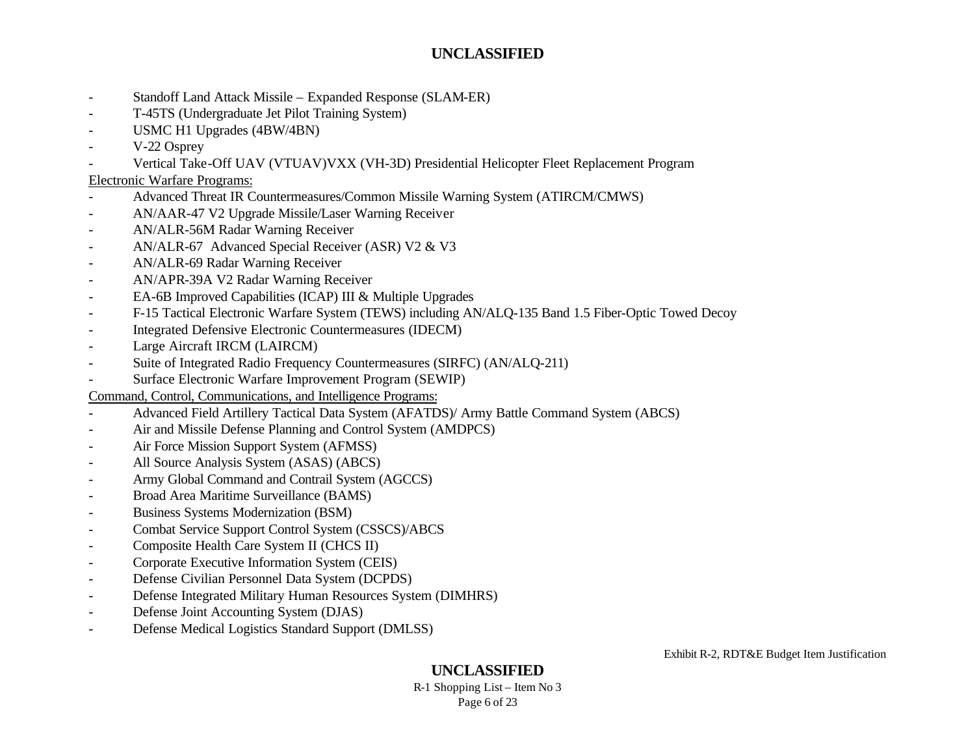- Standoff Land Attack Missile Expanded Response (SLAM-ER)
- T-45TS (Undergraduate Jet Pilot Training System)
- USMC H1 Upgrades (4BW/4BN)
- V-22 Osprey
- Vertical Take-Off UAV (VTUAV)VXX (VH-3D) Presidential Helicopter Fleet Replacement Program

### Electronic Warfare Programs:

- Advanced Threat IR Countermeasures/Common Missile Warning System (ATIRCM/CMWS)
- AN/AAR-47 V2 Upgrade Missile/Laser Warning Receiver
- AN/ALR-56M Radar Warning Receiver
- AN/ALR-67 Advanced Special Receiver (ASR) V2 & V3
- AN/ALR-69 Radar Warning Receiver
- AN/APR-39A V2 Radar Warning Receiver
- EA-6B Improved Capabilities (ICAP) III & Multiple Upgrades
- F-15 Tactical Electronic Warfare System (TEWS) including AN/ALQ-135 Band 1.5 Fiber-Optic Towed Decoy
- Integrated Defensive Electronic Countermeasures (IDECM)
- Large Aircraft IRCM (LAIRCM)
- Suite of Integrated Radio Frequency Countermeasures (SIRFC) (AN/ALQ-211)
- Surface Electronic Warfare Improvement Program (SEWIP)

Command, Control, Communications, and Intelligence Programs:

- Advanced Field Artillery Tactical Data System (AFATDS)/ Army Battle Command System (ABCS)
- Air and Missile Defense Planning and Control System (AMDPCS)
- Air Force Mission Support System (AFMSS)
- All Source Analysis System (ASAS) (ABCS)
- Army Global Command and Contrail System (AGCCS)
- Broad Area Maritime Surveillance (BAMS)
- Business Systems Modernization (BSM)
- Combat Service Support Control System (CSSCS)/ABCS
- Composite Health Care System II (CHCS II)
- Corporate Executive Information System (CEIS)
- Defense Civilian Personnel Data System (DCPDS)
- Defense Integrated Military Human Resources System (DIMHRS)
- Defense Joint Accounting System (DJAS)
- Defense Medical Logistics Standard Support (DMLSS)

Exhibit R-2, RDT&E Budget Item Justification

# **UNCLASSIFIED**

R-1 Shopping List – Item No 3 Page 6 of 23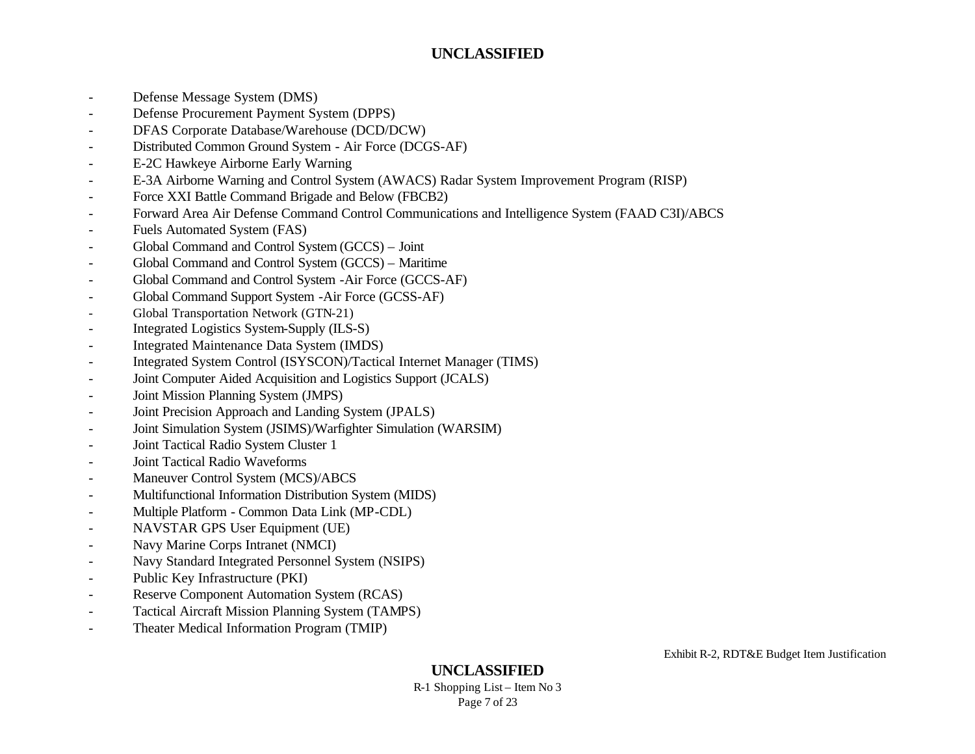- Defense Message System (DMS)
- Defense Procurement Payment System (DPPS)
- DFAS Corporate Database/Warehouse (DCD/DCW)
- Distributed Common Ground System Air Force (DCGS-AF)
- E-2C Hawkeye Airborne Early Warning
- E-3A Airborne Warning and Control System (AWACS) Radar System Improvement Program (RISP)
- Force XXI Battle Command Brigade and Below (FBCB2)
- Forward Area Air Defense Command Control Communications and Intelligence System (FAAD C3I)/ABCS
- Fuels Automated System (FAS)
- Global Command and Control System (GCCS) Joint
- Global Command and Control System (GCCS) Maritime
- Global Command and Control System -Air Force (GCCS-AF)
- Global Command Support System -Air Force (GCSS-AF)
- Global Transportation Network (GTN-21)
- Integrated Logistics System-Supply (ILS-S)
- Integrated Maintenance Data System (IMDS)
- Integrated System Control (ISYSCON)/Tactical Internet Manager (TIMS)
- Joint Computer Aided Acquisition and Logistics Support (JCALS)
- Joint Mission Planning System (JMPS)
- Joint Precision Approach and Landing System (JPALS)
- Joint Simulation System (JSIMS)/Warfighter Simulation (WARSIM)
- Joint Tactical Radio System Cluster 1
- Joint Tactical Radio Waveforms
- Maneuver Control System (MCS)/ABCS
- Multifunctional Information Distribution System (MIDS)
- Multiple Platform Common Data Link (MP-CDL)
- NAVSTAR GPS User Equipment (UE)
- Navy Marine Corps Intranet (NMCI)
- Navy Standard Integrated Personnel System (NSIPS)
- Public Key Infrastructure (PKI)
- Reserve Component Automation System (RCAS)
- Tactical Aircraft Mission Planning System (TAMPS)
- Theater Medical Information Program (TMIP)

**UNCLASSIFIED**

R-1 Shopping List – Item No 3 Page 7 of 23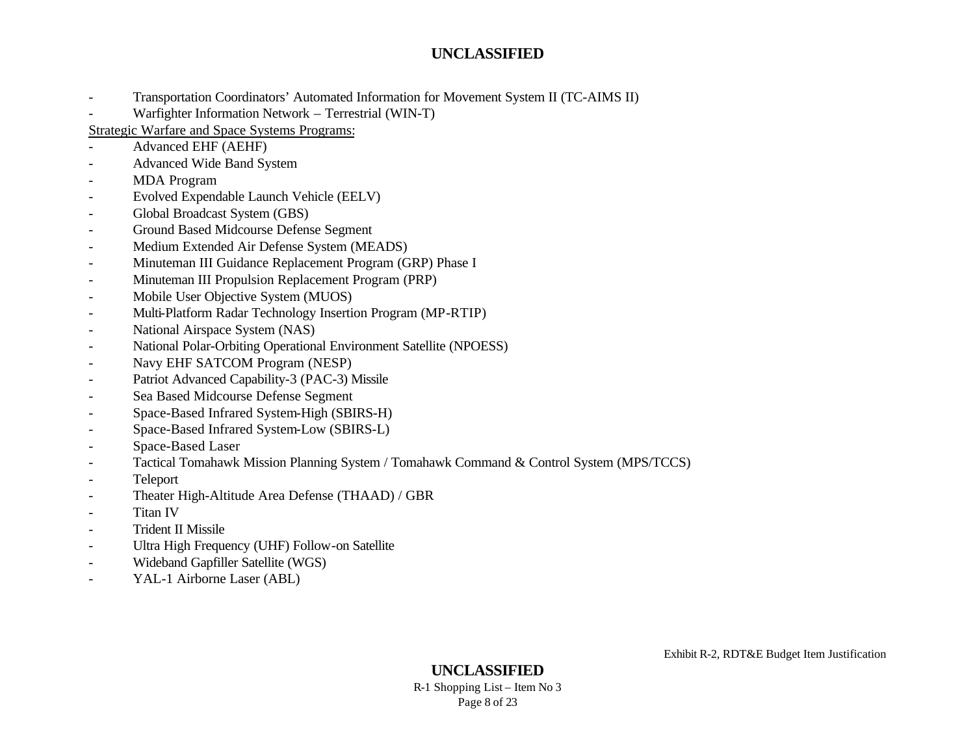- Transportation Coordinators' Automated Information for Movement System II (TC-AIMS II)
- Warfighter Information Network Terrestrial (WIN-T)

Strategic Warfare and Space Systems Programs:

- Advanced EHF (AEHF)
- Advanced Wide Band System
- MDA Program
- Evolved Expendable Launch Vehicle (EELV)
- Global Broadcast System (GBS)
- Ground Based Midcourse Defense Segment
- Medium Extended Air Defense System (MEADS)
- Minuteman III Guidance Replacement Program (GRP) Phase I
- Minuteman III Propulsion Replacement Program (PRP)
- Mobile User Objective System (MUOS)
- Multi-Platform Radar Technology Insertion Program (MP-RTIP)
- National Airspace System (NAS)
- National Polar-Orbiting Operational Environment Satellite (NPOESS)
- Navy EHF SATCOM Program (NESP)
- Patriot Advanced Capability-3 (PAC-3) Missile
- Sea Based Midcourse Defense Segment
- Space-Based Infrared System-High (SBIRS-H)
- Space-Based Infrared System-Low (SBIRS-L)
- Space-Based Laser
- Tactical Tomahawk Mission Planning System / Tomahawk Command & Control System (MPS/TCCS)
- Teleport
- Theater High-Altitude Area Defense (THAAD) / GBR
- Titan IV
- Trident II Missile
- Ultra High Frequency (UHF) Follow-on Satellite
- Wideband Gapfiller Satellite (WGS)
- YAL-1 Airborne Laser (ABL)

Exhibit R-2, RDT&E Budget Item Justification

**UNCLASSIFIED** R-1 Shopping List – Item No 3 Page 8 of 23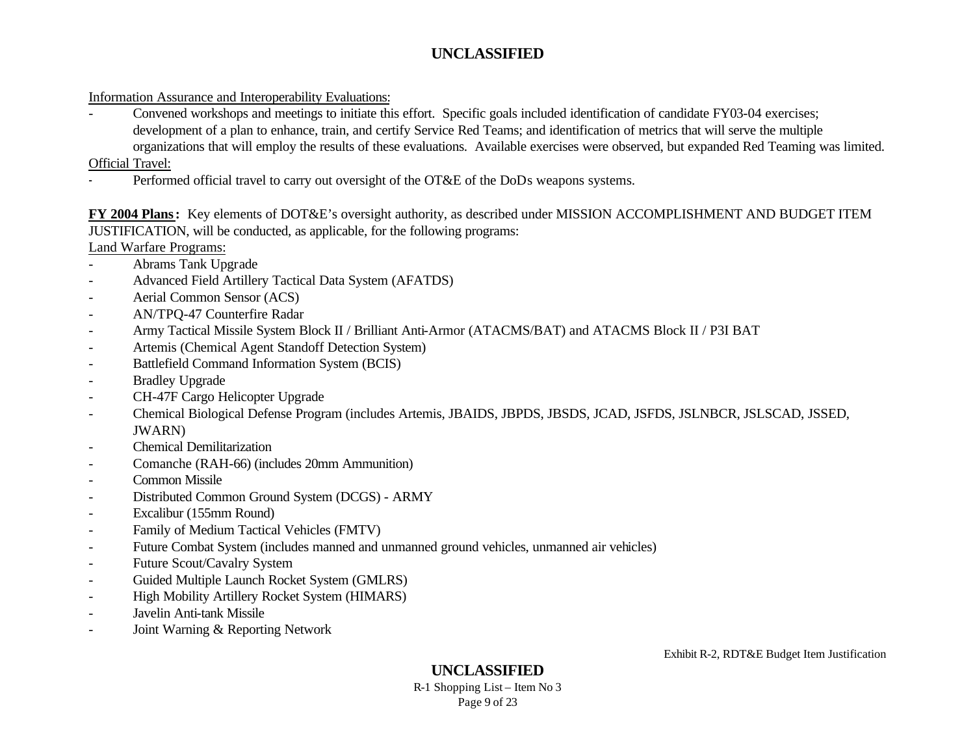#### Information Assurance and Interoperability Evaluations:

- Convened workshops and meetings to initiate this effort. Specific goals included identification of candidate FY03-04 exercises; development of a plan to enhance, train, and certify Service Red Teams; and identification of metrics that will serve the multiple organizations that will employ the results of these evaluations. Available exercises were observed, but expanded Red Teaming was limited.

Official Travel:

Performed official travel to carry out oversight of the OT&E of the DoDs weapons systems.

# **FY 2004 Plans:** Key elements of DOT&E's oversight authority, as described under MISSION ACCOMPLISHMENT AND BUDGET ITEM JUSTIFICATION, will be conducted, as applicable, for the following programs:

Land Warfare Programs:

- Abrams Tank Upgrade
- Advanced Field Artillery Tactical Data System (AFATDS)
- Aerial Common Sensor (ACS)
- AN/TPQ-47 Counterfire Radar
- Army Tactical Missile System Block II / Brilliant Anti-Armor (ATACMS/BAT) and ATACMS Block II / P3I BAT
- Artemis (Chemical Agent Standoff Detection System)
- Battlefield Command Information System (BCIS)
- Bradley Upgrade
- CH-47F Cargo Helicopter Upgrade
- Chemical Biological Defense Program (includes Artemis, JBAIDS, JBPDS, JBSDS, JCAD, JSFDS, JSLNBCR, JSLSCAD, JSSED, JWARN)
- Chemical Demilitarization
- Comanche (RAH-66) (includes 20mm Ammunition)
- Common Missile
- Distributed Common Ground System (DCGS) ARMY
- Excalibur (155mm Round)
- Family of Medium Tactical Vehicles (FMTV)
- Future Combat System (includes manned and unmanned ground vehicles, unmanned air vehicles)
- Future Scout/Cavalry System
- Guided Multiple Launch Rocket System (GMLRS)
- High Mobility Artillery Rocket System (HIMARS)
- Javelin Anti-tank Missile
- Joint Warning & Reporting Network

# **UNCLASSIFIED**

R-1 Shopping List – Item No 3 Page 9 of 23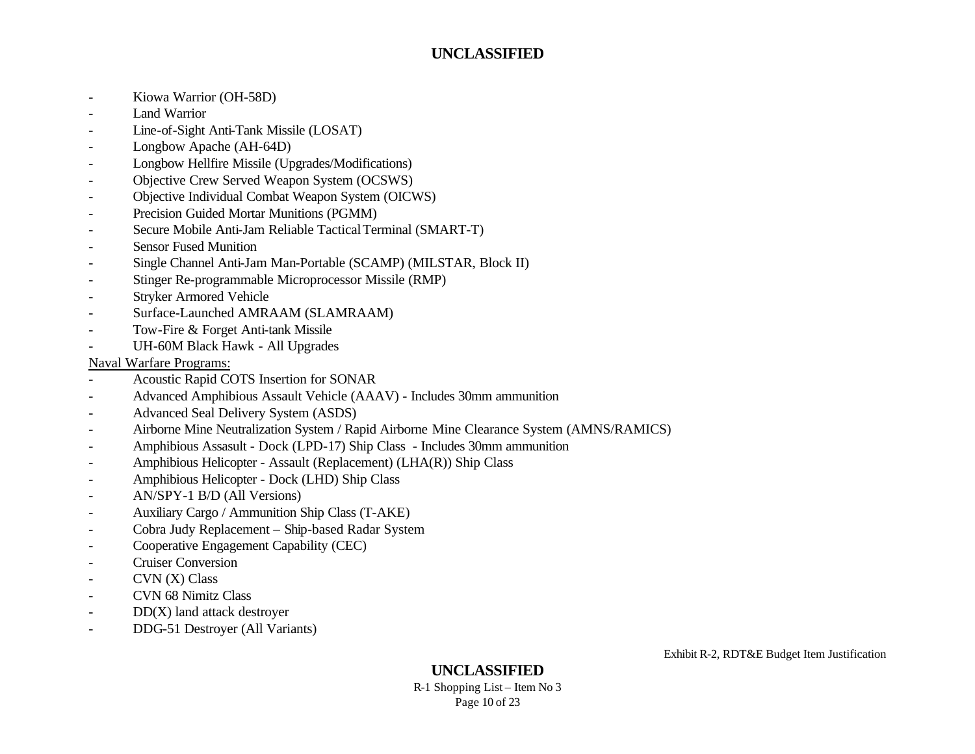- Kiowa Warrior (OH-58D)
- Land Warrior
- Line-of-Sight Anti-Tank Missile (LOSAT)
- Longbow Apache (AH-64D)
- Longbow Hellfire Missile (Upgrades/Modifications)
- Objective Crew Served Weapon System (OCSWS)
- Objective Individual Combat Weapon System (OICWS)
- Precision Guided Mortar Munitions (PGMM)
- Secure Mobile Anti-Jam Reliable Tactical Terminal (SMART-T)
- Sensor Fused Munition
- Single Channel Anti-Jam Man-Portable (SCAMP) (MILSTAR, Block II)
- Stinger Re-programmable Microprocessor Missile (RMP)
- Stryker Armored Vehicle
- Surface-Launched AMRAAM (SLAMRAAM)
- Tow-Fire & Forget Anti-tank Missile
- UH-60M Black Hawk All Upgrades

#### Naval Warfare Programs:

- Acoustic Rapid COTS Insertion for SONAR
- Advanced Amphibious Assault Vehicle (AAAV) Includes 30mm ammunition
- Advanced Seal Delivery System (ASDS)
- Airborne Mine Neutralization System / Rapid Airborne Mine Clearance System (AMNS/RAMICS)
- Amphibious Assasult Dock (LPD-17) Ship Class Includes 30mm ammunition
- Amphibious Helicopter Assault (Replacement) (LHA(R)) Ship Class
- Amphibious Helicopter Dock (LHD) Ship Class
- AN/SPY-1 B/D (All Versions)
- Auxiliary Cargo / Ammunition Ship Class (T-AKE)
- Cobra Judy Replacement Ship-based Radar System
- Cooperative Engagement Capability (CEC)
- Cruiser Conversion
- CVN (X) Class
- CVN 68 Nimitz Class
- $DD(X)$  land attack destroyer
- DDG-51 Destroyer (All Variants)

## **UNCLASSIFIED**

R-1 Shopping List – Item No 3 Page 10 of 23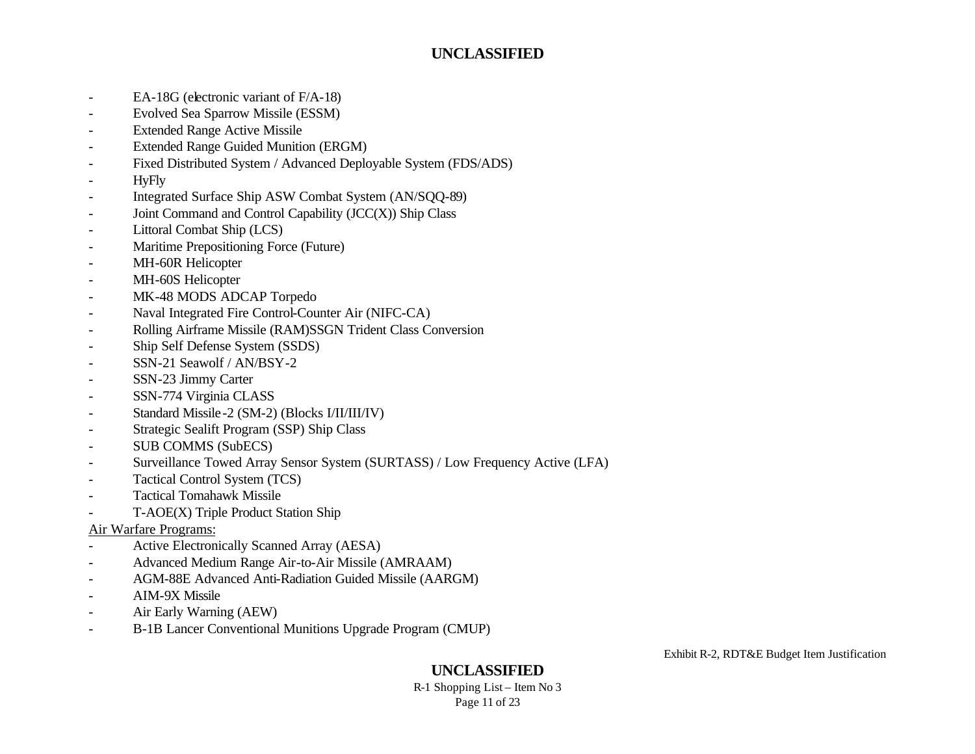- EA-18G (electronic variant of F/A-18)
- Evolved Sea Sparrow Missile (ESSM)
- Extended Range Active Missile
- Extended Range Guided Munition (ERGM)
- Fixed Distributed System / Advanced Deployable System (FDS/ADS)
- HyFly
- Integrated Surface Ship ASW Combat System (AN/SQQ-89)
- Joint Command and Control Capability (JCC(X)) Ship Class
- Littoral Combat Ship (LCS)
- Maritime Prepositioning Force (Future)
- MH-60R Helicopter
- MH-60S Helicopter
- MK-48 MODS ADCAP Torpedo
- Naval Integrated Fire Control-Counter Air (NIFC-CA)
- Rolling Airframe Missile (RAM)SSGN Trident Class Conversion
- Ship Self Defense System (SSDS)
- SSN-21 Seawolf / AN/BSY-2
- SSN-23 Jimmy Carter
- SSN-774 Virginia CLASS
- Standard Missile-2 (SM-2) (Blocks I/II/III/IV)
- Strategic Sealift Program (SSP) Ship Class
- SUB COMMS (SubECS)
- Surveillance Towed Array Sensor System (SURTASS) / Low Frequency Active (LFA)
- Tactical Control System (TCS)
- Tactical Tomahawk Missile
- T-AOE(X) Triple Product Station Ship

#### Air Warfare Programs:

- Active Electronically Scanned Array (AESA)
- Advanced Medium Range Air-to-Air Missile (AMRAAM)
- AGM-88E Advanced Anti-Radiation Guided Missile (AARGM)
- AIM-9X Missile
- Air Early Warning (AEW)
- B-1B Lancer Conventional Munitions Upgrade Program (CMUP)

Exhibit R-2, RDT&E Budget Item Justification

## **UNCLASSIFIED**

R-1 Shopping List – Item No 3 Page 11 of 23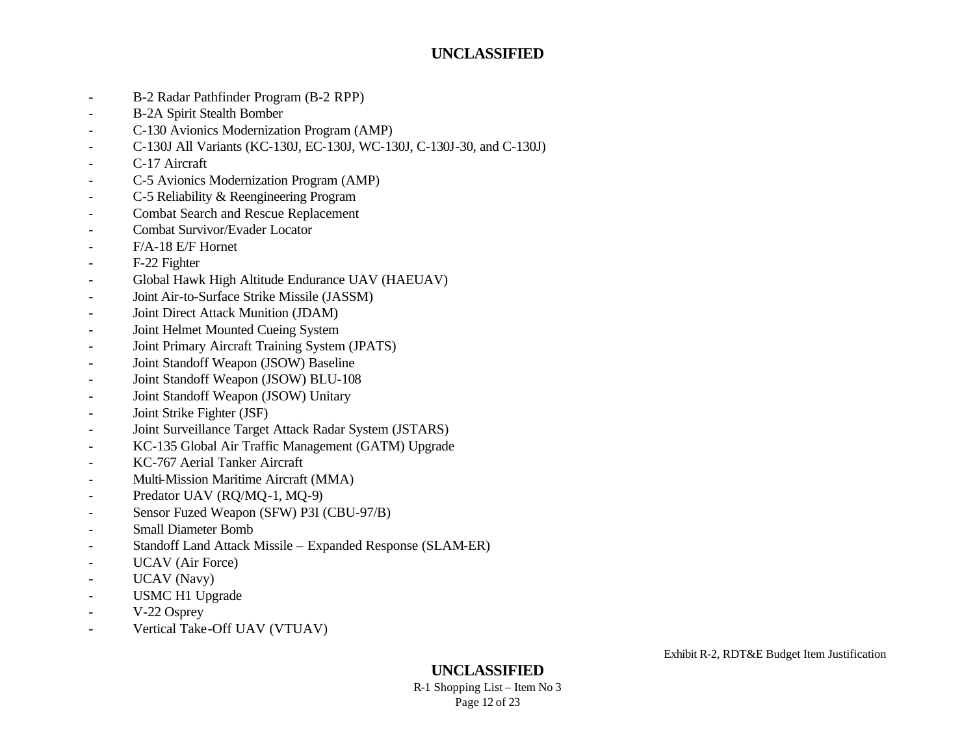- B-2 Radar Pathfinder Program (B-2 RPP)
- B-2A Spirit Stealth Bomber
- C-130 Avionics Modernization Program (AMP)
- C-130J All Variants (KC-130J, EC-130J, WC-130J, C-130J-30, and C-130J)
- C-17 Aircraft
- C-5 Avionics Modernization Program (AMP)
- C-5 Reliability & Reengineering Program
- Combat Search and Rescue Replacement
- Combat Survivor/Evader Locator
- F/A-18 E/F Hornet
- F-22 Fighter
- Global Hawk High Altitude Endurance UAV (HAEUAV)
- Joint Air-to-Surface Strike Missile (JASSM)
- Joint Direct Attack Munition (JDAM)
- Joint Helmet Mounted Cueing System
- Joint Primary Aircraft Training System (JPATS)
- Joint Standoff Weapon (JSOW) Baseline
- Joint Standoff Weapon (JSOW) BLU-108
- Joint Standoff Weapon (JSOW) Unitary
- Joint Strike Fighter (JSF)
- Joint Surveillance Target Attack Radar System (JSTARS)
- KC-135 Global Air Traffic Management (GATM) Upgrade
- KC-767 Aerial Tanker Aircraft
- Multi-Mission Maritime Aircraft (MMA)
- Predator UAV (RQ/MQ-1, MQ-9)
- Sensor Fuzed Weapon (SFW) P3I (CBU-97/B)
- Small Diameter Bomb
- Standoff Land Attack Missile Expanded Response (SLAM-ER)
- UCAV (Air Force)
- UCAV (Navy)
- USMC H1 Upgrade
- V-22 Osprey
- Vertical Take-Off UAV (VTUAV)

# **UNCLASSIFIED**

R-1 Shopping List – Item No 3 Page 12 of 23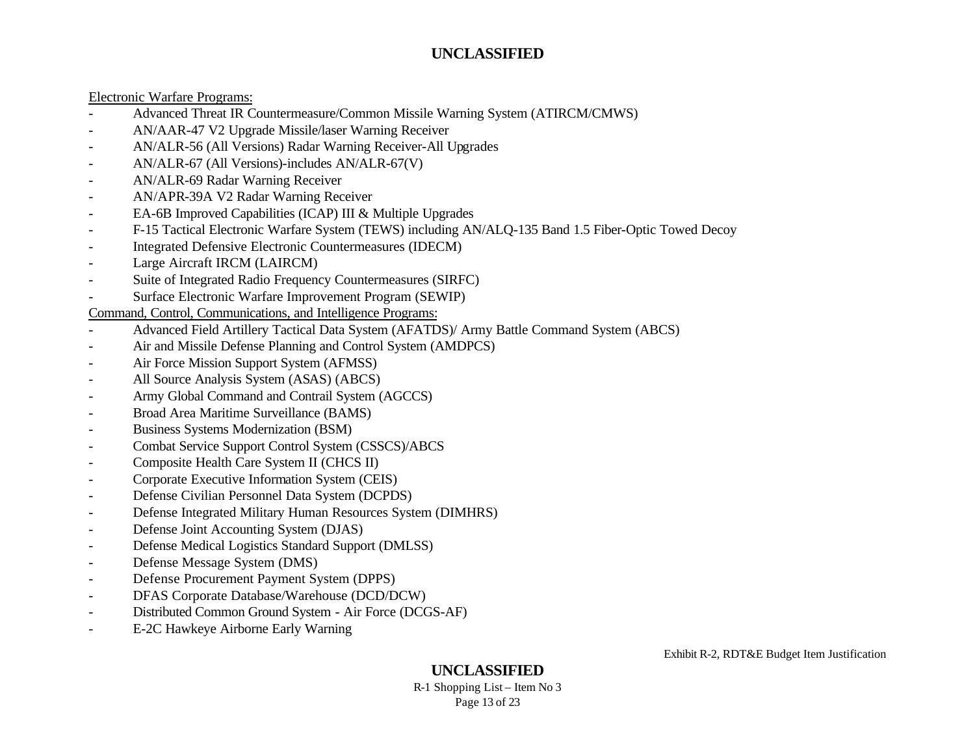#### Electronic Warfare Programs:

- Advanced Threat IR Countermeasure/Common Missile Warning System (ATIRCM/CMWS)
- AN/AAR-47 V2 Upgrade Missile/laser Warning Receiver
- AN/ALR-56 (All Versions) Radar Warning Receiver-All Upgrades
- AN/ALR-67 (All Versions)-includes AN/ALR-67(V)
- AN/ALR-69 Radar Warning Receiver
- AN/APR-39A V2 Radar Warning Receiver
- EA-6B Improved Capabilities (ICAP) III & Multiple Upgrades
- F-15 Tactical Electronic Warfare System (TEWS) including AN/ALQ-135 Band 1.5 Fiber-Optic Towed Decoy
- Integrated Defensive Electronic Countermeasures (IDECM)
- Large Aircraft IRCM (LAIRCM)
- Suite of Integrated Radio Frequency Countermeasures (SIRFC)
- Surface Electronic Warfare Improvement Program (SEWIP)

#### Command, Control, Communications, and Intelligence Programs:

- Advanced Field Artillery Tactical Data System (AFATDS)/ Army Battle Command System (ABCS)
- Air and Missile Defense Planning and Control System (AMDPCS)
- Air Force Mission Support System (AFMSS)
- All Source Analysis System (ASAS) (ABCS)
- Army Global Command and Contrail System (AGCCS)
- Broad Area Maritime Surveillance (BAMS)
- Business Systems Modernization (BSM)
- Combat Service Support Control System (CSSCS)/ABCS
- Composite Health Care System II (CHCS II)
- Corporate Executive Information System (CEIS)
- Defense Civilian Personnel Data System (DCPDS)
- Defense Integrated Military Human Resources System (DIMHRS)
- Defense Joint Accounting System (DJAS)
- Defense Medical Logistics Standard Support (DMLSS)
- Defense Message System (DMS)
- Defense Procurement Payment System (DPPS)
- DFAS Corporate Database/Warehouse (DCD/DCW)
- Distributed Common Ground System Air Force (DCGS-AF)
- E-2C Hawkeye Airborne Early Warning

**UNCLASSIFIED**

R-1 Shopping List – Item No 3 Page 13 of 23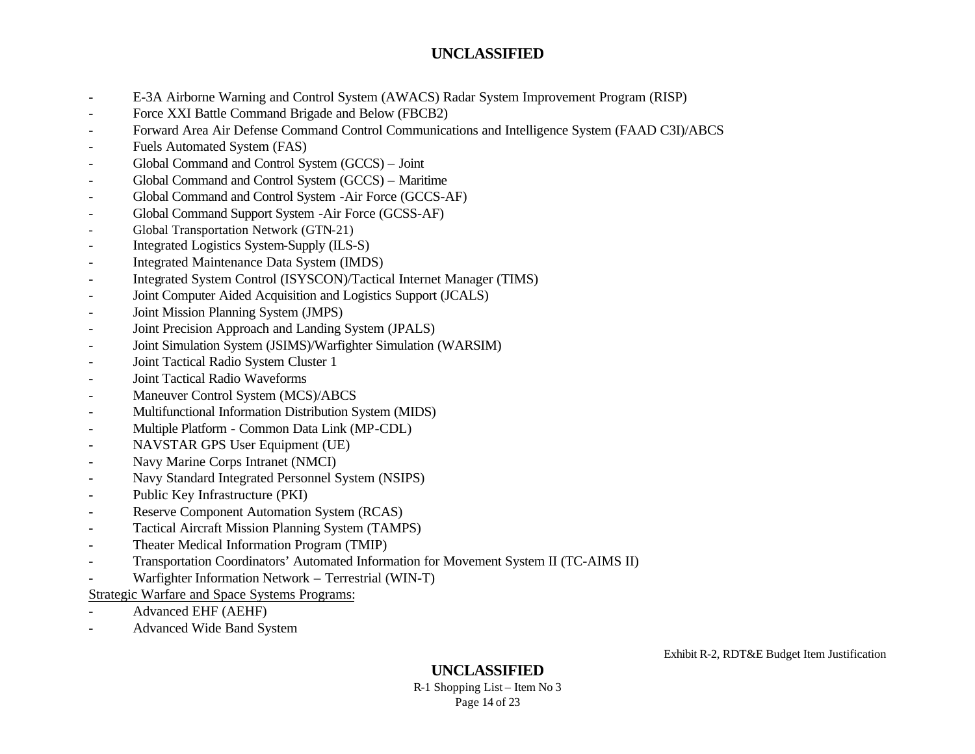- E-3A Airborne Warning and Control System (AWACS) Radar System Improvement Program (RISP)
- Force XXI Battle Command Brigade and Below (FBCB2)
- Forward Area Air Defense Command Control Communications and Intelligence System (FAAD C3I)/ABCS
- Fuels Automated System (FAS)
- Global Command and Control System (GCCS) Joint
- Global Command and Control System (GCCS) Maritime
- Global Command and Control System -Air Force (GCCS-AF)
- Global Command Support System -Air Force (GCSS-AF)
- Global Transportation Network (GTN-21)
- Integrated Logistics System-Supply (ILS-S)
- Integrated Maintenance Data System (IMDS)
- Integrated System Control (ISYSCON)/Tactical Internet Manager (TIMS)
- Joint Computer Aided Acquisition and Logistics Support (JCALS)
- Joint Mission Planning System (JMPS)
- Joint Precision Approach and Landing System (JPALS)
- Joint Simulation System (JSIMS)/Warfighter Simulation (WARSIM)
- Joint Tactical Radio System Cluster 1
- Joint Tactical Radio Waveforms
- Maneuver Control System (MCS)/ABCS
- Multifunctional Information Distribution System (MIDS)
- Multiple Platform Common Data Link (MP-CDL)
- NAVSTAR GPS User Equipment (UE)
- Navy Marine Corps Intranet (NMCI)
- Navy Standard Integrated Personnel System (NSIPS)
- Public Key Infrastructure (PKI)
- Reserve Component Automation System (RCAS)
- Tactical Aircraft Mission Planning System (TAMPS)
- Theater Medical Information Program (TMIP)
- Transportation Coordinators' Automated Information for Movement System II (TC-AIMS II)
- Warfighter Information Network Terrestrial (WIN-T)

#### Strategic Warfare and Space Systems Programs:

- Advanced EHF (AEHF)
- Advanced Wide Band System

# **UNCLASSIFIED**

R-1 Shopping List – Item No 3 Page 14 of 23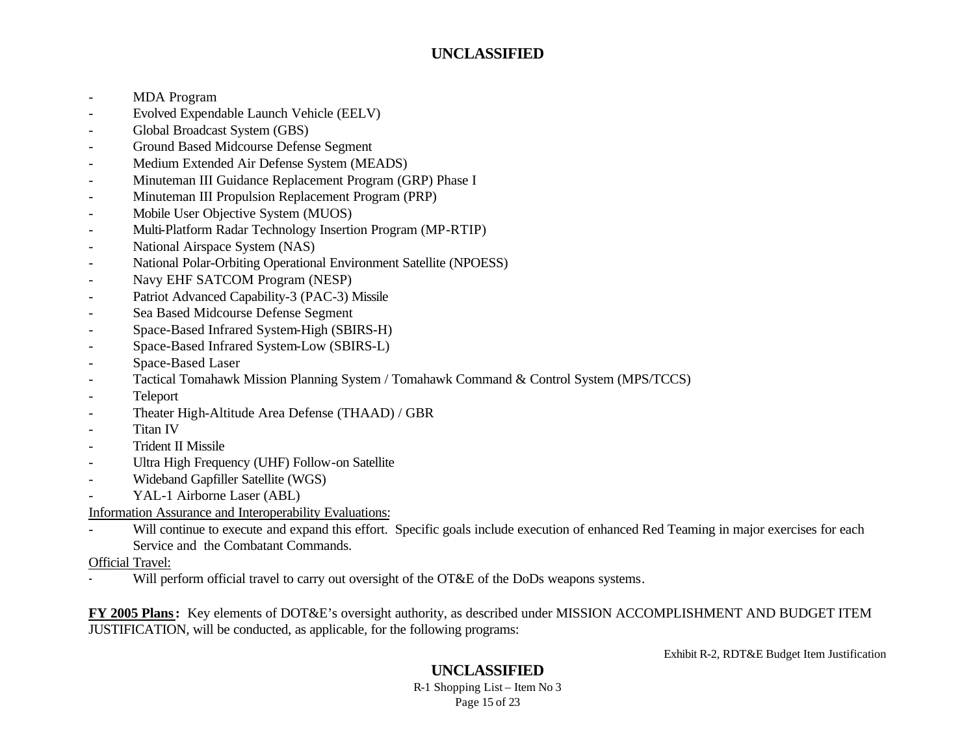- MDA Program
- Evolved Expendable Launch Vehicle (EELV)
- Global Broadcast System (GBS)
- Ground Based Midcourse Defense Segment
- Medium Extended Air Defense System (MEADS)
- Minuteman III Guidance Replacement Program (GRP) Phase I
- Minuteman III Propulsion Replacement Program (PRP)
- Mobile User Objective System (MUOS)
- Multi-Platform Radar Technology Insertion Program (MP-RTIP)
- National Airspace System (NAS)
- National Polar-Orbiting Operational Environment Satellite (NPOESS)
- Navy EHF SATCOM Program (NESP)
- Patriot Advanced Capability-3 (PAC-3) Missile
- Sea Based Midcourse Defense Segment
- Space-Based Infrared System-High (SBIRS-H)
- Space-Based Infrared System-Low (SBIRS-L)
- Space-Based Laser
- Tactical Tomahawk Mission Planning System / Tomahawk Command & Control System (MPS/TCCS)
- **Teleport**
- Theater High-Altitude Area Defense (THAAD) / GBR
- Titan IV
- Trident II Missile
- Ultra High Frequency (UHF) Follow-on Satellite
- Wideband Gapfiller Satellite (WGS)
- YAL-1 Airborne Laser (ABL)

Information Assurance and Interoperability Evaluations:

- Will continue to execute and expand this effort. Specific goals include execution of enhanced Red Teaming in major exercises for each Service and the Combatant Commands.

Official Travel:

Will perform official travel to carry out oversight of the OT&E of the DoDs weapons systems.

**FY 2005 Plans:** Key elements of DOT&E's oversight authority, as described under MISSION ACCOMPLISHMENT AND BUDGET ITEM JUSTIFICATION, will be conducted, as applicable, for the following programs:

Exhibit R-2, RDT&E Budget Item Justification

# **UNCLASSIFIED**

R-1 Shopping List – Item No 3 Page 15 of 23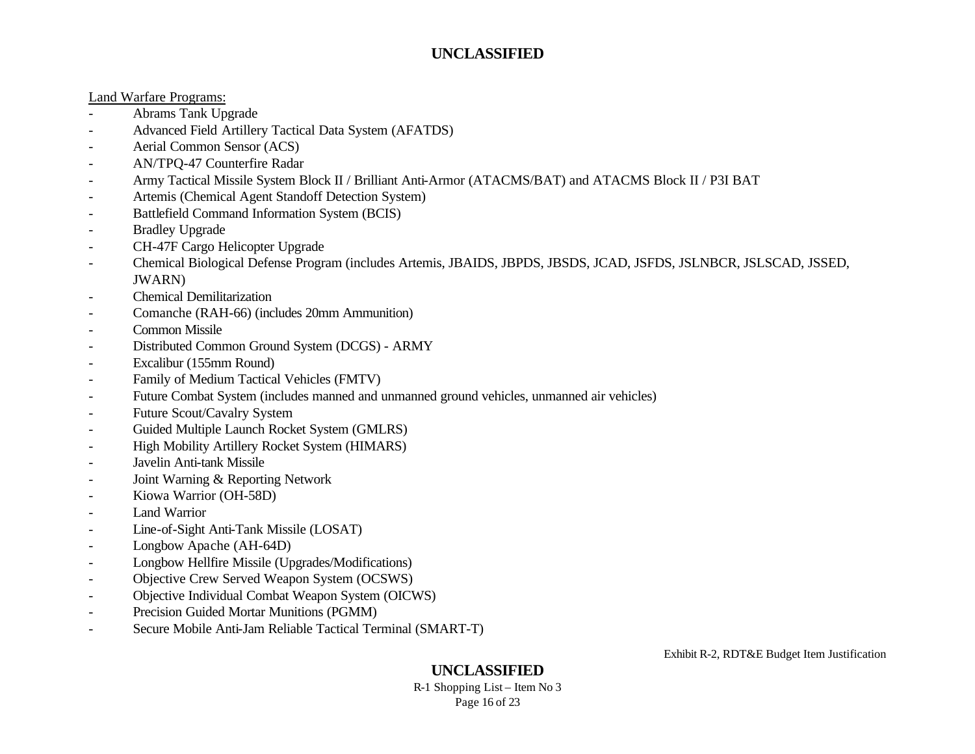#### Land Warfare Programs:

- Abrams Tank Upgrade
- Advanced Field Artillery Tactical Data System (AFATDS)
- Aerial Common Sensor (ACS)
- AN/TPQ-47 Counterfire Radar
- Army Tactical Missile System Block II / Brilliant Anti-Armor (ATACMS/BAT) and ATACMS Block II / P3I BAT
- Artemis (Chemical Agent Standoff Detection System)
- Battlefield Command Information System (BCIS)
- Bradley Upgrade
- CH-47F Cargo Helicopter Upgrade
- Chemical Biological Defense Program (includes Artemis, JBAIDS, JBPDS, JBSDS, JCAD, JSFDS, JSLNBCR, JSLSCAD, JSSED, JWARN)
- Chemical Demilitarization
- Comanche (RAH-66) (includes 20mm Ammunition)
- Common Missile
- Distributed Common Ground System (DCGS) ARMY
- Excalibur (155mm Round)
- Family of Medium Tactical Vehicles (FMTV)
- Future Combat System (includes manned and unmanned ground vehicles, unmanned air vehicles)
- Future Scout/Cavalry System
- Guided Multiple Launch Rocket System (GMLRS)
- High Mobility Artillery Rocket System (HIMARS)
- Javelin Anti-tank Missile
- Joint Warning & Reporting Network
- Kiowa Warrior (OH-58D)
- Land Warrior
- Line-of-Sight Anti-Tank Missile (LOSAT)
- Longbow Apache (AH-64D)
- Longbow Hellfire Missile (Upgrades/Modifications)
- Objective Crew Served Weapon System (OCSWS)
- Objective Individual Combat Weapon System (OICWS)
- Precision Guided Mortar Munitions (PGMM)
- Secure Mobile Anti-Jam Reliable Tactical Terminal (SMART-T)

Exhibit R-2, RDT&E Budget Item Justification

# **UNCLASSIFIED**

R-1 Shopping List – Item No 3 Page 16 of 23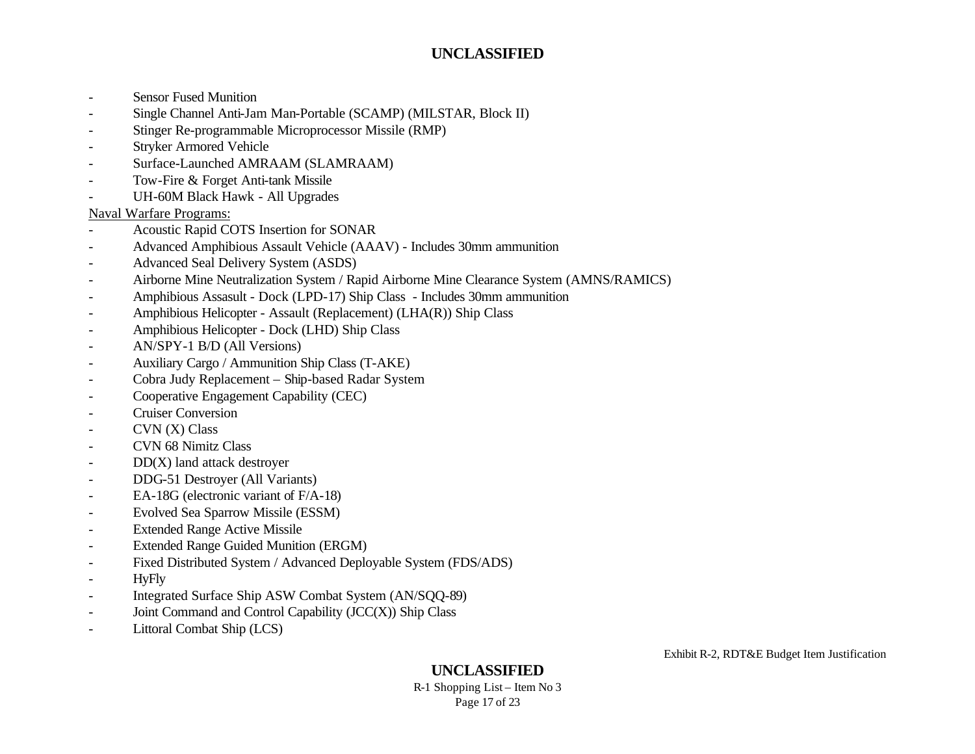- Sensor Fused Munition
- Single Channel Anti-Jam Man-Portable (SCAMP) (MILSTAR, Block II)
- Stinger Re-programmable Microprocessor Missile (RMP)
- Stryker Armored Vehicle
- Surface-Launched AMRAAM (SLAMRAAM)
- Tow-Fire & Forget Anti-tank Missile
- UH-60M Black Hawk All Upgrades

#### Naval Warfare Programs:

- Acoustic Rapid COTS Insertion for SONAR
- Advanced Amphibious Assault Vehicle (AAAV) Includes 30mm ammunition
- Advanced Seal Delivery System (ASDS)
- Airborne Mine Neutralization System / Rapid Airborne Mine Clearance System (AMNS/RAMICS)
- Amphibious Assasult Dock (LPD-17) Ship Class Includes 30mm ammunition
- Amphibious Helicopter Assault (Replacement) (LHA(R)) Ship Class
- Amphibious Helicopter Dock (LHD) Ship Class
- AN/SPY-1 B/D (All Versions)
- Auxiliary Cargo / Ammunition Ship Class (T-AKE)
- Cobra Judy Replacement Ship-based Radar System
- Cooperative Engagement Capability (CEC)
- Cruiser Conversion
- $CVN(X) Class$
- CVN 68 Nimitz Class
- $DD(X)$  land attack destroyer
- DDG-51 Destroyer (All Variants)
- EA-18G (electronic variant of F/A-18)
- Evolved Sea Sparrow Missile (ESSM)
- Extended Range Active Missile
- Extended Range Guided Munition (ERGM)
- Fixed Distributed System / Advanced Deployable System (FDS/ADS)
- HyFly
- Integrated Surface Ship ASW Combat System (AN/SQQ-89)
- Joint Command and Control Capability (JCC(X)) Ship Class
- Littoral Combat Ship (LCS)

# **UNCLASSIFIED**

R-1 Shopping List – Item No 3 Page 17 of 23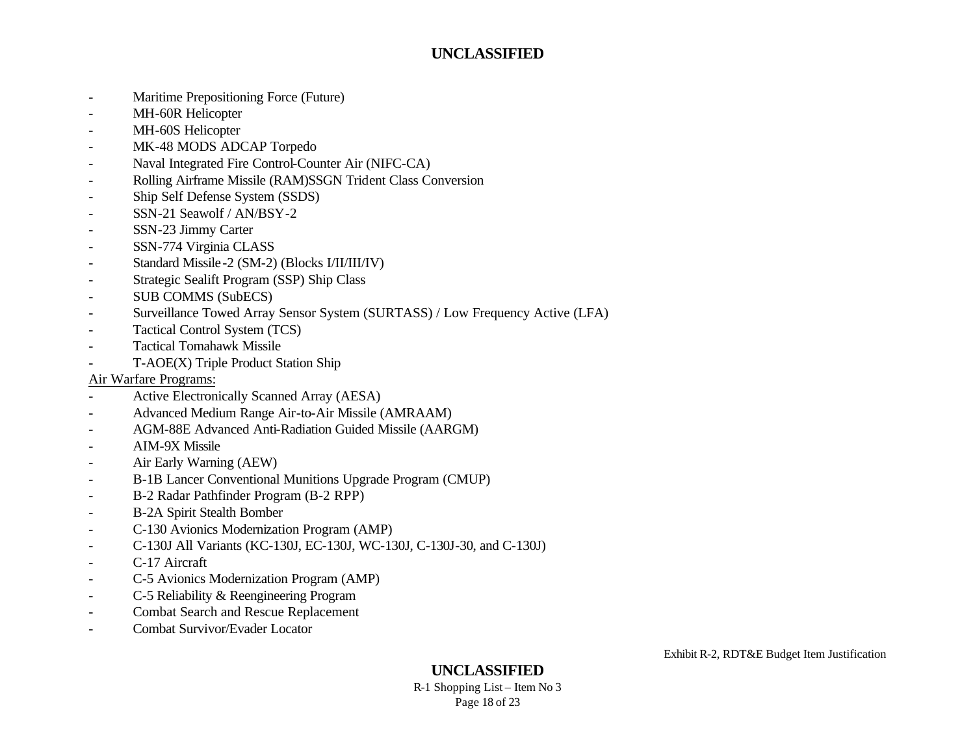- Maritime Prepositioning Force (Future)
- MH-60R Helicopter
- MH-60S Helicopter
- MK-48 MODS ADCAP Torpedo
- Naval Integrated Fire Control-Counter Air (NIFC-CA)
- Rolling Airframe Missile (RAM)SSGN Trident Class Conversion
- Ship Self Defense System (SSDS)
- SSN-21 Seawolf / AN/BSY-2
- SSN-23 Jimmy Carter
- SSN-774 Virginia CLASS
- Standard Missile-2 (SM-2) (Blocks I/II/III/IV)
- Strategic Sealift Program (SSP) Ship Class
- SUB COMMS (SubECS)
- Surveillance Towed Array Sensor System (SURTASS) / Low Frequency Active (LFA)
- Tactical Control System (TCS)
- Tactical Tomahawk Missile
- T-AOE(X) Triple Product Station Ship

#### Air Warfare Programs:

- Active Electronically Scanned Array (AESA)
- Advanced Medium Range Air-to-Air Missile (AMRAAM)
- AGM-88E Advanced Anti-Radiation Guided Missile (AARGM)
- AIM-9X Missile
- Air Early Warning (AEW)
- B-1B Lancer Conventional Munitions Upgrade Program (CMUP)
- B-2 Radar Pathfinder Program (B-2 RPP)
- B-2A Spirit Stealth Bomber
- C-130 Avionics Modernization Program (AMP)
- C-130J All Variants (KC-130J, EC-130J, WC-130J, C-130J-30, and C-130J)
- C-17 Aircraft
- C-5 Avionics Modernization Program (AMP)
- C-5 Reliability & Reengineering Program
- Combat Search and Rescue Replacement
- Combat Survivor/Evader Locator

# **UNCLASSIFIED**

R-1 Shopping List – Item No 3 Page 18 of 23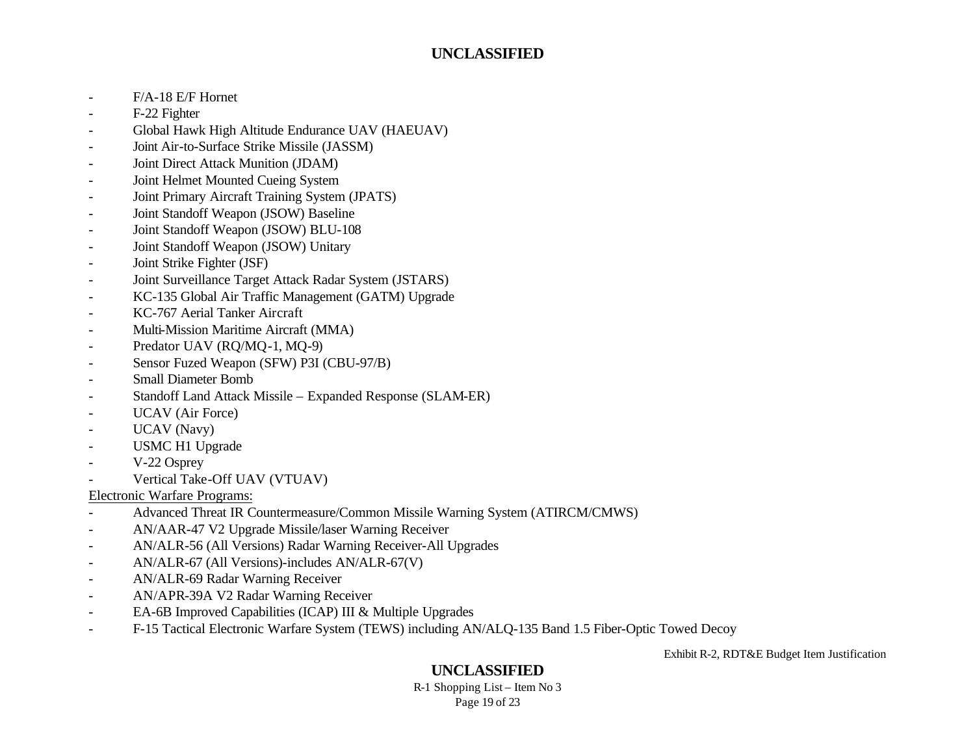- F/A-18 E/F Hornet
- F-22 Fighter
- Global Hawk High Altitude Endurance UAV (HAEUAV)
- Joint Air-to-Surface Strike Missile (JASSM)
- Joint Direct Attack Munition (JDAM)
- Joint Helmet Mounted Cueing System
- Joint Primary Aircraft Training System (JPATS)
- Joint Standoff Weapon (JSOW) Baseline
- Joint Standoff Weapon (JSOW) BLU-108
- Joint Standoff Weapon (JSOW) Unitary
- Joint Strike Fighter (JSF)
- Joint Surveillance Target Attack Radar System (JSTARS)
- KC-135 Global Air Traffic Management (GATM) Upgrade
- KC-767 Aerial Tanker Aircraft
- Multi-Mission Maritime Aircraft (MMA)
- Predator UAV (RQ/MQ-1, MQ-9)
- Sensor Fuzed Weapon (SFW) P3I (CBU-97/B)
- Small Diameter Bomb
- Standoff Land Attack Missile Expanded Response (SLAM-ER)
- UCAV (Air Force)
- UCAV (Navy)
- USMC H1 Upgrade
- V-22 Osprey
- Vertical Take-Off UAV (VTUAV)

#### Electronic Warfare Programs:

- Advanced Threat IR Countermeasure/Common Missile Warning System (ATIRCM/CMWS)
- AN/AAR-47 V2 Upgrade Missile/laser Warning Receiver
- AN/ALR-56 (All Versions) Radar Warning Receiver-All Upgrades
- AN/ALR-67 (All Versions)-includes AN/ALR-67(V)
- AN/ALR-69 Radar Warning Receiver
- AN/APR-39A V2 Radar Warning Receiver
- EA-6B Improved Capabilities (ICAP) III & Multiple Upgrades
- F-15 Tactical Electronic Warfare System (TEWS) including AN/ALQ-135 Band 1.5 Fiber-Optic Towed Decoy

Exhibit R-2, RDT&E Budget Item Justification

# **UNCLASSIFIED**

R-1 Shopping List – Item No 3 Page 19 of 23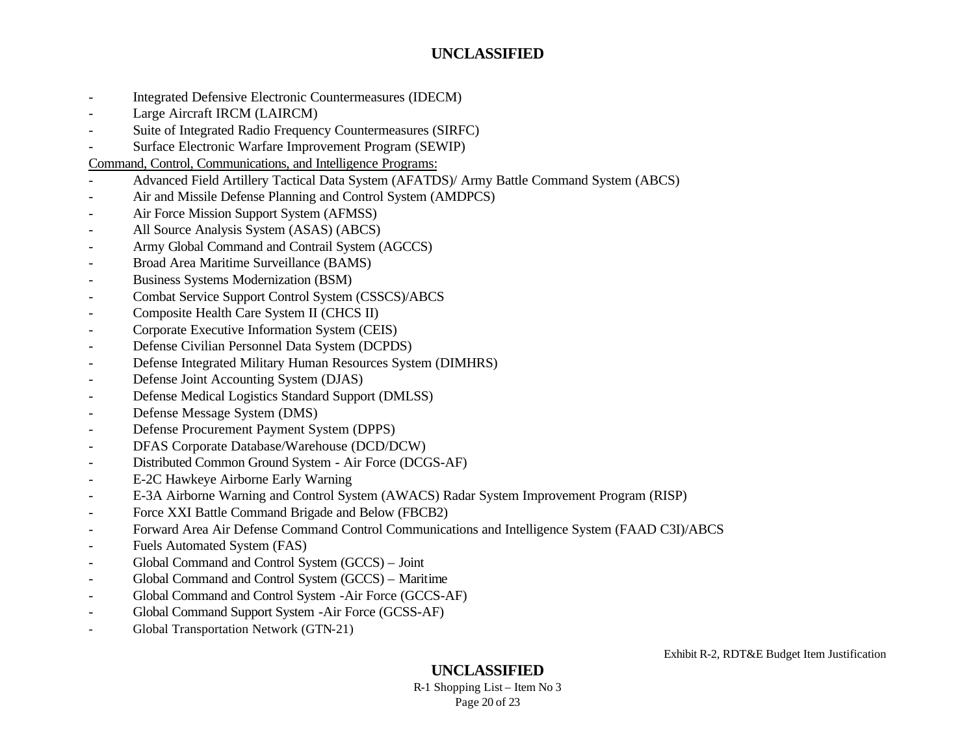- Integrated Defensive Electronic Countermeasures (IDECM)
- Large Aircraft IRCM (LAIRCM)
- Suite of Integrated Radio Frequency Countermeasures (SIRFC)
- Surface Electronic Warfare Improvement Program (SEWIP)

Command, Control, Communications, and Intelligence Programs:

- Advanced Field Artillery Tactical Data System (AFATDS)/ Army Battle Command System (ABCS)
- Air and Missile Defense Planning and Control System (AMDPCS)
- Air Force Mission Support System (AFMSS)
- All Source Analysis System (ASAS) (ABCS)
- Army Global Command and Contrail System (AGCCS)
- Broad Area Maritime Surveillance (BAMS)
- Business Systems Modernization (BSM)
- Combat Service Support Control System (CSSCS)/ABCS
- Composite Health Care System II (CHCS II)
- Corporate Executive Information System (CEIS)
- Defense Civilian Personnel Data System (DCPDS)
- Defense Integrated Military Human Resources System (DIMHRS)
- Defense Joint Accounting System (DJAS)
- Defense Medical Logistics Standard Support (DMLSS)
- Defense Message System (DMS)
- Defense Procurement Payment System (DPPS)
- DFAS Corporate Database/Warehouse (DCD/DCW)
- Distributed Common Ground System Air Force (DCGS-AF)
- E-2C Hawkeye Airborne Early Warning
- E-3A Airborne Warning and Control System (AWACS) Radar System Improvement Program (RISP)
- Force XXI Battle Command Brigade and Below (FBCB2)
- Forward Area Air Defense Command Control Communications and Intelligence System (FAAD C3I)/ABCS
- Fuels Automated System (FAS)
- Global Command and Control System (GCCS) Joint
- Global Command and Control System (GCCS) Maritime
- Global Command and Control System -Air Force (GCCS-AF)
- Global Command Support System -Air Force (GCSS-AF)
- Global Transportation Network (GTN-21)

# **UNCLASSIFIED**

R-1 Shopping List – Item No 3 Page 20 of 23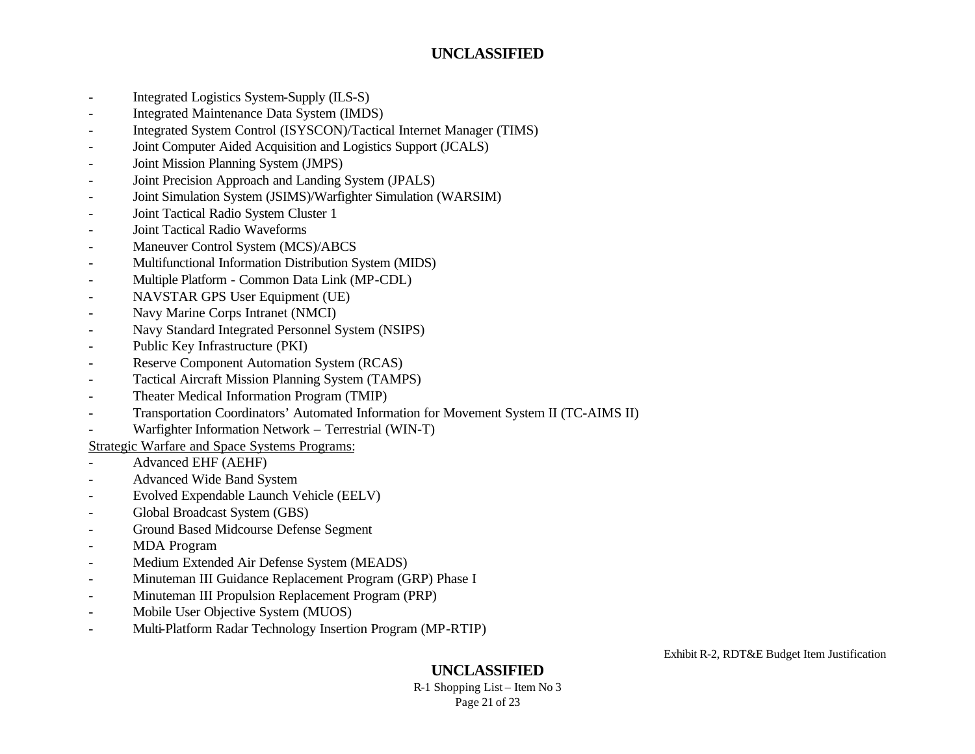- Integrated Logistics System-Supply (ILS-S)
- Integrated Maintenance Data System (IMDS)
- Integrated System Control (ISYSCON)/Tactical Internet Manager (TIMS)
- Joint Computer Aided Acquisition and Logistics Support (JCALS)
- Joint Mission Planning System (JMPS)
- Joint Precision Approach and Landing System (JPALS)
- Joint Simulation System (JSIMS)/Warfighter Simulation (WARSIM)
- Joint Tactical Radio System Cluster 1
- Joint Tactical Radio Waveforms
- Maneuver Control System (MCS)/ABCS
- Multifunctional Information Distribution System (MIDS)
- Multiple Platform Common Data Link (MP-CDL)
- NAVSTAR GPS User Equipment (UE)
- Navy Marine Corps Intranet (NMCI)
- Navy Standard Integrated Personnel System (NSIPS)
- Public Key Infrastructure (PKI)
- Reserve Component Automation System (RCAS)
- Tactical Aircraft Mission Planning System (TAMPS)
- Theater Medical Information Program (TMIP)
- Transportation Coordinators' Automated Information for Movement System II (TC-AIMS II)
- Warfighter Information Network Terrestrial (WIN-T)

Strategic Warfare and Space Systems Programs:

- Advanced EHF (AEHF)
- Advanced Wide Band System
- Evolved Expendable Launch Vehicle (EELV)
- Global Broadcast System (GBS)
- Ground Based Midcourse Defense Segment
- MDA Program
- Medium Extended Air Defense System (MEADS)
- Minuteman III Guidance Replacement Program (GRP) Phase I
- Minuteman III Propulsion Replacement Program (PRP)
- Mobile User Objective System (MUOS)
- Multi-Platform Radar Technology Insertion Program (MP-RTIP)

Exhibit R-2, RDT&E Budget Item Justification

## **UNCLASSIFIED**

R-1 Shopping List – Item No 3 Page 21 of 23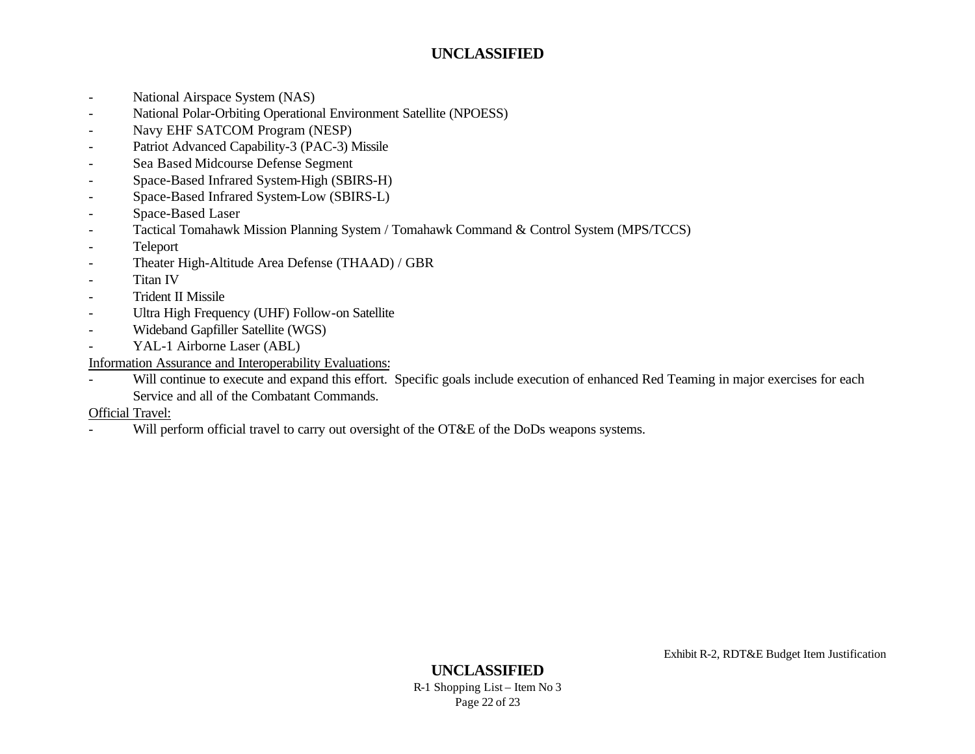- National Airspace System (NAS)
- National Polar-Orbiting Operational Environment Satellite (NPOESS)
- Navy EHF SATCOM Program (NESP)
- Patriot Advanced Capability-3 (PAC-3) Missile
- Sea Based Midcourse Defense Segment
- Space-Based Infrared System-High (SBIRS-H)
- Space-Based Infrared System-Low (SBIRS-L)
- Space-Based Laser
- Tactical Tomahawk Mission Planning System / Tomahawk Command & Control System (MPS/TCCS)
- Teleport
- Theater High-Altitude Area Defense (THAAD) / GBR
- Titan IV
- Trident II Missile
- Ultra High Frequency (UHF) Follow-on Satellite
- Wideband Gapfiller Satellite (WGS)
- YAL-1 Airborne Laser (ABL)

Information Assurance and Interoperability Evaluations:

- Will continue to execute and expand this effort. Specific goals include execution of enhanced Red Teaming in major exercises for each Service and all of the Combatant Commands.

Official Travel:

- Will perform official travel to carry out oversight of the OT&E of the DoDs weapons systems.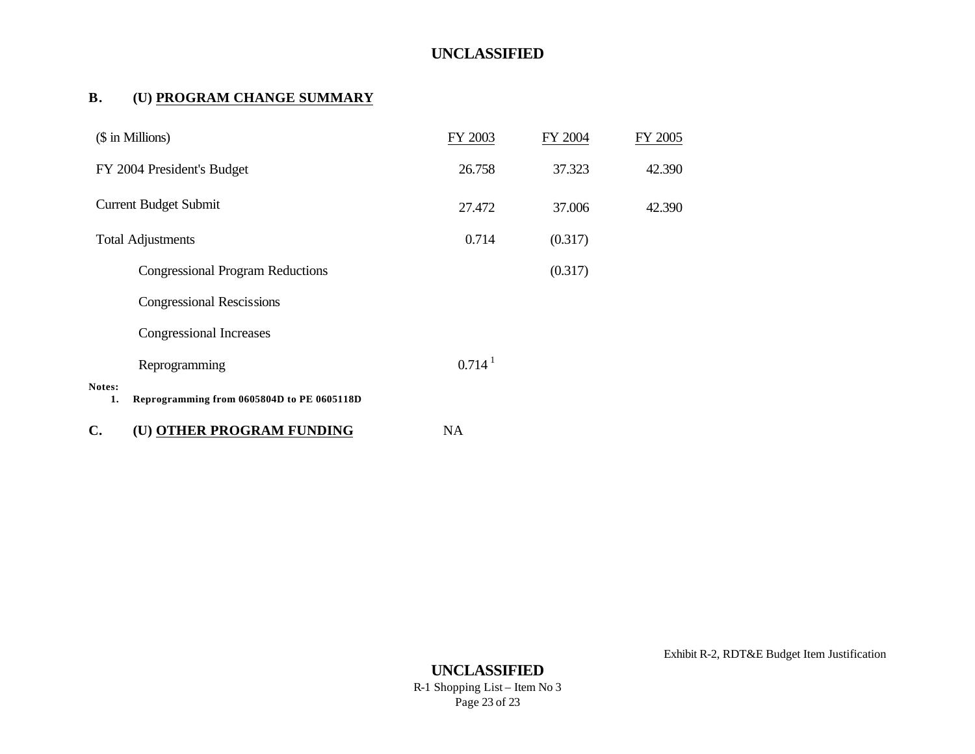#### **B. (U) PROGRAM CHANGE SUMMARY**

| (\$ in Millions)                                           | FY 2003            | FY 2004 | FY 2005 |  |
|------------------------------------------------------------|--------------------|---------|---------|--|
| FY 2004 President's Budget                                 | 26.758             | 37.323  | 42.390  |  |
| <b>Current Budget Submit</b>                               | 27.472             | 37.006  | 42.390  |  |
| <b>Total Adjustments</b>                                   | 0.714              | (0.317) |         |  |
| <b>Congressional Program Reductions</b>                    |                    | (0.317) |         |  |
| <b>Congressional Rescissions</b>                           |                    |         |         |  |
| Congressional Increases                                    |                    |         |         |  |
| Reprogramming                                              | 0.714 <sup>1</sup> |         |         |  |
| Notes:<br>Reprogramming from 0605804D to PE 0605118D<br>1. |                    |         |         |  |
| C.<br>(U) OTHER PROGRAM FUNDING                            | <b>NA</b>          |         |         |  |

Exhibit R-2, RDT&E Budget Item Justification

**UNCLASSIFIED** R-1 Shopping List – Item No 3 Page 23 of 23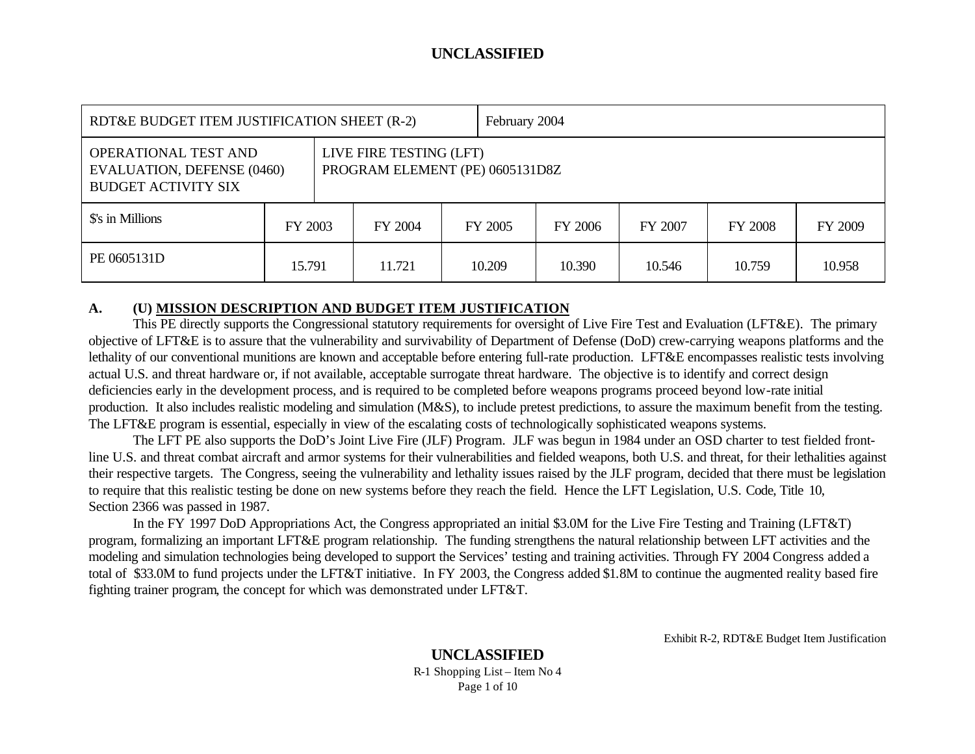| RDT&E BUDGET ITEM JUSTIFICATION SHEET (R-2)                                                                                                                  |         |  |         |         | February 2004 |         |         |         |  |
|--------------------------------------------------------------------------------------------------------------------------------------------------------------|---------|--|---------|---------|---------------|---------|---------|---------|--|
| LIVE FIRE TESTING (LFT)<br><b>OPERATIONAL TEST AND</b><br>PROGRAM ELEMENT (PE) 0605131D8Z<br><b>EVALUATION, DEFENSE (0460)</b><br><b>BUDGET ACTIVITY SIX</b> |         |  |         |         |               |         |         |         |  |
| \$'s in Millions                                                                                                                                             | FY 2003 |  | FY 2004 | FY 2005 | FY 2006       | FY 2007 | FY 2008 | FY 2009 |  |
| PE 0605131D                                                                                                                                                  | 15.791  |  | 11.721  | 10.209  | 10.390        | 10.546  | 10.759  | 10.958  |  |

#### **A. (U) MISSION DESCRIPTION AND BUDGET ITEM JUSTIFICATION**

This PE directly supports the Congressional statutory requirements for oversight of Live Fire Test and Evaluation (LFT&E). The primary objective of LFT&E is to assure that the vulnerability and survivability of Department of Defense (DoD) crew-carrying weapons platforms and the lethality of our conventional munitions are known and acceptable before entering full-rate production. LFT&E encompasses realistic tests involving actual U.S. and threat hardware or, if not available, acceptable surrogate threat hardware. The objective is to identify and correct design deficiencies early in the development process, and is required to be completed before weapons programs proceed beyond low-rate initial production. It also includes realistic modeling and simulation (M&S), to include pretest predictions, to assure the maximum benefit from the testing. The LFT&E program is essential, especially in view of the escalating costs of technologically sophisticated weapons systems.

The LFT PE also supports the DoD's Joint Live Fire (JLF) Program. JLF was begun in 1984 under an OSD charter to test fielded frontline U.S. and threat combat aircraft and armor systems for their vulnerabilities and fielded weapons, both U.S. and threat, for their lethalities against their respective targets. The Congress, seeing the vulnerability and lethality issues raised by the JLF program, decided that there must be legislation to require that this realistic testing be done on new systems before they reach the field. Hence the LFT Legislation, U.S. Code, Title 10, Section 2366 was passed in 1987.

In the FY 1997 DoD Appropriations Act, the Congress appropriated an initial \$3.0M for the Live Fire Testing and Training (LFT&T) program, formalizing an important LFT&E program relationship. The funding strengthens the natural relationship between LFT activities and the modeling and simulation technologies being developed to support the Services' testing and training activities. Through FY 2004 Congress added a total of \$33.0M to fund projects under the LFT&T initiative. In FY 2003, the Congress added \$1.8M to continue the augmented reality based fire fighting trainer program, the concept for which was demonstrated under LFT&T.

Exhibit R-2, RDT&E Budget Item Justification

#### **UNCLASSIFIED** R-1 Shopping List – Item No 4 Page 1 of 10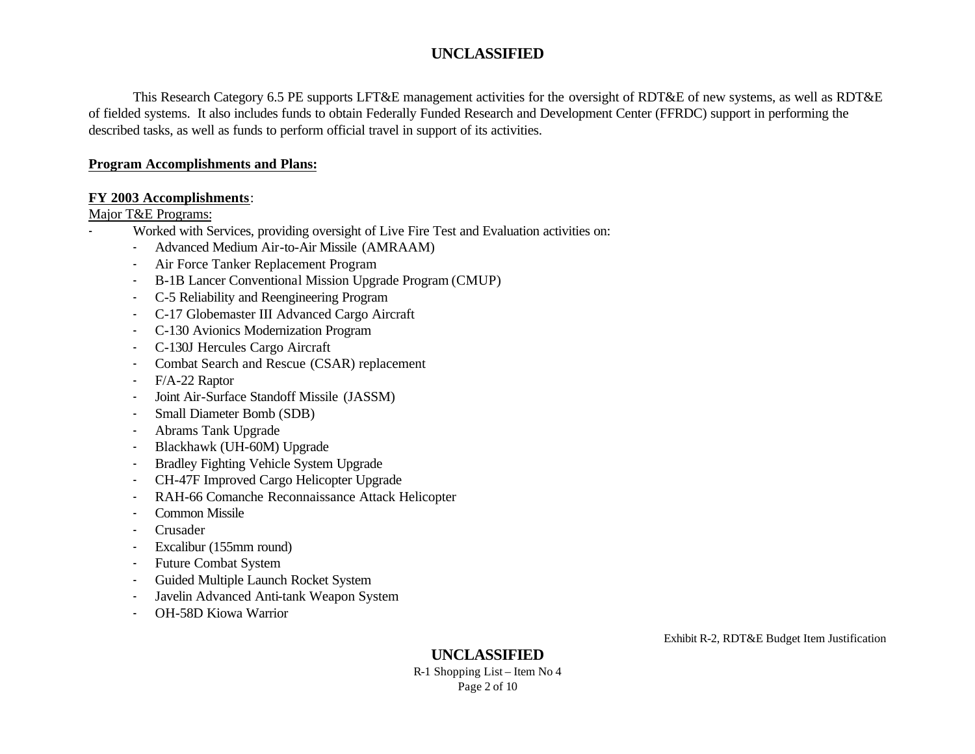This Research Category 6.5 PE supports LFT&E management activities for the oversight of RDT&E of new systems, as well as RDT&E of fielded systems. It also includes funds to obtain Federally Funded Research and Development Center (FFRDC) support in performing the described tasks, as well as funds to perform official travel in support of its activities.

#### **Program Accomplishments and Plans:**

#### **FY 2003 Accomplishments**:

#### Major T&E Programs:

- Worked with Services, providing oversight of Live Fire Test and Evaluation activities on:
	- Advanced Medium Air-to-Air Missile (AMRAAM)
	- Air Force Tanker Replacement Program
	- B-1B Lancer Conventional Mission Upgrade Program (CMUP)
	- C-5 Reliability and Reengineering Program
	- C-17 Globemaster III Advanced Cargo Aircraft
	- C-130 Avionics Modernization Program
	- C-130J Hercules Cargo Aircraft
	- Combat Search and Rescue (CSAR) replacement
	- F/A-22 Raptor
	- Joint Air-Surface Standoff Missile (JASSM)
	- Small Diameter Bomb (SDB)
	- Abrams Tank Upgrade
	- Blackhawk (UH-60M) Upgrade
	- Bradley Fighting Vehicle System Upgrade
	- CH-47F Improved Cargo Helicopter Upgrade
	- RAH-66 Comanche Reconnaissance Attack Helicopter
	- Common Missile
	- Crusader
	- Excalibur (155mm round)
	- Future Combat System
	- Guided Multiple Launch Rocket System
	- Javelin Advanced Anti-tank Weapon System
	- OH-58D Kiowa Warrior

Exhibit R-2, RDT&E Budget Item Justification

**UNCLASSIFIED** R-1 Shopping List – Item No 4 Page 2 of 10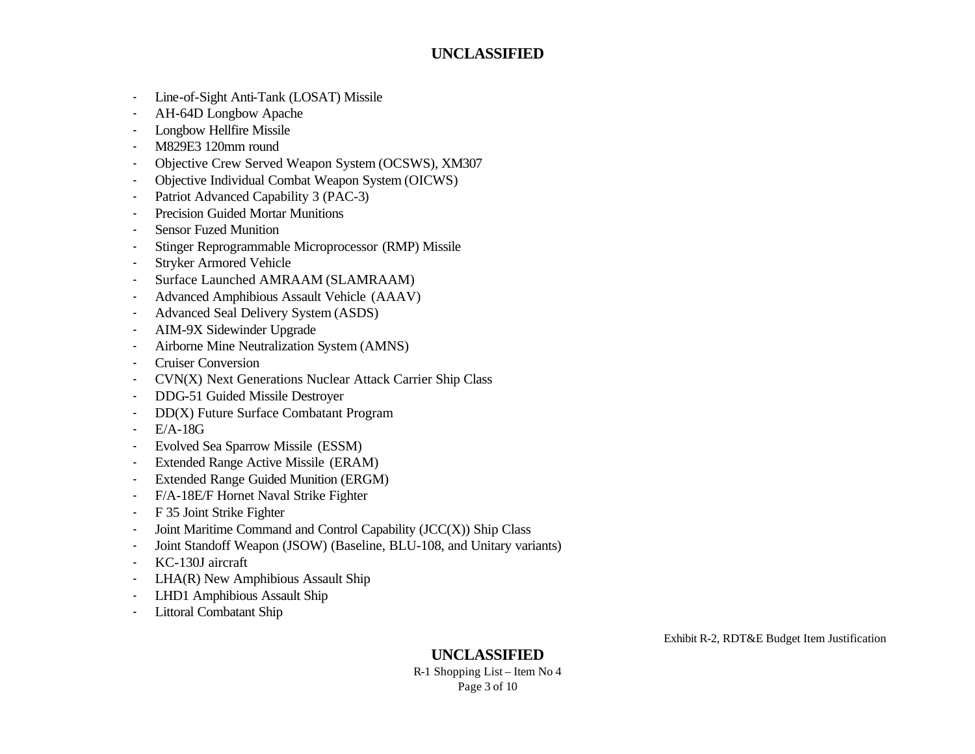- Line-of-Sight Anti-Tank (LOSAT) Missile
- AH-64D Longbow Apache
- Longbow Hellfire Missile
- M829E3 120mm round
- Objective Crew Served Weapon System (OCSWS), XM307
- Objective Individual Combat Weapon System (OICWS)
- Patriot Advanced Capability 3 (PAC-3)
- Precision Guided Mortar Munitions
- **Sensor Fuzed Munition**
- Stinger Reprogrammable Microprocessor (RMP) Missile
- Stryker Armored Vehicle
- Surface Launched AMRAAM (SLAMRAAM)
- Advanced Amphibious Assault Vehicle (AAAV)
- Advanced Seal Delivery System (ASDS)
- AIM-9X Sidewinder Upgrade
- Airborne Mine Neutralization System (AMNS)
- Cruiser Conversion
- CVN(X) Next Generations Nuclear Attack Carrier Ship Class
- DDG-51 Guided Missile Destroyer
- DD(X) Future Surface Combatant Program
- E/A-18G
- Evolved Sea Sparrow Missile (ESSM)
- Extended Range Active Missile (ERAM)
- Extended Range Guided Munition (ERGM)
- F/A-18E/F Hornet Naval Strike Fighter
- F 35 Joint Strike Fighter
- Joint Maritime Command and Control Capability (JCC(X)) Ship Class
- Joint Standoff Weapon (JSOW) (Baseline, BLU-108, and Unitary variants)
- KC-130J aircraft
- LHA(R) New Amphibious Assault Ship
- LHD1 Amphibious Assault Ship
- Littoral Combatant Ship

Exhibit R-2, RDT&E Budget Item Justification

**UNCLASSIFIED** R-1 Shopping List – Item No 4 Page 3 of 10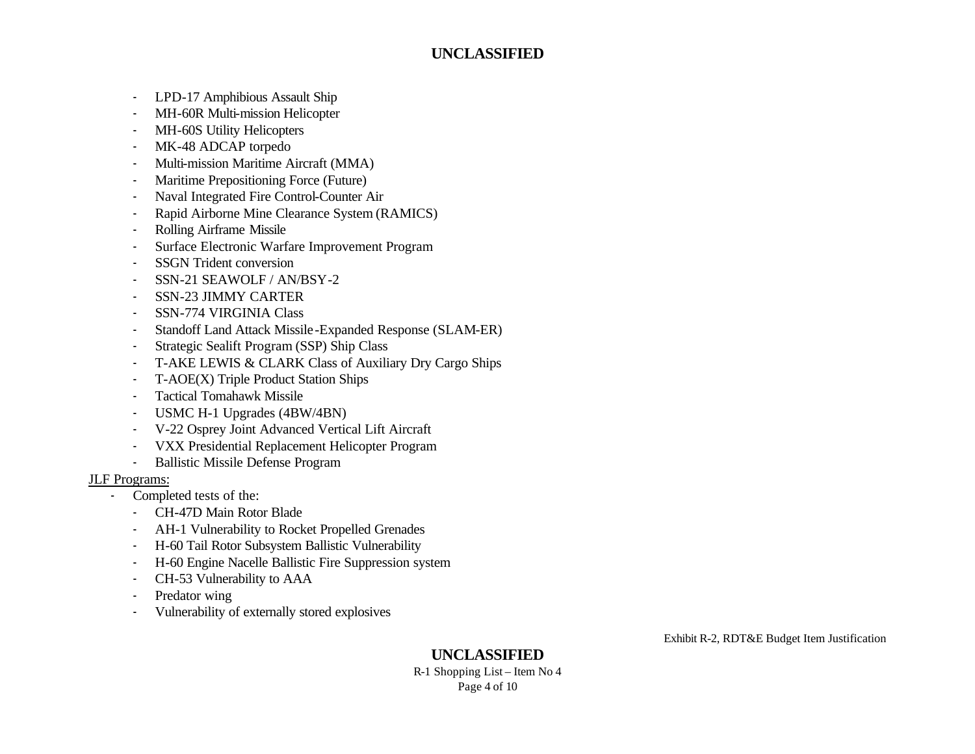- LPD-17 Amphibious Assault Ship
- MH-60R Multi-mission Helicopter
- MH-60S Utility Helicopters
- MK-48 ADCAP torpedo
- Multi-mission Maritime Aircraft (MMA)
- Maritime Prepositioning Force (Future)
- Naval Integrated Fire Control-Counter Air
- Rapid Airborne Mine Clearance System (RAMICS)
- Rolling Airframe Missile
- Surface Electronic Warfare Improvement Program
- SSGN Trident conversion
- SSN-21 SEAWOLF / AN/BSY-2
- SSN-23 JIMMY CARTER
- SSN-774 VIRGINIA Class
- Standoff Land Attack Missile -Expanded Response (SLAM-ER)
- Strategic Sealift Program (SSP) Ship Class
- T-AKE LEWIS & CLARK Class of Auxiliary Dry Cargo Ships
- T-AOE(X) Triple Product Station Ships
- Tactical Tomahawk Missile
- USMC H-1 Upgrades (4BW/4BN)
- V-22 Osprey Joint Advanced Vertical Lift Aircraft
- VXX Presidential Replacement Helicopter Program
- Ballistic Missile Defense Program

#### JLF Programs:

- Completed tests of the:
	- CH-47D Main Rotor Blade
	- AH-1 Vulnerability to Rocket Propelled Grenades
	- H-60 Tail Rotor Subsystem Ballistic Vulnerability
	- H-60 Engine Nacelle Ballistic Fire Suppression system
	- CH-53 Vulnerability to AAA
	- Predator wing
	- Vulnerability of externally stored explosives

Exhibit R-2, RDT&E Budget Item Justification

**UNCLASSIFIED** R-1 Shopping List – Item No 4 Page 4 of 10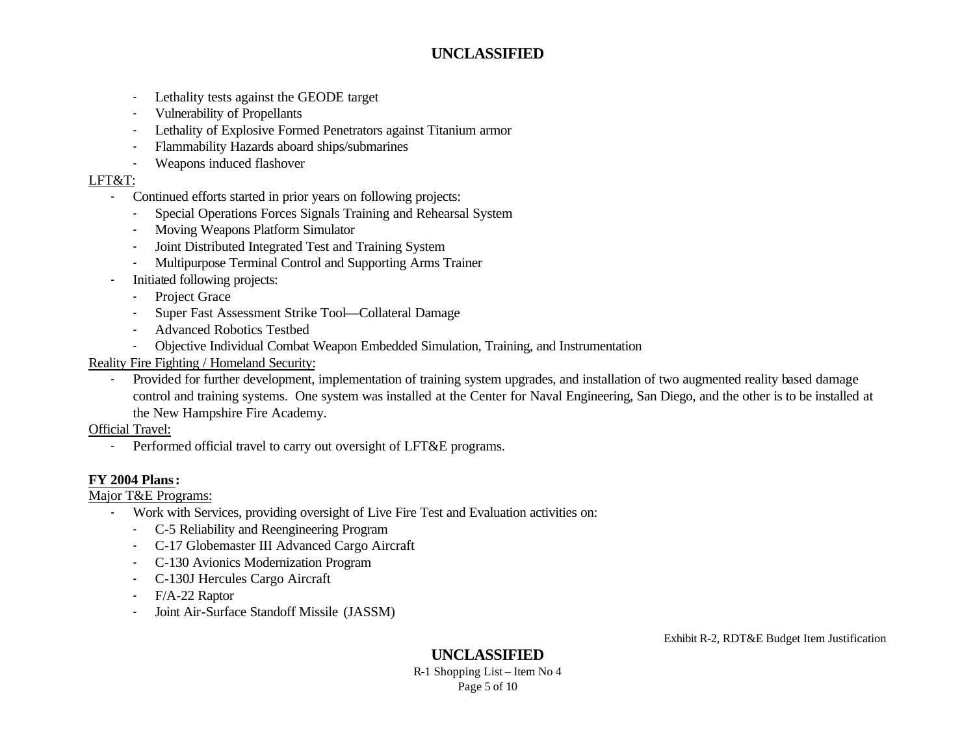- Lethality tests against the GEODE target
- Vulnerability of Propellants
- Lethality of Explosive Formed Penetrators against Titanium armor
- Flammability Hazards aboard ships/submarines
- Weapons induced flashover

#### LFT&T:

- Continued efforts started in prior years on following projects:
	- Special Operations Forces Signals Training and Rehearsal System
	- Moving Weapons Platform Simulator
	- Joint Distributed Integrated Test and Training System
	- Multipurpose Terminal Control and Supporting Arms Trainer
- Initiated following projects:
	- Project Grace
	- Super Fast Assessment Strike Tool-Collateral Damage
	- Advanced Robotics Testbed
	- Objective Individual Combat Weapon Embedded Simulation, Training, and Instrumentation
- Reality Fire Fighting / Homeland Security:
	- Provided for further development, implementation of training system upgrades, and installation of two augmented reality based damage control and training systems. One system was installed at the Center for Naval Engineering, San Diego, and the other is to be installed at the New Hampshire Fire Academy.

## Official Travel:

- Performed official travel to carry out oversight of LFT&E programs.

## **FY 2004 Plans:**

Major T&E Programs:

- Work with Services, providing oversight of Live Fire Test and Evaluation activities on:
	- C-5 Reliability and Reengineering Program
	- C-17 Globemaster III Advanced Cargo Aircraft
	- C-130 Avionics Modernization Program
	- C-130J Hercules Cargo Aircraft
	- F/A-22 Raptor
	- Joint Air-Surface Standoff Missile (JASSM)

Exhibit R-2, RDT&E Budget Item Justification

**UNCLASSIFIED** R-1 Shopping List – Item No 4 Page 5 of 10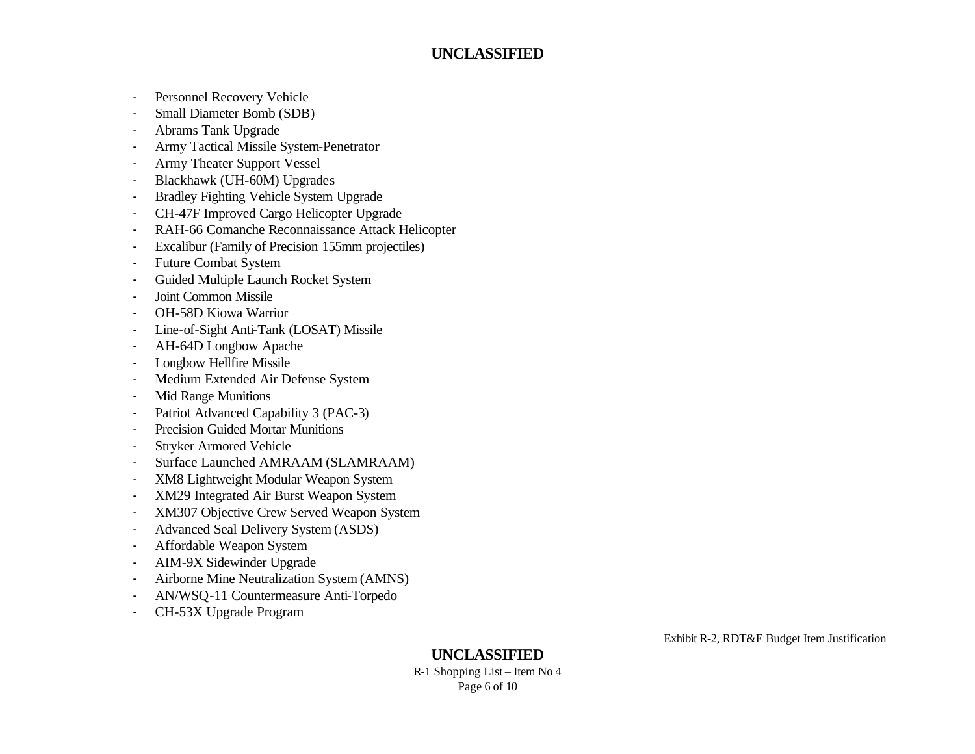- Personnel Recovery Vehicle
- Small Diameter Bomb (SDB)
- Abrams Tank Upgrade
- Army Tactical Missile System-Penetrator
- Army Theater Support Vessel
- Blackhawk (UH-60M) Upgrades
- Bradley Fighting Vehicle System Upgrade
- CH-47F Improved Cargo Helicopter Upgrade
- RAH-66 Comanche Reconnaissance Attack Helicopter
- Excalibur (Family of Precision 155mm projectiles)
- Future Combat System
- Guided Multiple Launch Rocket System
- Joint Common Missile
- OH-58D Kiowa Warrior
- Line-of-Sight Anti-Tank (LOSAT) Missile
- AH-64D Longbow Apache
- Longbow Hellfire Missile
- Medium Extended Air Defense System
- Mid Range Munitions
- Patriot Advanced Capability 3 (PAC-3)
- Precision Guided Mortar Munitions
- Stryker Armored Vehicle
- Surface Launched AMRAAM (SLAMRAAM)
- XM8 Lightweight Modular Weapon System
- XM29 Integrated Air Burst Weapon System
- XM307 Objective Crew Served Weapon System
- Advanced Seal Delivery System (ASDS)
- Affordable Weapon System
- AIM-9X Sidewinder Upgrade
- Airborne Mine Neutralization System (AMNS)
- AN/WSQ-11 Countermeasure Anti-Torpedo
- CH-53X Upgrade Program

Exhibit R-2, RDT&E Budget Item Justification

**UNCLASSIFIED** R-1 Shopping List – Item No 4 Page 6 of 10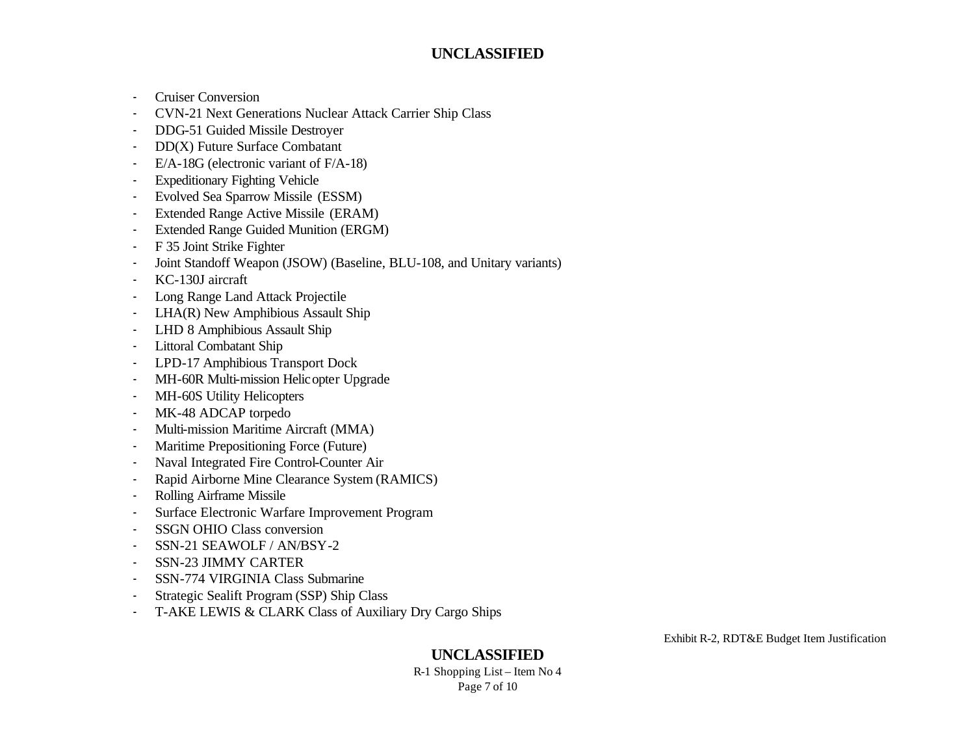- Cruiser Conversion
- CVN-21 Next Generations Nuclear Attack Carrier Ship Class
- DDG-51 Guided Missile Destroyer
- DD(X) Future Surface Combatant
- E/A-18G (electronic variant of F/A-18)
- **Expeditionary Fighting Vehicle**
- Evolved Sea Sparrow Missile (ESSM)
- Extended Range Active Missile (ERAM)
- Extended Range Guided Munition (ERGM)
- F 35 Joint Strike Fighter
- Joint Standoff Weapon (JSOW) (Baseline, BLU-108, and Unitary variants)
- KC-130J aircraft
- Long Range Land Attack Projectile
- LHA(R) New Amphibious Assault Ship
- LHD 8 Amphibious Assault Ship
- Littoral Combatant Ship
- LPD-17 Amphibious Transport Dock
- MH-60R Multi-mission Helicopter Upgrade
- MH-60S Utility Helicopters
- MK-48 ADCAP torpedo
- Multi-mission Maritime Aircraft (MMA)
- Maritime Prepositioning Force (Future)
- Naval Integrated Fire Control-Counter Air
- Rapid Airborne Mine Clearance System (RAMICS)
- Rolling Airframe Missile
- Surface Electronic Warfare Improvement Program
- SSGN OHIO Class conversion
- SSN-21 SEAWOLF / AN/BSY-2
- SSN-23 JIMMY CARTER
- SSN-774 VIRGINIA Class Submarine
- Strategic Sealift Program (SSP) Ship Class
- T-AKE LEWIS & CLARK Class of Auxiliary Dry Cargo Ships

Exhibit R-2, RDT&E Budget Item Justification

#### **UNCLASSIFIED** R-1 Shopping List – Item No 4 Page 7 of 10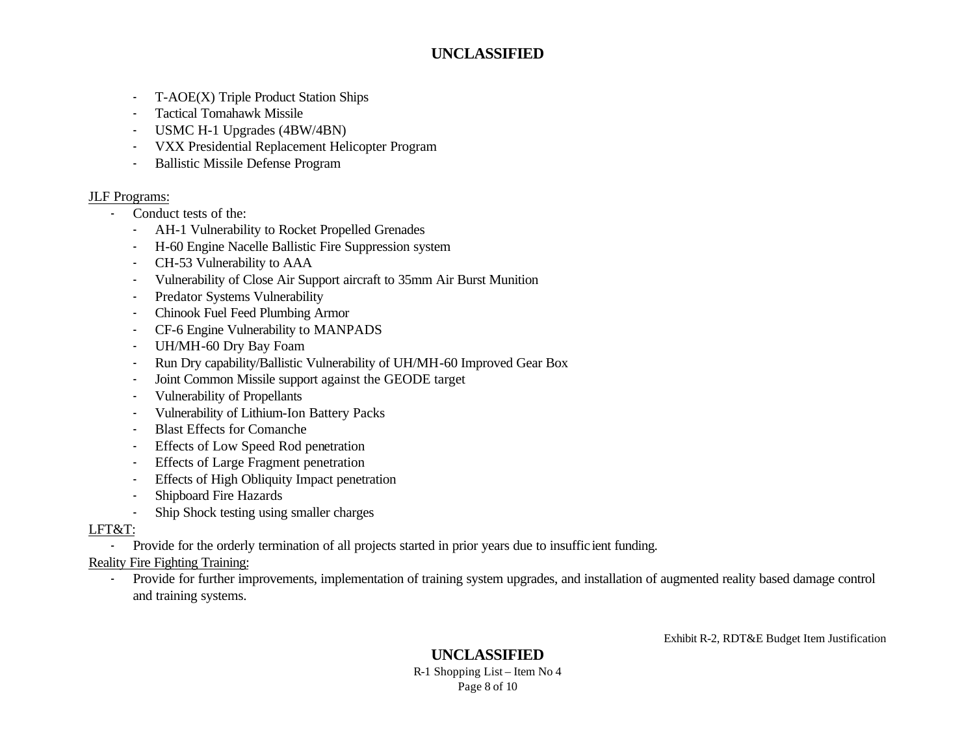- T-AOE(X) Triple Product Station Ships
- Tactical Tomahawk Missile
- USMC H-1 Upgrades (4BW/4BN)
- VXX Presidential Replacement Helicopter Program
- Ballistic Missile Defense Program

#### JLF Programs:

- Conduct tests of the:
	- AH-1 Vulnerability to Rocket Propelled Grenades
	- H-60 Engine Nacelle Ballistic Fire Suppression system
	- CH-53 Vulnerability to AAA
	- Vulnerability of Close Air Support aircraft to 35mm Air Burst Munition
	- Predator Systems Vulnerability
	- Chinook Fuel Feed Plumbing Armor
	- CF-6 Engine Vulnerability to MANPADS
	- UH/MH-60 Dry Bay Foam
	- Run Dry capability/Ballistic Vulnerability of UH/MH-60 Improved Gear Box
	- Joint Common Missile support against the GEODE target
	- Vulnerability of Propellants
	- Vulnerability of Lithium-Ion Battery Packs
	- Blast Effects for Comanche
	- Effects of Low Speed Rod penetration
	- Effects of Large Fragment penetration
	- Effects of High Obliquity Impact penetration
	- Shipboard Fire Hazards
	- Ship Shock testing using smaller charges

## LFT&T:

- Provide for the orderly termination of all projects started in prior years due to insuffic ient funding.

## Reality Fire Fighting Training:

- Provide for further improvements, implementation of training system upgrades, and installation of augmented reality based damage control and training systems.

Exhibit R-2, RDT&E Budget Item Justification

#### **UNCLASSIFIED** R-1 Shopping List – Item No 4 Page 8 of 10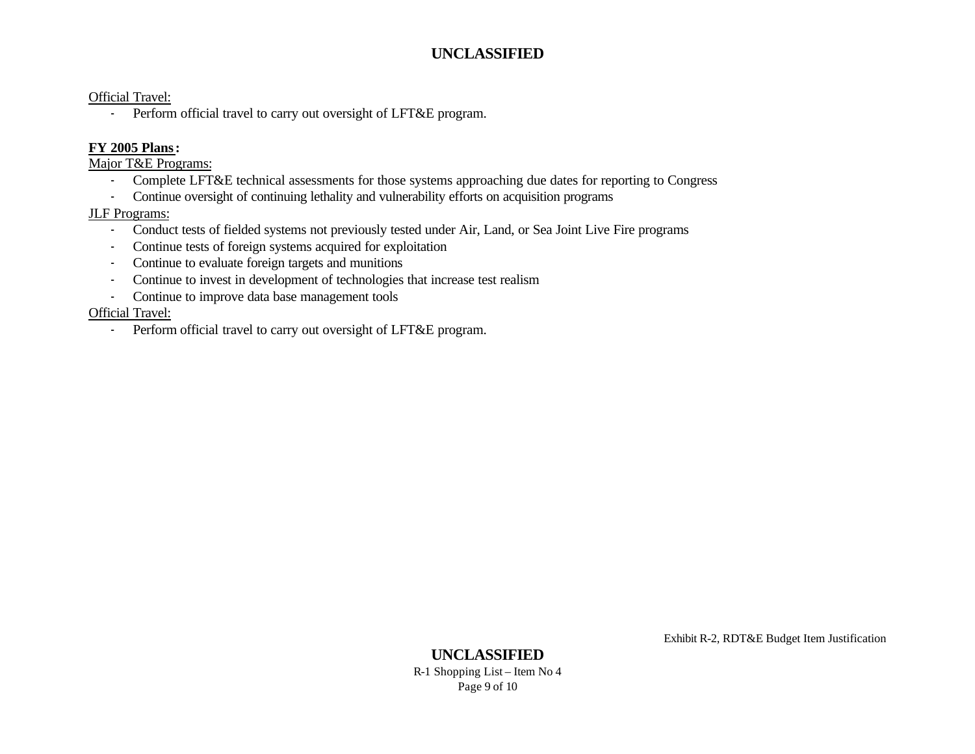Official Travel:

- Perform official travel to carry out oversight of LFT&E program.

#### **FY 2005 Plans:**

Major T&E Programs:

- Complete LFT&E technical assessments for those systems approaching due dates for reporting to Congress
- Continue oversight of continuing lethality and vulnerability efforts on acquisition programs

#### JLF Programs:

- Conduct tests of fielded systems not previously tested under Air, Land, or Sea Joint Live Fire programs
- Continue tests of foreign systems acquired for exploitation
- Continue to evaluate foreign targets and munitions
- Continue to invest in development of technologies that increase test realism
- Continue to improve data base management tools

#### Official Travel:

- Perform official travel to carry out oversight of LFT&E program.

Exhibit R-2, RDT&E Budget Item Justification

#### **UNCLASSIFIED** R-1 Shopping List – Item No 4 Page 9 of 10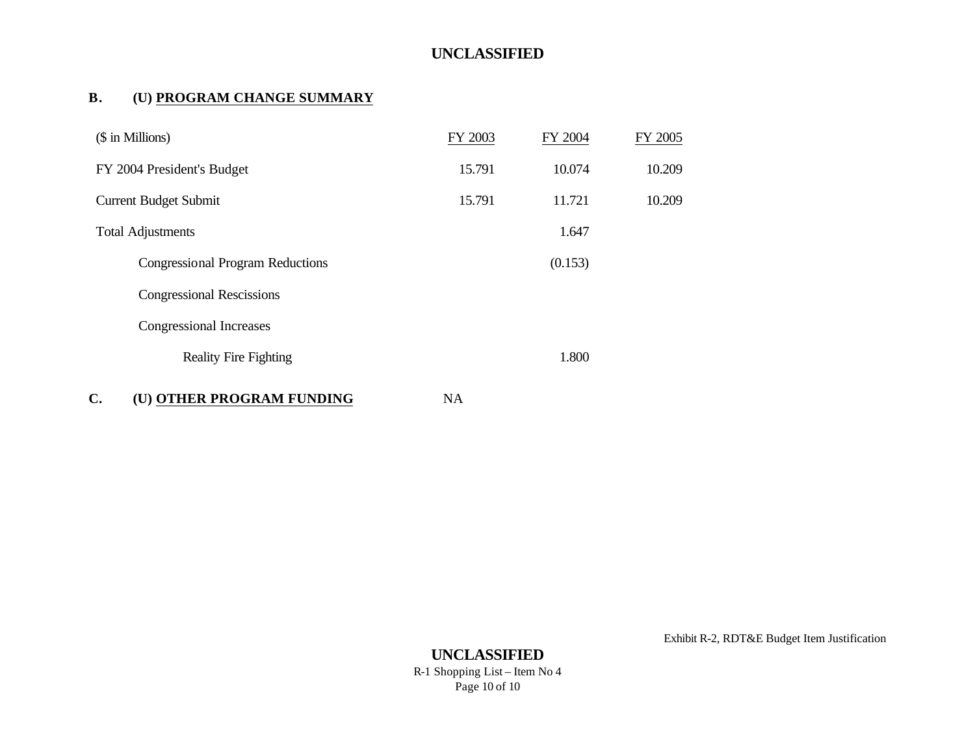### **B. (U) PROGRAM CHANGE SUMMARY**

| (\$ in Millions)                            | FY 2003   | FY 2004 | FY 2005 |
|---------------------------------------------|-----------|---------|---------|
| FY 2004 President's Budget                  | 15.791    | 10.074  | 10.209  |
| <b>Current Budget Submit</b>                | 15.791    | 11.721  | 10.209  |
| <b>Total Adjustments</b>                    |           | 1.647   |         |
| <b>Congressional Program Reductions</b>     |           | (0.153) |         |
| <b>Congressional Rescissions</b>            |           |         |         |
| Congressional Increases                     |           |         |         |
| <b>Reality Fire Fighting</b>                |           | 1.800   |         |
| $\mathbf{C}$ .<br>(U) OTHER PROGRAM FUNDING | <b>NA</b> |         |         |

Exhibit R-2, RDT&E Budget Item Justification

**UNCLASSIFIED** R-1 Shopping List – Item No 4 Page 10 of 10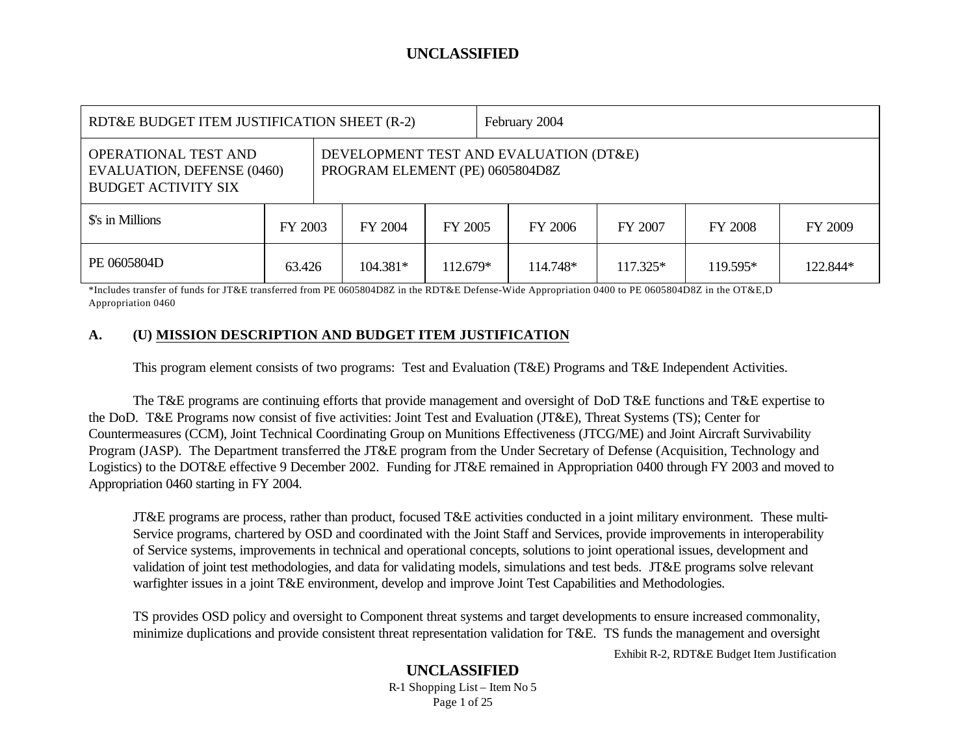| RDT&E BUDGET ITEM JUSTIFICATION SHEET (R-2)                                                                                                                                 |         |  |            |          | February 2004 |          |            |          |          |
|-----------------------------------------------------------------------------------------------------------------------------------------------------------------------------|---------|--|------------|----------|---------------|----------|------------|----------|----------|
| DEVELOPMENT TEST AND EVALUATION (DT&E)<br><b>OPERATIONAL TEST AND</b><br>PROGRAM ELEMENT (PE) 0605804D8Z<br><b>EVALUATION, DEFENSE (0460)</b><br><b>BUDGET ACTIVITY SIX</b> |         |  |            |          |               |          |            |          |          |
| \$'s in Millions                                                                                                                                                            | FY 2003 |  | FY 2004    | FY 2005  |               | FY 2006  | FY 2007    | FY 2008  | FY 2009  |
| PE 0605804D                                                                                                                                                                 | 63.426  |  | $104.381*$ | 112.679* |               | 114.748* | $117.325*$ | 119.595* | 122.844* |

\*Includes transfer of funds for JT&E transferred from PE 0605804D8Z in the RDT&E Defense-Wide Appropriation 0400 to PE 0605804D8Z in the OT&E,D Appropriation 0460

#### **A. (U) MISSION DESCRIPTION AND BUDGET ITEM JUSTIFICATION**

This program element consists of two programs: Test and Evaluation (T&E) Programs and T&E Independent Activities.

The T&E programs are continuing efforts that provide management and oversight of DoD T&E functions and T&E expertise to the DoD. T&E Programs now consist of five activities: Joint Test and Evaluation (JT&E), Threat Systems (TS); Center for Countermeasures (CCM), Joint Technical Coordinating Group on Munitions Effectiveness (JTCG/ME) and Joint Aircraft Survivability Program (JASP). The Department transferred the JT&E program from the Under Secretary of Defense (Acquisition, Technology and Logistics) to the DOT&E effective 9 December 2002. Funding for JT&E remained in Appropriation 0400 through FY 2003 and moved to Appropriation 0460 starting in FY 2004.

JT&E programs are process, rather than product, focused T&E activities conducted in a joint military environment. These multi-Service programs, chartered by OSD and coordinated with the Joint Staff and Services, provide improvements in interoperability of Service systems, improvements in technical and operational concepts, solutions to joint operational issues, development and validation of joint test methodologies, and data for validating models, simulations and test beds. JT&E programs solve relevant warfighter issues in a joint T&E environment, develop and improve Joint Test Capabilities and Methodologies.

TS provides OSD policy and oversight to Component threat systems and target developments to ensure increased commonality, minimize duplications and provide consistent threat representation validation for T&E. TS funds the management and oversight

Exhibit R-2, RDT&E Budget Item Justification

## **UNCLASSIFIED**

R-1 Shopping List – Item No 5 Page 1 of 25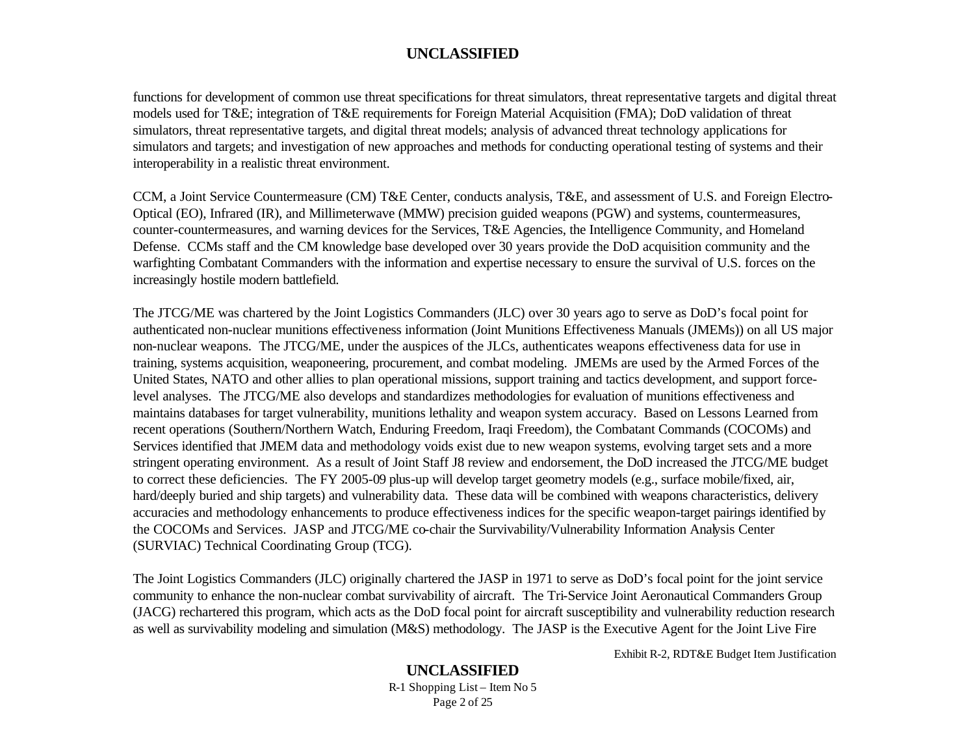functions for development of common use threat specifications for threat simulators, threat representative targets and digital threat models used for T&E; integration of T&E requirements for Foreign Material Acquisition (FMA); DoD validation of threat simulators, threat representative targets, and digital threat models; analysis of advanced threat technology applications for simulators and targets; and investigation of new approaches and methods for conducting operational testing of systems and their interoperability in a realistic threat environment.

CCM, a Joint Service Countermeasure (CM) T&E Center, conducts analysis, T&E, and assessment of U.S. and Foreign Electro-Optical (EO), Infrared (IR), and Millimeterwave (MMW) precision guided weapons (PGW) and systems, countermeasures, counter-countermeasures, and warning devices for the Services, T&E Agencies, the Intelligence Community, and Homeland Defense. CCMs staff and the CM knowledge base developed over 30 years provide the DoD acquisition community and the warfighting Combatant Commanders with the information and expertise necessary to ensure the survival of U.S. forces on the increasingly hostile modern battlefield.

The JTCG/ME was chartered by the Joint Logistics Commanders (JLC) over 30 years ago to serve as DoD's focal point for authenticated non-nuclear munitions effectiveness information (Joint Munitions Effectiveness Manuals (JMEMs)) on all US major non-nuclear weapons. The JTCG/ME, under the auspices of the JLCs, authenticates weapons effectiveness data for use in training, systems acquisition, weaponeering, procurement, and combat modeling. JMEMs are used by the Armed Forces of the United States, NATO and other allies to plan operational missions, support training and tactics development, and support forcelevel analyses. The JTCG/ME also develops and standardizes methodologies for evaluation of munitions effectiveness and maintains databases for target vulnerability, munitions lethality and weapon system accuracy. Based on Lessons Learned from recent operations (Southern/Northern Watch, Enduring Freedom, Iraqi Freedom), the Combatant Commands (COCOMs) and Services identified that JMEM data and methodology voids exist due to new weapon systems, evolving target sets and a more stringent operating environment. As a result of Joint Staff J8 review and endorsement, the DoD increased the JTCG/ME budget to correct these deficiencies. The FY 2005-09 plus-up will develop target geometry models (e.g., surface mobile/fixed, air, hard/deeply buried and ship targets) and vulnerability data. These data will be combined with weapons characteristics, delivery accuracies and methodology enhancements to produce effectiveness indices for the specific weapon-target pairings identified by the COCOMs and Services. JASP and JTCG/ME co-chair the Survivability/Vulnerability Information Analysis Center (SURVIAC) Technical Coordinating Group (TCG).

The Joint Logistics Commanders (JLC) originally chartered the JASP in 1971 to serve as DoD's focal point for the joint service community to enhance the non-nuclear combat survivability of aircraft. The Tri-Service Joint Aeronautical Commanders Group (JACG) rechartered this program, which acts as the DoD focal point for aircraft susceptibility and vulnerability reduction research as well as survivability modeling and simulation (M&S) methodology. The JASP is the Executive Agent for the Joint Live Fire

Exhibit R-2, RDT&E Budget Item Justification

# **UNCLASSIFIED**

R-1 Shopping List – Item No 5 Page 2 of 25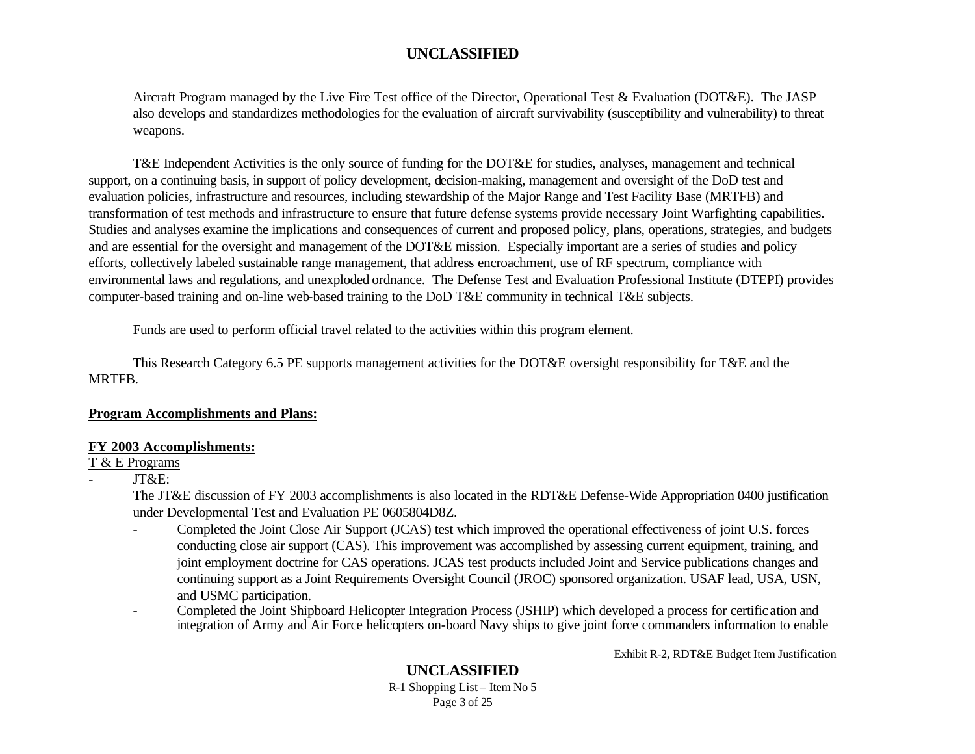Aircraft Program managed by the Live Fire Test office of the Director, Operational Test & Evaluation (DOT&E). The JASP also develops and standardizes methodologies for the evaluation of aircraft survivability (susceptibility and vulnerability) to threat weapons.

T&E Independent Activities is the only source of funding for the DOT&E for studies, analyses, management and technical support, on a continuing basis, in support of policy development, decision-making, management and oversight of the DoD test and evaluation policies, infrastructure and resources, including stewardship of the Major Range and Test Facility Base (MRTFB) and transformation of test methods and infrastructure to ensure that future defense systems provide necessary Joint Warfighting capabilities. Studies and analyses examine the implications and consequences of current and proposed policy, plans, operations, strategies, and budgets and are essential for the oversight and management of the DOT&E mission. Especially important are a series of studies and policy efforts, collectively labeled sustainable range management, that address encroachment, use of RF spectrum, compliance with environmental laws and regulations, and unexploded ordnance. The Defense Test and Evaluation Professional Institute (DTEPI) provides computer-based training and on-line web-based training to the DoD T&E community in technical T&E subjects.

Funds are used to perform official travel related to the activities within this program element.

This Research Category 6.5 PE supports management activities for the DOT&E oversight responsibility for T&E and the MRTFB.

#### **Program Accomplishments and Plans:**

#### **FY 2003 Accomplishments:**

#### T & E Programs

- JT&E:

The JT&E discussion of FY 2003 accomplishments is also located in the RDT&E Defense-Wide Appropriation 0400 justification under Developmental Test and Evaluation PE 0605804D8Z.

- Completed the Joint Close Air Support (JCAS) test which improved the operational effectiveness of joint U.S. forces conducting close air support (CAS). This improvement was accomplished by assessing current equipment, training, and joint employment doctrine for CAS operations. JCAS test products included Joint and Service publications changes and continuing support as a Joint Requirements Oversight Council (JROC) sponsored organization. USAF lead, USA, USN, and USMC participation.
- Completed the Joint Shipboard Helicopter Integration Process (JSHIP) which developed a process for certific ation and integration of Army and Air Force helicopters on-board Navy ships to give joint force commanders information to enable

Exhibit R-2, RDT&E Budget Item Justification

#### **UNCLASSIFIED**

R-1 Shopping List – Item No 5 Page 3 of 25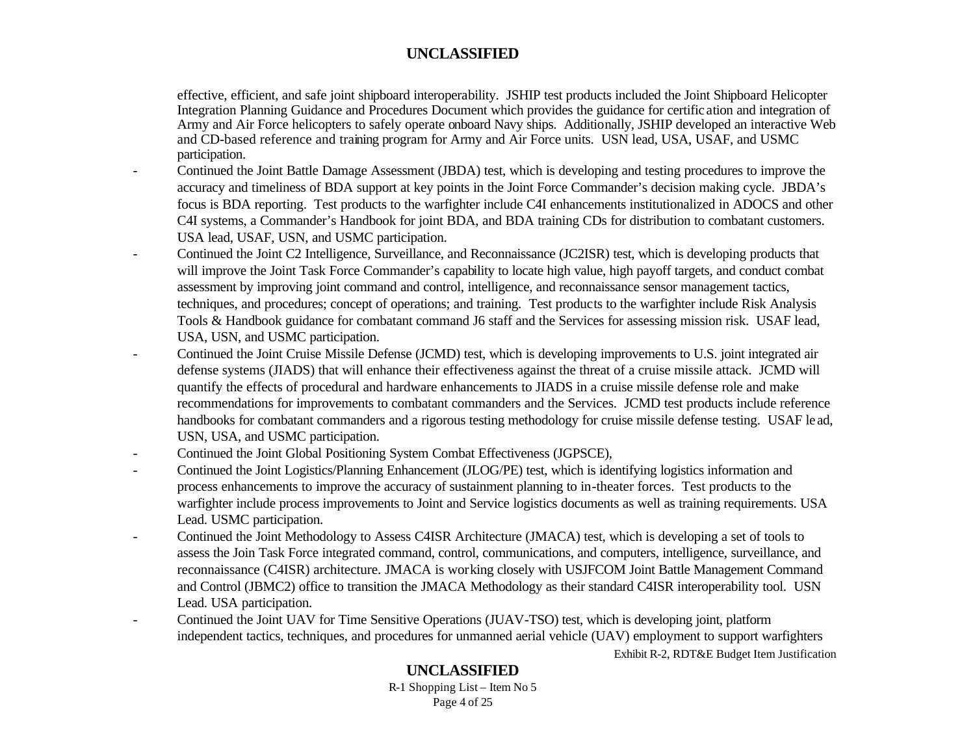effective, efficient, and safe joint shipboard interoperability. JSHIP test products included the Joint Shipboard Helicopter Integration Planning Guidance and Procedures Document which provides the guidance for certific ation and integration of Army and Air Force helicopters to safely operate onboard Navy ships. Additionally, JSHIP developed an interactive Web and CD-based reference and training program for Army and Air Force units. USN lead, USA, USAF, and USMC participation.

- Continued the Joint Battle Damage Assessment (JBDA) test, which is developing and testing procedures to improve the accuracy and timeliness of BDA support at key points in the Joint Force Commander's decision making cycle. JBDA's focus is BDA reporting. Test products to the warfighter include C4I enhancements institutionalized in ADOCS and other C4I systems, a Commander's Handbook for joint BDA, and BDA training CDs for distribution to combatant customers. USA lead, USAF, USN, and USMC participation.
- Continued the Joint C2 Intelligence, Surveillance, and Reconnaissance (JC2ISR) test, which is developing products that will improve the Joint Task Force Commander's capability to locate high value, high payoff targets, and conduct combat assessment by improving joint command and control, intelligence, and reconnaissance sensor management tactics, techniques, and procedures; concept of operations; and training. Test products to the warfighter include Risk Analysis Tools & Handbook guidance for combatant command J6 staff and the Services for assessing mission risk. USAF lead, USA, USN, and USMC participation.
- Continued the Joint Cruise Missile Defense (JCMD) test, which is developing improvements to U.S. joint integrated air defense systems (JIADS) that will enhance their effectiveness against the threat of a cruise missile attack. JCMD will quantify the effects of procedural and hardware enhancements to JIADS in a cruise missile defense role and make recommendations for improvements to combatant commanders and the Services. JCMD test products include reference handbooks for combatant commanders and a rigorous testing methodology for cruise missile defense testing. USAF lead, USN, USA, and USMC participation.
- Continued the Joint Global Positioning System Combat Effectiveness (JGPSCE),
- Continued the Joint Logistics/Planning Enhancement (JLOG/PE) test, which is identifying logistics information and process enhancements to improve the accuracy of sustainment planning to in-theater forces. Test products to the warfighter include process improvements to Joint and Service logistics documents as well as training requirements. USA Lead. USMC participation.
- Continued the Joint Methodology to Assess C4ISR Architecture (JMACA) test, which is developing a set of tools to assess the Join Task Force integrated command, control, communications, and computers, intelligence, surveillance, and reconnaissance (C4ISR) architecture. JMACA is working closely with USJFCOM Joint Battle Management Command and Control (JBMC2) office to transition the JMACA Methodology as their standard C4ISR interoperability tool. USN Lead. USA participation.
- Exhibit R-2, RDT&E Budget Item Justification - Continued the Joint UAV for Time Sensitive Operations (JUAV-TSO) test, which is developing joint, platform independent tactics, techniques, and procedures for unmanned aerial vehicle (UAV) employment to support warfighters

## **UNCLASSIFIED**

R-1 Shopping List – Item No 5 Page 4 of 25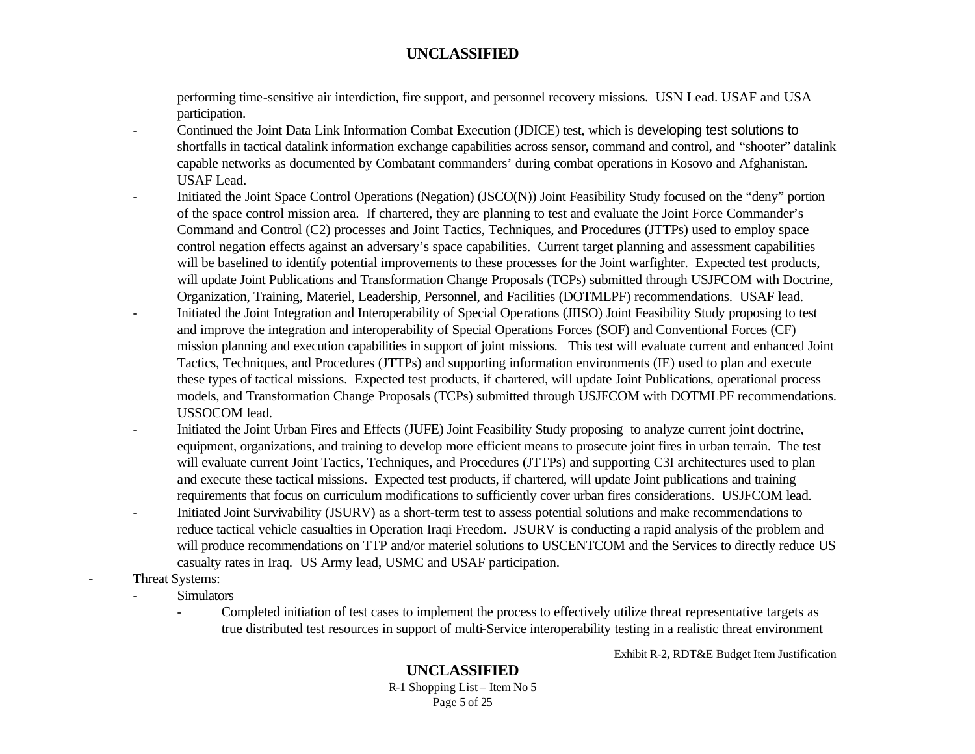performing time-sensitive air interdiction, fire support, and personnel recovery missions. USN Lead. USAF and USA participation.

- Continued the Joint Data Link Information Combat Execution (JDICE) test, which is developing test solutions to shortfalls in tactical datalink information exchange capabilities across sensor, command and control, and "shooter" datalink capable networks as documented by Combatant commanders' during combat operations in Kosovo and Afghanistan. USAF Lead.
- Initiated the Joint Space Control Operations (Negation) (JSCO(N)) Joint Feasibility Study focused on the "deny" portion of the space control mission area. If chartered, they are planning to test and evaluate the Joint Force Commander's Command and Control (C2) processes and Joint Tactics, Techniques, and Procedures (JTTPs) used to employ space control negation effects against an adversary's space capabilities. Current target planning and assessment capabilities will be baselined to identify potential improvements to these processes for the Joint warfighter. Expected test products, will update Joint Publications and Transformation Change Proposals (TCPs) submitted through USJFCOM with Doctrine, Organization, Training, Materiel, Leadership, Personnel, and Facilities (DOTMLPF) recommendations. USAF lead. - Initiated the Joint Integration and Interoperability of Special Operations (JIISO) Joint Feasibility Study proposing to test and improve the integration and interoperability of Special Operations Forces (SOF) and Conventional Forces (CF) mission planning and execution capabilities in support of joint missions. This test will evaluate current and enhanced Joint Tactics, Techniques, and Procedures (JTTPs) and supporting information environments (IE) used to plan and execute these types of tactical missions. Expected test products, if chartered, will update Joint Publications, operational process models, and Transformation Change Proposals (TCPs) submitted through USJFCOM with DOTMLPF recommendations. USSOCOM lead.
- Initiated the Joint Urban Fires and Effects (JUFE) Joint Feasibility Study proposing to analyze current joint doctrine, equipment, organizations, and training to develop more efficient means to prosecute joint fires in urban terrain. The test will evaluate current Joint Tactics, Techniques, and Procedures (JTTPs) and supporting C3I architectures used to plan and execute these tactical missions. Expected test products, if chartered, will update Joint publications and training requirements that focus on curriculum modifications to sufficiently cover urban fires considerations. USJFCOM lead.
- Initiated Joint Survivability (JSURV) as a short-term test to assess potential solutions and make recommendations to reduce tactical vehicle casualties in Operation Iraqi Freedom. JSURV is conducting a rapid analysis of the problem and will produce recommendations on TTP and/or materiel solutions to USCENTCOM and the Services to directly reduce US casualty rates in Iraq. US Army lead, USMC and USAF participation.
- Threat Systems:

**Simulators** 

- Completed initiation of test cases to implement the process to effectively utilize threat representative targets as true distributed test resources in support of multi-Service interoperability testing in a realistic threat environment

Exhibit R-2, RDT&E Budget Item Justification

## **UNCLASSIFIED**

R-1 Shopping List – Item No 5 Page 5 of 25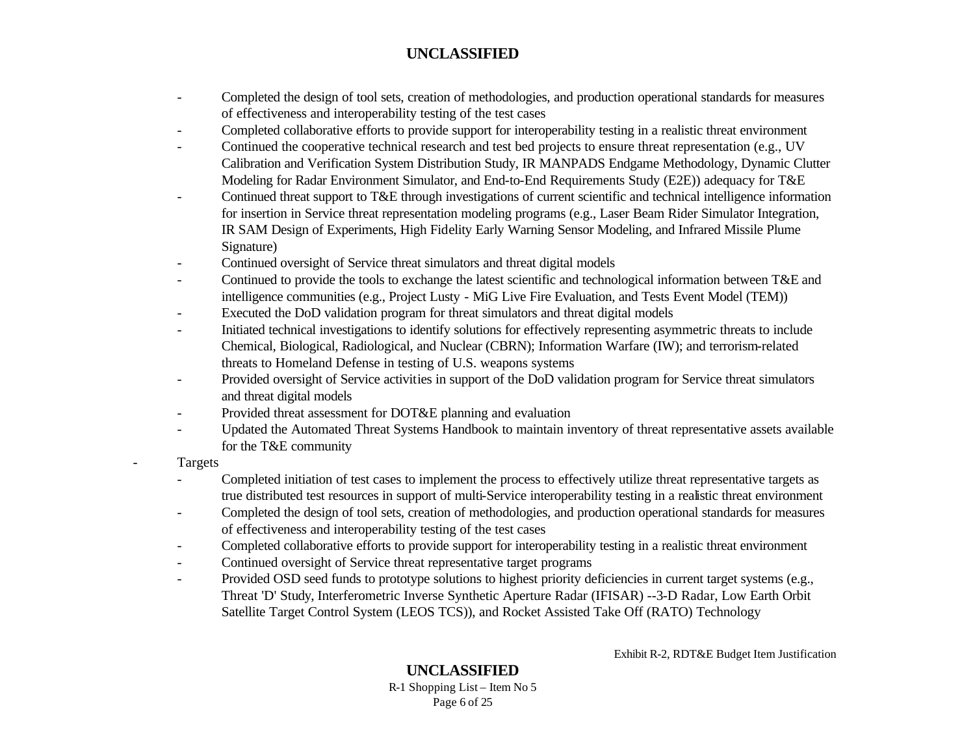- Completed the design of tool sets, creation of methodologies, and production operational standards for measures of effectiveness and interoperability testing of the test cases
- Completed collaborative efforts to provide support for interoperability testing in a realistic threat environment
- Continued the cooperative technical research and test bed projects to ensure threat representation (e.g., UV Calibration and Verification System Distribution Study, IR MANPADS Endgame Methodology, Dynamic Clutter Modeling for Radar Environment Simulator, and End-to-End Requirements Study (E2E)) adequacy for T&E
- Continued threat support to T&E through investigations of current scientific and technical intelligence information for insertion in Service threat representation modeling programs (e.g., Laser Beam Rider Simulator Integration, IR SAM Design of Experiments, High Fidelity Early Warning Sensor Modeling, and Infrared Missile Plume Signature)
- Continued oversight of Service threat simulators and threat digital models
- Continued to provide the tools to exchange the latest scientific and technological information between T&E and intelligence communities (e.g., Project Lusty - MiG Live Fire Evaluation, and Tests Event Model (TEM))
- Executed the DoD validation program for threat simulators and threat digital models
- Initiated technical investigations to identify solutions for effectively representing asymmetric threats to include Chemical, Biological, Radiological, and Nuclear (CBRN); Information Warfare (IW); and terrorism-related threats to Homeland Defense in testing of U.S. weapons systems
- Provided oversight of Service activities in support of the DoD validation program for Service threat simulators and threat digital models
- Provided threat assessment for DOT&E planning and evaluation
- Updated the Automated Threat Systems Handbook to maintain inventory of threat representative assets available for the T&E community
- **Targets** 
	- Completed initiation of test cases to implement the process to effectively utilize threat representative targets as true distributed test resources in support of multi-Service interoperability testing in a realistic threat environment
	- Completed the design of tool sets, creation of methodologies, and production operational standards for measures of effectiveness and interoperability testing of the test cases
	- Completed collaborative efforts to provide support for interoperability testing in a realistic threat environment
	- Continued oversight of Service threat representative target programs
	- Provided OSD seed funds to prototype solutions to highest priority deficiencies in current target systems (e.g., Threat 'D' Study, Interferometric Inverse Synthetic Aperture Radar (IFISAR) --3-D Radar, Low Earth Orbit Satellite Target Control System (LEOS TCS)), and Rocket Assisted Take Off (RATO) Technology

Exhibit R-2, RDT&E Budget Item Justification

#### **UNCLASSIFIED** R-1 Shopping List – Item No 5 Page 6 of 25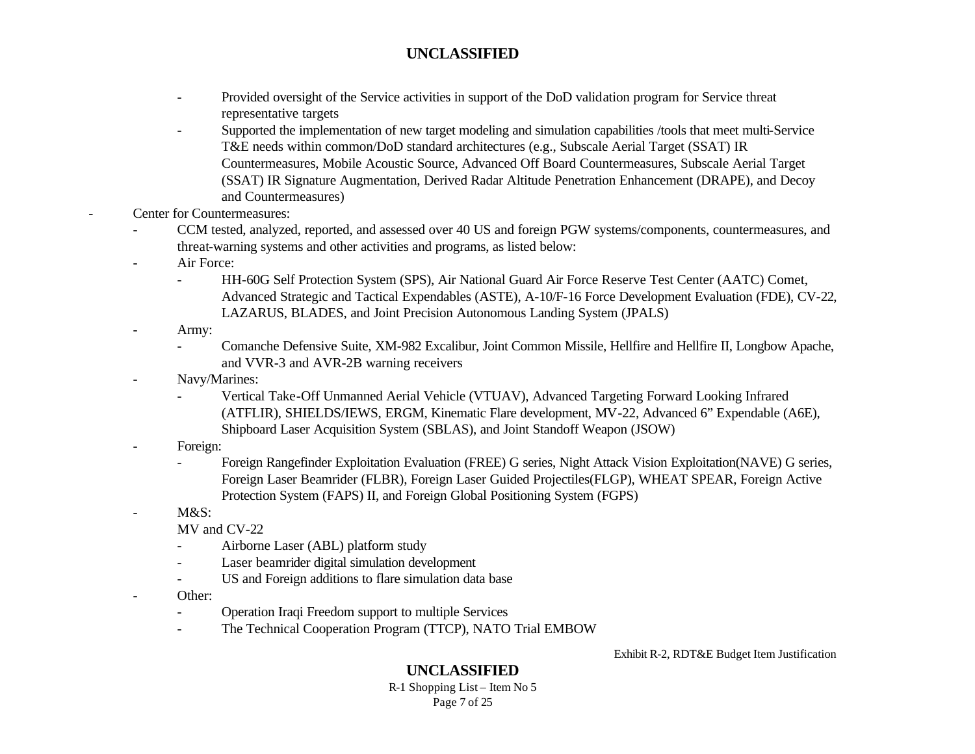- Provided oversight of the Service activities in support of the DoD validation program for Service threat representative targets
- Supported the implementation of new target modeling and simulation capabilities /tools that meet multi-Service T&E needs within common/DoD standard architectures (e.g., Subscale Aerial Target (SSAT) IR Countermeasures, Mobile Acoustic Source, Advanced Off Board Countermeasures, Subscale Aerial Target (SSAT) IR Signature Augmentation, Derived Radar Altitude Penetration Enhancement (DRAPE), and Decoy and Countermeasures)
- Center for Countermeasures:
	- CCM tested, analyzed, reported, and assessed over 40 US and foreign PGW systems/components, countermeasures, and threat-warning systems and other activities and programs, as listed below:
	- Air Force:
		- HH-60G Self Protection System (SPS), Air National Guard Air Force Reserve Test Center (AATC) Comet, Advanced Strategic and Tactical Expendables (ASTE), A-10/F-16 Force Development Evaluation (FDE), CV-22, LAZARUS, BLADES, and Joint Precision Autonomous Landing System (JPALS)
	- Army:
		- Comanche Defensive Suite, XM-982 Excalibur, Joint Common Missile, Hellfire and Hellfire II, Longbow Apache, and VVR-3 and AVR-2B warning receivers
	- Navy/Marines:
		- Vertical Take-Off Unmanned Aerial Vehicle (VTUAV), Advanced Targeting Forward Looking Infrared (ATFLIR), SHIELDS/IEWS, ERGM, Kinematic Flare development, MV-22, Advanced 6" Expendable (A6E), Shipboard Laser Acquisition System (SBLAS), and Joint Standoff Weapon (JSOW)
	- Foreign:
		- Foreign Rangefinder Exploitation Evaluation (FREE) G series, Night Attack Vision Exploitation(NAVE) G series, Foreign Laser Beamrider (FLBR), Foreign Laser Guided Projectiles(FLGP), WHEAT SPEAR, Foreign Active Protection System (FAPS) II, and Foreign Global Positioning System (FGPS)
	- $M&S$ :
		- MV and CV-22
			- Airborne Laser (ABL) platform study
		- Laser beamrider digital simulation development
		- US and Foreign additions to flare simulation data base
	- Other:
		- Operation Iraqi Freedom support to multiple Services
		- The Technical Cooperation Program (TTCP), NATO Trial EMBOW

Exhibit R-2, RDT&E Budget Item Justification

## **UNCLASSIFIED**

R-1 Shopping List – Item No 5 Page 7 of 25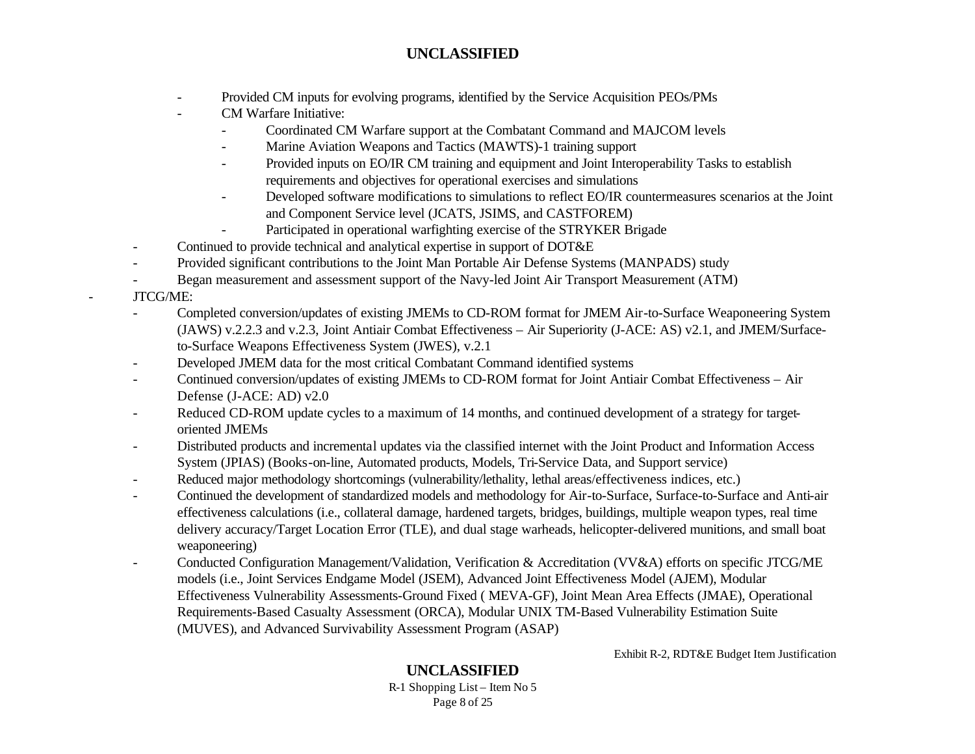- Provided CM inputs for evolving programs, identified by the Service Acquisition PEOs/PMs
- CM Warfare Initiative:
	- Coordinated CM Warfare support at the Combatant Command and MAJCOM levels
	- Marine Aviation Weapons and Tactics (MAWTS)-1 training support
	- Provided inputs on EO/IR CM training and equipment and Joint Interoperability Tasks to establish requirements and objectives for operational exercises and simulations
	- Developed software modifications to simulations to reflect EO/IR countermeasures scenarios at the Joint and Component Service level (JCATS, JSIMS, and CASTFOREM)
	- Participated in operational warfighting exercise of the STRYKER Brigade
- Continued to provide technical and analytical expertise in support of DOT&E
- Provided significant contributions to the Joint Man Portable Air Defense Systems (MANPADS) study
- Began measurement and assessment support of the Navy-led Joint Air Transport Measurement (ATM)
- JTCG/ME:
	- Completed conversion/updates of existing JMEMs to CD-ROM format for JMEM Air-to-Surface Weaponeering System (JAWS) v.2.2.3 and v.2.3, Joint Antiair Combat Effectiveness – Air Superiority (J-ACE: AS) v2.1, and JMEM/Surfaceto-Surface Weapons Effectiveness System (JWES), v.2.1
	- Developed JMEM data for the most critical Combatant Command identified systems
	- Continued conversion/updates of existing JMEMs to CD-ROM format for Joint Antiair Combat Effectiveness Air Defense (J-ACE: AD) v2.0
	- Reduced CD-ROM update cycles to a maximum of 14 months, and continued development of a strategy for targetoriented JMEMs
	- Distributed products and incremental updates via the classified internet with the Joint Product and Information Access System (JPIAS) (Books-on-line, Automated products, Models, Tri-Service Data, and Support service)
	- Reduced major methodology shortcomings (vulnerability/lethality, lethal areas/effectiveness indices, etc.)
	- Continued the development of standardized models and methodology for Air-to-Surface, Surface-to-Surface and Anti-air effectiveness calculations (i.e., collateral damage, hardened targets, bridges, buildings, multiple weapon types, real time delivery accuracy/Target Location Error (TLE), and dual stage warheads, helicopter-delivered munitions, and small boat weaponeering)
	- Conducted Configuration Management/Validation, Verification & Accreditation (VV&A) efforts on specific JTCG/ME models (i.e., Joint Services Endgame Model (JSEM), Advanced Joint Effectiveness Model (AJEM), Modular Effectiveness Vulnerability Assessments-Ground Fixed ( MEVA-GF), Joint Mean Area Effects (JMAE), Operational Requirements-Based Casualty Assessment (ORCA), Modular UNIX TM-Based Vulnerability Estimation Suite (MUVES), and Advanced Survivability Assessment Program (ASAP)

Exhibit R-2, RDT&E Budget Item Justification

# **UNCLASSIFIED**

R-1 Shopping List – Item No 5 Page 8 of 25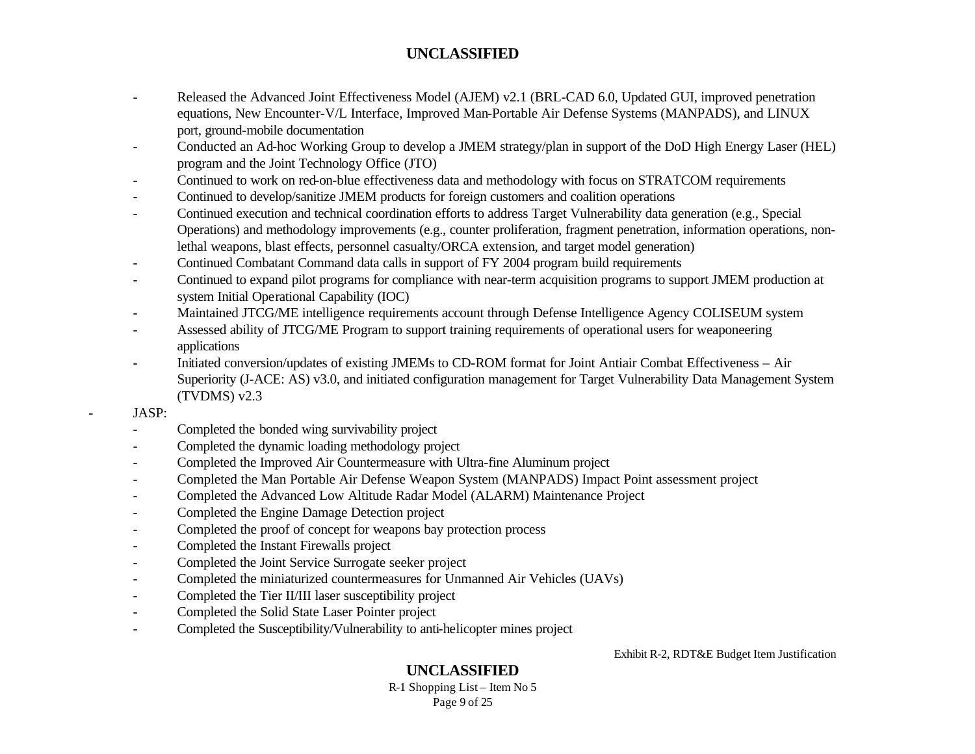- Released the Advanced Joint Effectiveness Model (AJEM) v2.1 (BRL-CAD 6.0, Updated GUI, improved penetration equations, New Encounter-V/L Interface, Improved Man-Portable Air Defense Systems (MANPADS), and LINUX port, ground-mobile documentation
- Conducted an Ad-hoc Working Group to develop a JMEM strategy/plan in support of the DoD High Energy Laser (HEL) program and the Joint Technology Office (JTO)
- Continued to work on red-on-blue effectiveness data and methodology with focus on STRATCOM requirements
- Continued to develop/sanitize JMEM products for foreign customers and coalition operations
- Continued execution and technical coordination efforts to address Target Vulnerability data generation (e.g., Special Operations) and methodology improvements (e.g., counter proliferation, fragment penetration, information operations, nonlethal weapons, blast effects, personnel casualty/ORCA extension, and target model generation)
- Continued Combatant Command data calls in support of FY 2004 program build requirements
- Continued to expand pilot programs for compliance with near-term acquisition programs to support JMEM production at system Initial Operational Capability (IOC)
- Maintained JTCG/ME intelligence requirements account through Defense Intelligence Agency COLISEUM system
- Assessed ability of JTCG/ME Program to support training requirements of operational users for weaponeering applications
- Initiated conversion/updates of existing JMEMs to CD-ROM format for Joint Antiair Combat Effectiveness Air Superiority (J-ACE: AS) v3.0, and initiated configuration management for Target Vulnerability Data Management System (TVDMS) v2.3
- JASP:
	- Completed the bonded wing survivability project
	- Completed the dynamic loading methodology project
	- Completed the Improved Air Countermeasure with Ultra-fine Aluminum project
	- Completed the Man Portable Air Defense Weapon System (MANPADS) Impact Point assessment project
	- Completed the Advanced Low Altitude Radar Model (ALARM) Maintenance Project
	- Completed the Engine Damage Detection project
	- Completed the proof of concept for weapons bay protection process
	- Completed the Instant Firewalls project
	- Completed the Joint Service Surrogate seeker project
	- Completed the miniaturized countermeasures for Unmanned Air Vehicles (UAVs)
	- Completed the Tier II/III laser susceptibility project
	- Completed the Solid State Laser Pointer project
	- Completed the Susceptibility/Vulnerability to anti-helicopter mines project

Exhibit R-2, RDT&E Budget Item Justification

# **UNCLASSIFIED**

R-1 Shopping List – Item No 5 Page 9 of 25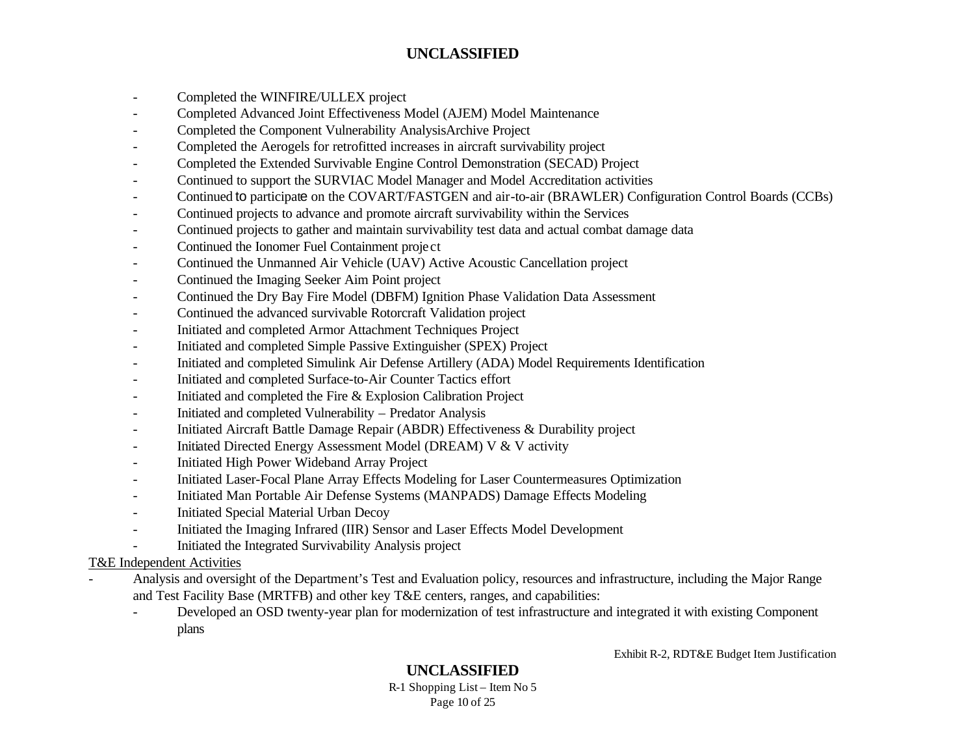- Completed the WINFIRE/ULLEX project
- Completed Advanced Joint Effectiveness Model (AJEM) Model Maintenance
- Completed the Component Vulnerability AnalysisArchive Project
- Completed the Aerogels for retrofitted increases in aircraft survivability project
- Completed the Extended Survivable Engine Control Demonstration (SECAD) Project
- Continued to support the SURVIAC Model Manager and Model Accreditation activities
- Continued to participate on the COVART/FASTGEN and air-to-air (BRAWLER) Configuration Control Boards (CCBs)
- Continued projects to advance and promote aircraft survivability within the Services
- Continued projects to gather and maintain survivability test data and actual combat damage data
- Continued the Ionomer Fuel Containment project
- Continued the Unmanned Air Vehicle (UAV) Active Acoustic Cancellation project
- Continued the Imaging Seeker Aim Point project
- Continued the Dry Bay Fire Model (DBFM) Ignition Phase Validation Data Assessment
- Continued the advanced survivable Rotorcraft Validation project
- Initiated and completed Armor Attachment Techniques Project
- Initiated and completed Simple Passive Extinguisher (SPEX) Project
- Initiated and completed Simulink Air Defense Artillery (ADA) Model Requirements Identification
- Initiated and completed Surface-to-Air Counter Tactics effort
- Initiated and completed the Fire & Explosion Calibration Project
- Initiated and completed Vulnerability Predator Analysis
- Initiated Aircraft Battle Damage Repair (ABDR) Effectiveness & Durability project
- Initiated Directed Energy Assessment Model (DREAM) V & V activity
- Initiated High Power Wideband Array Project
- Initiated Laser-Focal Plane Array Effects Modeling for Laser Countermeasures Optimization
- Initiated Man Portable Air Defense Systems (MANPADS) Damage Effects Modeling
- Initiated Special Material Urban Decoy
- Initiated the Imaging Infrared (IIR) Sensor and Laser Effects Model Development
- Initiated the Integrated Survivability Analysis project

#### T&E Independent Activities

- Analysis and oversight of the Department's Test and Evaluation policy, resources and infrastructure, including the Major Range and Test Facility Base (MRTFB) and other key T&E centers, ranges, and capabilities:
	- Developed an OSD twenty-year plan for modernization of test infrastructure and integrated it with existing Component plans

Exhibit R-2, RDT&E Budget Item Justification

# **UNCLASSIFIED**

R-1 Shopping List – Item No 5 Page 10 of 25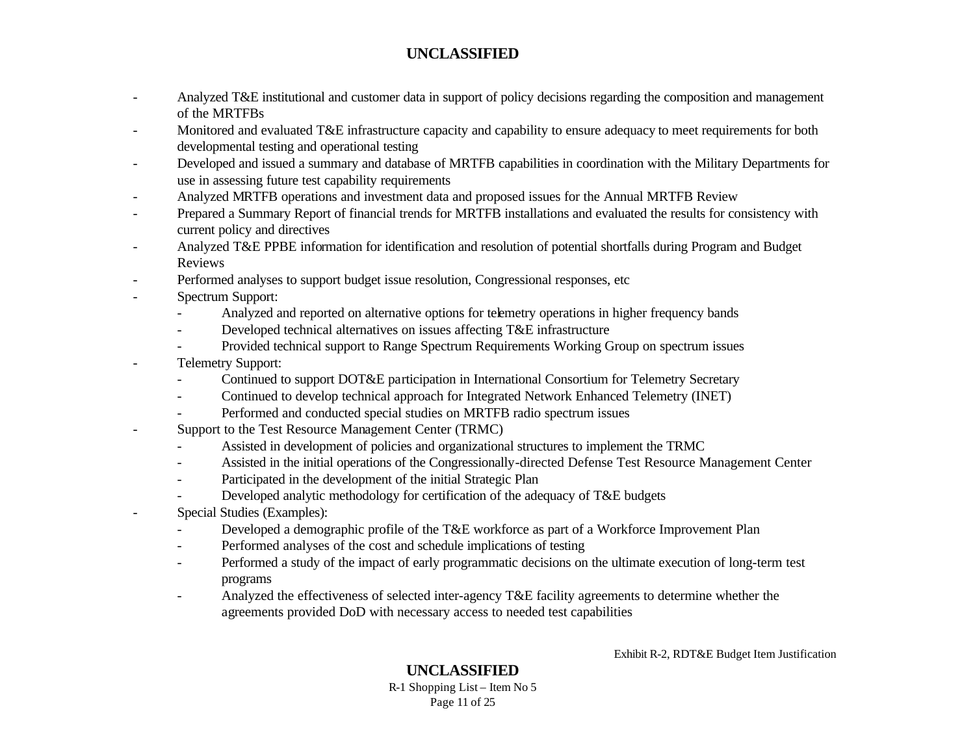- Analyzed T&E institutional and customer data in support of policy decisions regarding the composition and management of the MRTFBs
- Monitored and evaluated T&E infrastructure capacity and capability to ensure adequacy to meet requirements for both developmental testing and operational testing
- Developed and issued a summary and database of MRTFB capabilities in coordination with the Military Departments for use in assessing future test capability requirements
- Analyzed MRTFB operations and investment data and proposed issues for the Annual MRTFB Review
- Prepared a Summary Report of financial trends for MRTFB installations and evaluated the results for consistency with current policy and directives
- Analyzed T&E PPBE information for identification and resolution of potential shortfalls during Program and Budget Reviews
- Performed analyses to support budget issue resolution, Congressional responses, etc
- Spectrum Support:
	- Analyzed and reported on alternative options for telemetry operations in higher frequency bands
	- Developed technical alternatives on issues affecting T&E infrastructure
	- Provided technical support to Range Spectrum Requirements Working Group on spectrum issues
- Telemetry Support:
	- Continued to support DOT&E participation in International Consortium for Telemetry Secretary
	- Continued to develop technical approach for Integrated Network Enhanced Telemetry (INET)
	- Performed and conducted special studies on MRTFB radio spectrum issues
- Support to the Test Resource Management Center (TRMC)
	- Assisted in development of policies and organizational structures to implement the TRMC
	- Assisted in the initial operations of the Congressionally-directed Defense Test Resource Management Center
	- Participated in the development of the initial Strategic Plan
	- Developed analytic methodology for certification of the adequacy of T&E budgets
- Special Studies (Examples):
	- Developed a demographic profile of the T&E workforce as part of a Workforce Improvement Plan
	- Performed analyses of the cost and schedule implications of testing
	- Performed a study of the impact of early programmatic decisions on the ultimate execution of long-term test programs
	- Analyzed the effectiveness of selected inter-agency T&E facility agreements to determine whether the agreements provided DoD with necessary access to needed test capabilities

Exhibit R-2, RDT&E Budget Item Justification

# **UNCLASSIFIED**

R-1 Shopping List – Item No 5 Page 11 of 25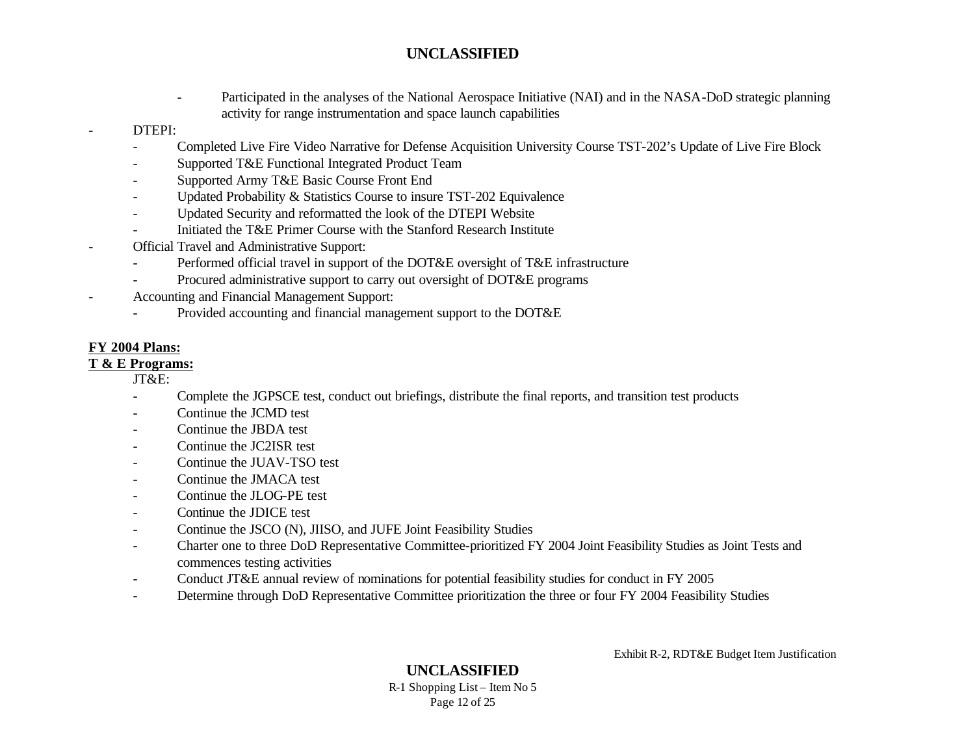- Participated in the analyses of the National Aerospace Initiative (NAI) and in the NASA-DoD strategic planning activity for range instrumentation and space launch capabilities

#### - DTEPI:

- Completed Live Fire Video Narrative for Defense Acquisition University Course TST-202's Update of Live Fire Block
- Supported T&E Functional Integrated Product Team
- Supported Army T&E Basic Course Front End
- Updated Probability & Statistics Course to insure TST-202 Equivalence
- Updated Security and reformatted the look of the DTEPI Website
- Initiated the T&E Primer Course with the Stanford Research Institute
- Official Travel and Administrative Support:
	- Performed official travel in support of the DOT&E oversight of T&E infrastructure
	- Procured administrative support to carry out oversight of DOT&E programs
- Accounting and Financial Management Support:
	- Provided accounting and financial management support to the DOT&E

### **FY 2004 Plans:**

### **T & E Programs:**

JT&E:

- Complete the JGPSCE test, conduct out briefings, distribute the final reports, and transition test products
- Continue the JCMD test
- Continue the JBDA test
- Continue the JC2ISR test
- Continue the JUAV-TSO test
- Continue the JMACA test
- Continue the JLOG-PE test
- Continue the JDICE test
- Continue the JSCO (N), JIISO, and JUFE Joint Feasibility Studies
- Charter one to three DoD Representative Committee-prioritized FY 2004 Joint Feasibility Studies as Joint Tests and commences testing activities
- Conduct JT&E annual review of nominations for potential feasibility studies for conduct in FY 2005
- Determine through DoD Representative Committee prioritization the three or four FY 2004 Feasibility Studies

Exhibit R-2, RDT&E Budget Item Justification

## **UNCLASSIFIED**

R-1 Shopping List – Item No 5 Page 12 of 25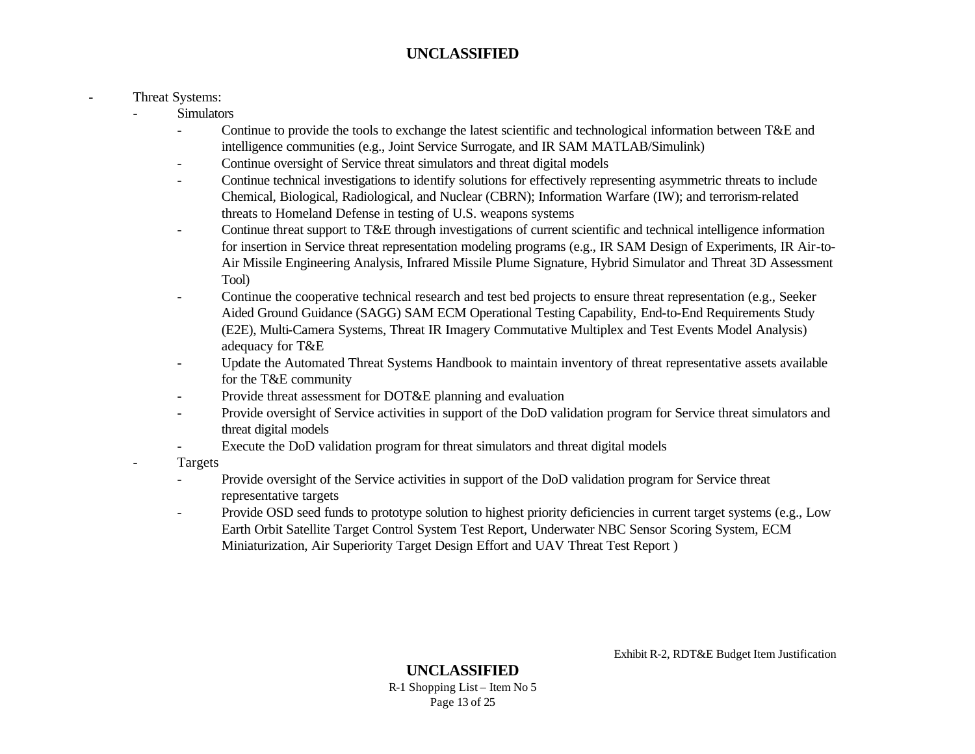#### Threat Systems:

- **Simulators** 
	- Continue to provide the tools to exchange the latest scientific and technological information between T&E and intelligence communities (e.g., Joint Service Surrogate, and IR SAM MATLAB/Simulink)
	- Continue oversight of Service threat simulators and threat digital models
	- Continue technical investigations to identify solutions for effectively representing asymmetric threats to include Chemical, Biological, Radiological, and Nuclear (CBRN); Information Warfare (IW); and terrorism-related threats to Homeland Defense in testing of U.S. weapons systems
	- Continue threat support to T&E through investigations of current scientific and technical intelligence information for insertion in Service threat representation modeling programs (e.g., IR SAM Design of Experiments, IR Air-to-Air Missile Engineering Analysis, Infrared Missile Plume Signature, Hybrid Simulator and Threat 3D Assessment Tool)
	- Continue the cooperative technical research and test bed projects to ensure threat representation (e.g., Seeker Aided Ground Guidance (SAGG) SAM ECM Operational Testing Capability, End-to-End Requirements Study (E2E), Multi-Camera Systems, Threat IR Imagery Commutative Multiplex and Test Events Model Analysis) adequacy for T&E
	- Update the Automated Threat Systems Handbook to maintain inventory of threat representative assets available for the T&E community
	- Provide threat assessment for DOT&E planning and evaluation
	- Provide oversight of Service activities in support of the DoD validation program for Service threat simulators and threat digital models
	- Execute the DoD validation program for threat simulators and threat digital models
	- **Targets** 
		- Provide oversight of the Service activities in support of the DoD validation program for Service threat representative targets
		- Provide OSD seed funds to prototype solution to highest priority deficiencies in current target systems (e.g., Low Earth Orbit Satellite Target Control System Test Report, Underwater NBC Sensor Scoring System, ECM Miniaturization, Air Superiority Target Design Effort and UAV Threat Test Report )

Exhibit R-2, RDT&E Budget Item Justification

**UNCLASSIFIED** R-1 Shopping List – Item No 5 Page 13 of 25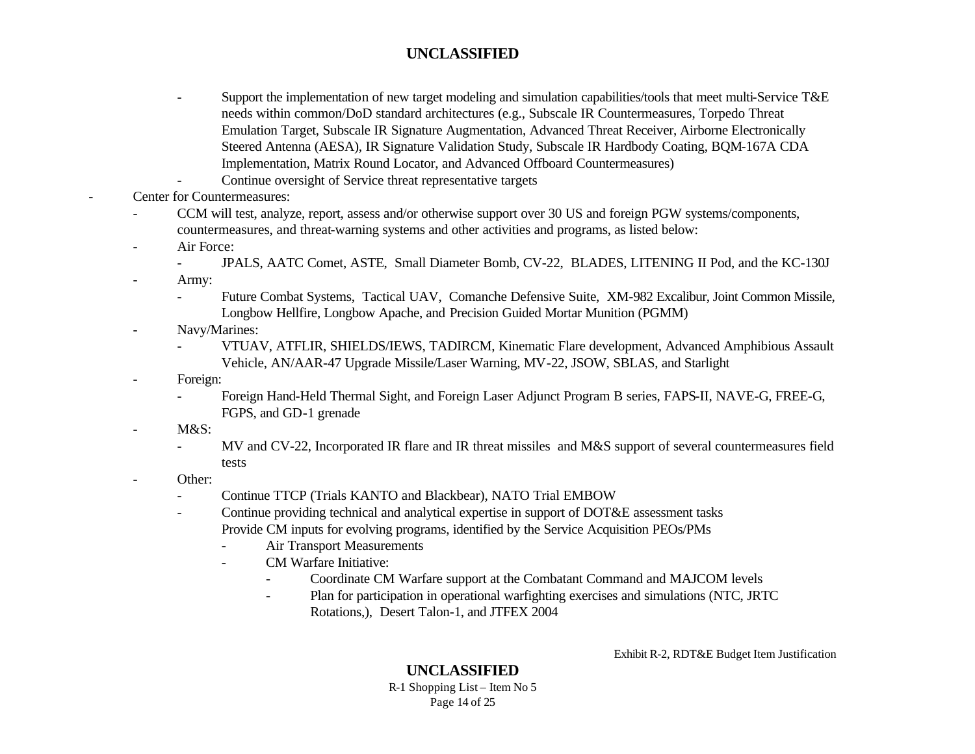- Support the implementation of new target modeling and simulation capabilities/tools that meet multi-Service T&E needs within common/DoD standard architectures (e.g., Subscale IR Countermeasures, Torpedo Threat Emulation Target, Subscale IR Signature Augmentation, Advanced Threat Receiver, Airborne Electronically Steered Antenna (AESA), IR Signature Validation Study, Subscale IR Hardbody Coating, BQM-167A CDA Implementation, Matrix Round Locator, and Advanced Offboard Countermeasures)
- Continue oversight of Service threat representative targets
- Center for Countermeasures:
	- CCM will test, analyze, report, assess and/or otherwise support over 30 US and foreign PGW systems/components, countermeasures, and threat-warning systems and other activities and programs, as listed below:
	- Air Force:
		- JPALS, AATC Comet, ASTE, Small Diameter Bomb, CV-22, BLADES, LITENING II Pod, and the KC-130J
	- Army:
		- Future Combat Systems, Tactical UAV, Comanche Defensive Suite, XM-982 Excalibur, Joint Common Missile, Longbow Hellfire, Longbow Apache, and Precision Guided Mortar Munition (PGMM)
	- Navy/Marines:
		- VTUAV, ATFLIR, SHIELDS/IEWS, TADIRCM, Kinematic Flare development, Advanced Amphibious Assault Vehicle, AN/AAR-47 Upgrade Missile/Laser Warning, MV-22, JSOW, SBLAS, and Starlight
	- Foreign:
		- Foreign Hand-Held Thermal Sight, and Foreign Laser Adjunct Program B series, FAPS-II, NAVE-G, FREE-G, FGPS, and GD-1 grenade
	- M&S:
		- MV and CV-22, Incorporated IR flare and IR threat missiles and M&S support of several countermeasures field tests
	- Other:
		- Continue TTCP (Trials KANTO and Blackbear), NATO Trial EMBOW
		- Continue providing technical and analytical expertise in support of DOT&E assessment tasks Provide CM inputs for evolving programs, identified by the Service Acquisition PEOs/PMs
			- Air Transport Measurements
			- CM Warfare Initiative:
				- Coordinate CM Warfare support at the Combatant Command and MAJCOM levels
				- Plan for participation in operational warfighting exercises and simulations (NTC, JRTC Rotations,), Desert Talon-1, and JTFEX 2004

Exhibit R-2, RDT&E Budget Item Justification

### **UNCLASSIFIED**

R-1 Shopping List – Item No 5 Page 14 of 25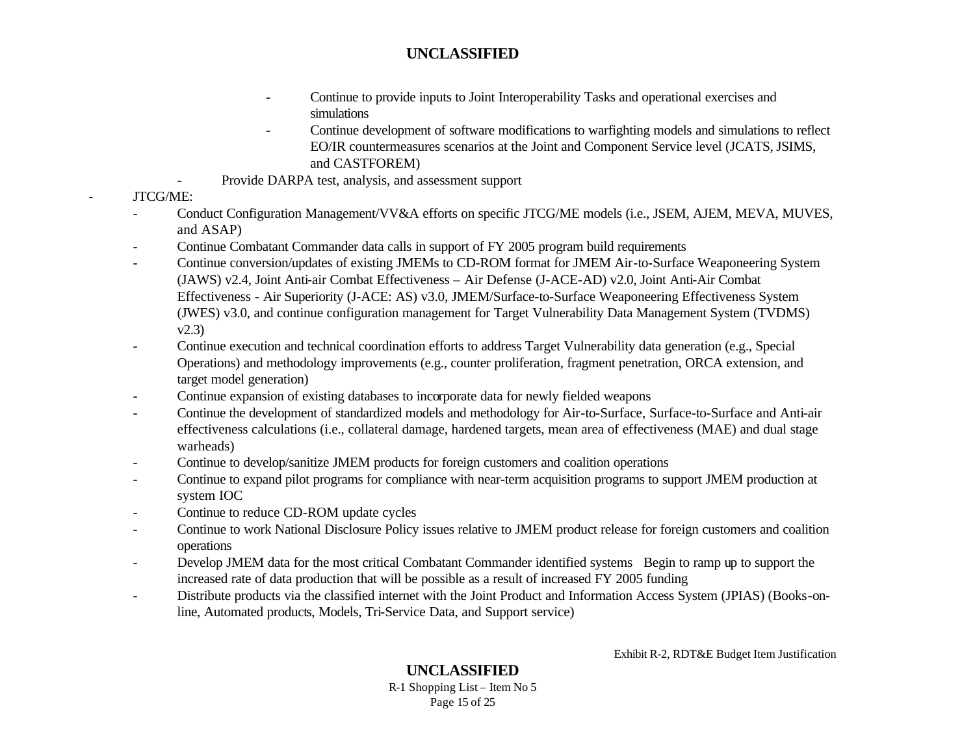- Continue to provide inputs to Joint Interoperability Tasks and operational exercises and simulations
- Continue development of software modifications to warfighting models and simulations to reflect EO/IR countermeasures scenarios at the Joint and Component Service level (JCATS, JSIMS, and CASTFOREM)
- Provide DARPA test, analysis, and assessment support
- JTCG/ME:
	- Conduct Configuration Management/VV&A efforts on specific JTCG/ME models (i.e., JSEM, AJEM, MEVA, MUVES, and ASAP)
	- Continue Combatant Commander data calls in support of FY 2005 program build requirements
	- Continue conversion/updates of existing JMEMs to CD-ROM format for JMEM Air-to-Surface Weaponeering System (JAWS) v2.4, Joint Anti-air Combat Effectiveness – Air Defense (J-ACE-AD) v2.0, Joint Anti-Air Combat Effectiveness - Air Superiority (J-ACE: AS) v3.0, JMEM/Surface-to-Surface Weaponeering Effectiveness System (JWES) v3.0, and continue configuration management for Target Vulnerability Data Management System (TVDMS) v2.3)
	- Continue execution and technical coordination efforts to address Target Vulnerability data generation (e.g., Special Operations) and methodology improvements (e.g., counter proliferation, fragment penetration, ORCA extension, and target model generation)
	- Continue expansion of existing databases to incorporate data for newly fielded weapons
	- Continue the development of standardized models and methodology for Air-to-Surface, Surface-to-Surface and Anti-air effectiveness calculations (i.e., collateral damage, hardened targets, mean area of effectiveness (MAE) and dual stage warheads)
	- Continue to develop/sanitize JMEM products for foreign customers and coalition operations
	- Continue to expand pilot programs for compliance with near-term acquisition programs to support JMEM production at system IOC
	- Continue to reduce CD-ROM update cycles
	- Continue to work National Disclosure Policy issues relative to JMEM product release for foreign customers and coalition operations
	- Develop JMEM data for the most critical Combatant Commander identified systems Begin to ramp up to support the increased rate of data production that will be possible as a result of increased FY 2005 funding
	- Distribute products via the classified internet with the Joint Product and Information Access System (JPIAS) (Books-online, Automated products, Models, Tri-Service Data, and Support service)

Exhibit R-2, RDT&E Budget Item Justification

#### **UNCLASSIFIED** R-1 Shopping List – Item No 5 Page 15 of 25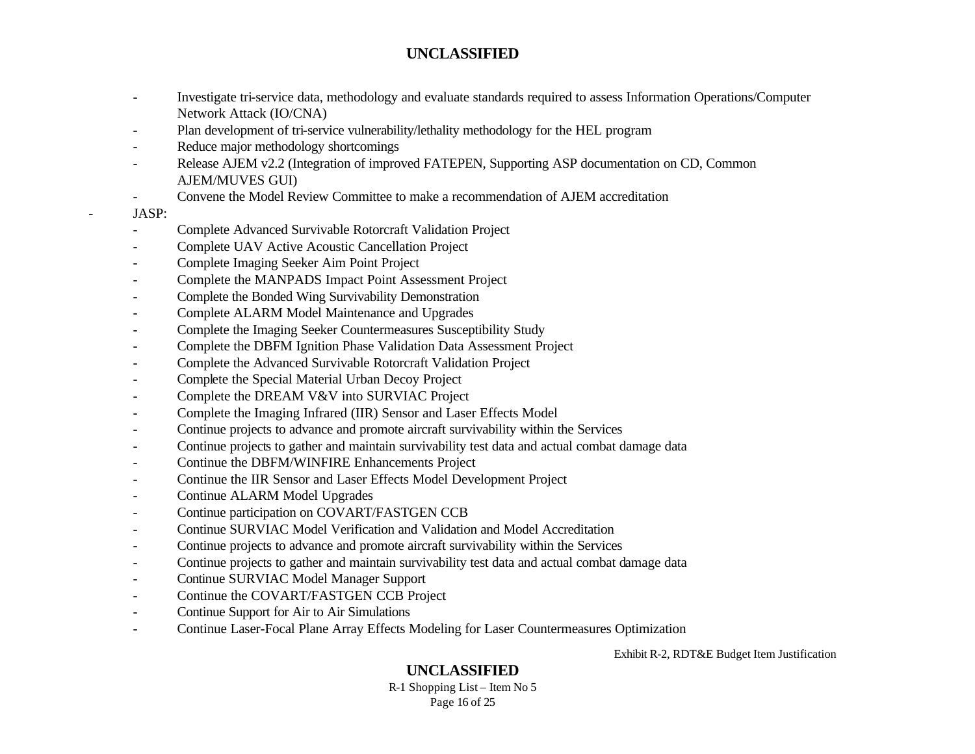- Investigate tri-service data, methodology and evaluate standards required to assess Information Operations/Computer Network Attack (IO/CNA)
- Plan development of tri-service vulnerability/lethality methodology for the HEL program
- Reduce major methodology shortcomings
- Release AJEM v2.2 (Integration of improved FATEPEN, Supporting ASP documentation on CD, Common AJEM/MUVES GUI)
- Convene the Model Review Committee to make a recommendation of AJEM accreditation

#### - JASP:

- Complete Advanced Survivable Rotorcraft Validation Project
- Complete UAV Active Acoustic Cancellation Project
- Complete Imaging Seeker Aim Point Project
- Complete the MANPADS Impact Point Assessment Project
- Complete the Bonded Wing Survivability Demonstration
- Complete ALARM Model Maintenance and Upgrades
- Complete the Imaging Seeker Countermeasures Susceptibility Study
- Complete the DBFM Ignition Phase Validation Data Assessment Project
- Complete the Advanced Survivable Rotorcraft Validation Project
- Complete the Special Material Urban Decoy Project
- Complete the DREAM V&V into SURVIAC Project
- Complete the Imaging Infrared (IIR) Sensor and Laser Effects Model
- Continue projects to advance and promote aircraft survivability within the Services
- Continue projects to gather and maintain survivability test data and actual combat damage data
- Continue the DBFM/WINFIRE Enhancements Project
- Continue the IIR Sensor and Laser Effects Model Development Project
- Continue ALARM Model Upgrades
- Continue participation on COVART/FASTGEN CCB
- Continue SURVIAC Model Verification and Validation and Model Accreditation
- Continue projects to advance and promote aircraft survivability within the Services
- Continue projects to gather and maintain survivability test data and actual combat damage data
- Continue SURVIAC Model Manager Support
- Continue the COVART/FASTGEN CCB Project
- Continue Support for Air to Air Simulations
- Continue Laser-Focal Plane Array Effects Modeling for Laser Countermeasures Optimization

Exhibit R-2, RDT&E Budget Item Justification

# **UNCLASSIFIED**

R-1 Shopping List – Item No 5 Page 16 of 25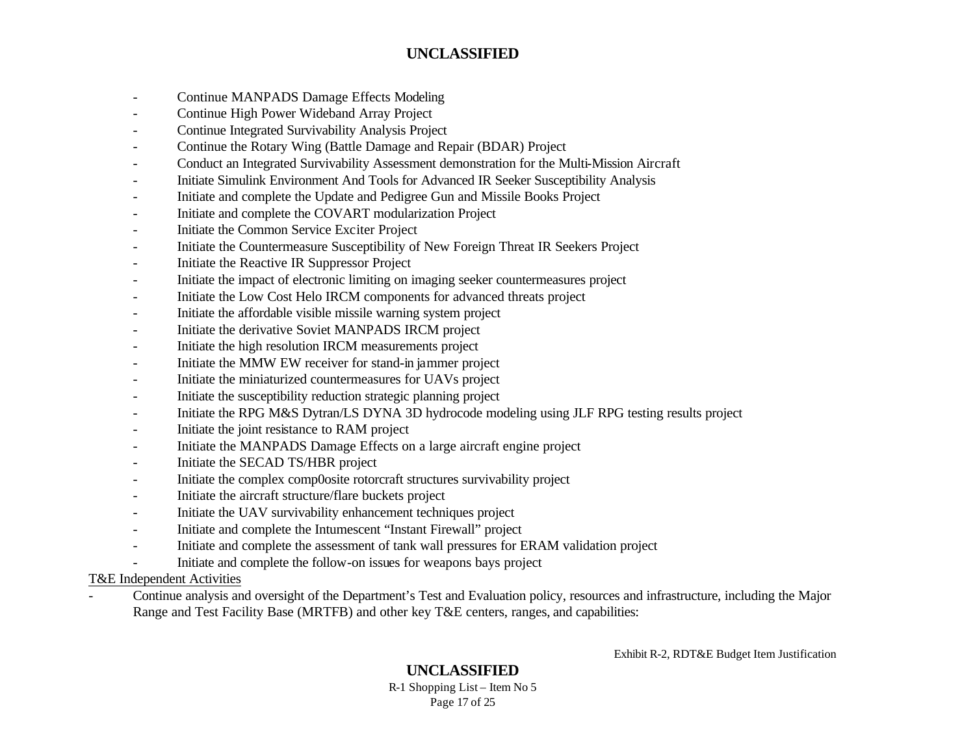- Continue MANPADS Damage Effects Modeling
- Continue High Power Wideband Array Project
- Continue Integrated Survivability Analysis Project
- Continue the Rotary Wing (Battle Damage and Repair (BDAR) Project
- Conduct an Integrated Survivability Assessment demonstration for the Multi-Mission Aircraft
- Initiate Simulink Environment And Tools for Advanced IR Seeker Susceptibility Analysis
- Initiate and complete the Update and Pedigree Gun and Missile Books Project
- Initiate and complete the COVART modularization Project
- Initiate the Common Service Exciter Project
- Initiate the Countermeasure Susceptibility of New Foreign Threat IR Seekers Project
- Initiate the Reactive IR Suppressor Project
- Initiate the impact of electronic limiting on imaging seeker countermeasures project
- Initiate the Low Cost Helo IRCM components for advanced threats project
- Initiate the affordable visible missile warning system project
- Initiate the derivative Soviet MANPADS IRCM project
- Initiate the high resolution IRCM measurements project
- Initiate the MMW EW receiver for stand-in jammer project
- Initiate the miniaturized countermeasures for UAVs project
- Initiate the susceptibility reduction strategic planning project
- Initiate the RPG M&S Dytran/LS DYNA 3D hydrocode modeling using JLF RPG testing results project
- Initiate the joint resistance to RAM project
- Initiate the MANPADS Damage Effects on a large aircraft engine project
- Initiate the SECAD TS/HBR project
- Initiate the complex comp0osite rotorcraft structures survivability project
- Initiate the aircraft structure/flare buckets project
- Initiate the UAV survivability enhancement techniques project
- Initiate and complete the Intumescent "Instant Firewall" project
- Initiate and complete the assessment of tank wall pressures for ERAM validation project
- Initiate and complete the follow-on issues for weapons bays project

#### T&E Independent Activities

- Continue analysis and oversight of the Department's Test and Evaluation policy, resources and infrastructure, including the Major Range and Test Facility Base (MRTFB) and other key T&E centers, ranges, and capabilities:

Exhibit R-2, RDT&E Budget Item Justification

## **UNCLASSIFIED**

R-1 Shopping List – Item No 5 Page 17 of 25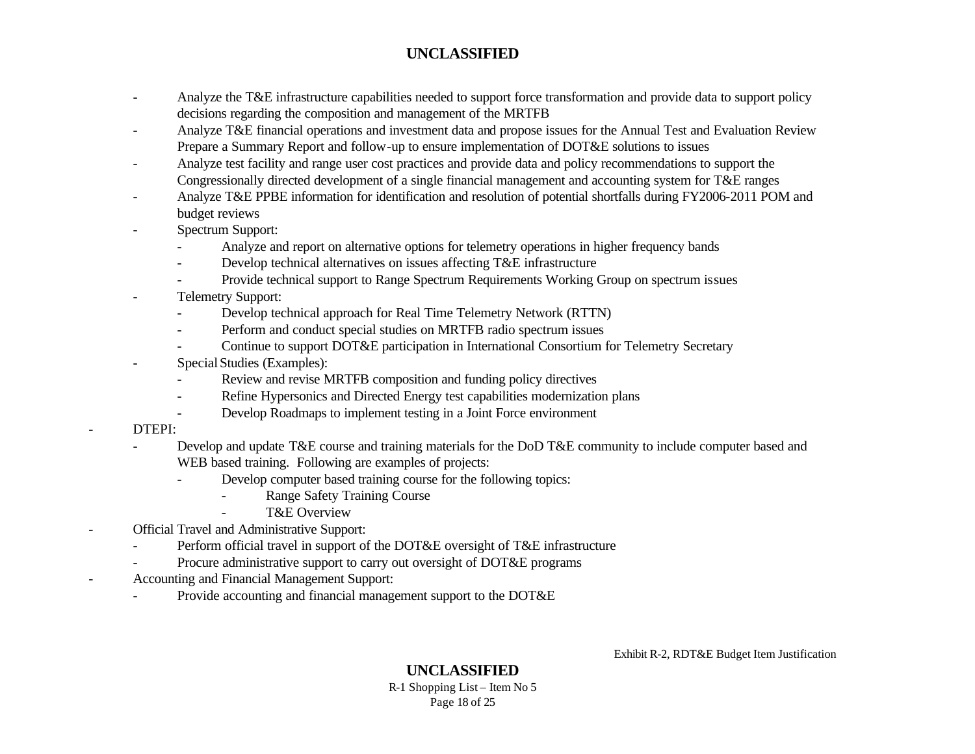- Analyze the T&E infrastructure capabilities needed to support force transformation and provide data to support policy decisions regarding the composition and management of the MRTFB
- Analyze T&E financial operations and investment data and propose issues for the Annual Test and Evaluation Review Prepare a Summary Report and follow-up to ensure implementation of DOT&E solutions to issues
- Analyze test facility and range user cost practices and provide data and policy recommendations to support the Congressionally directed development of a single financial management and accounting system for T&E ranges
- Analyze T&E PPBE information for identification and resolution of potential shortfalls during FY2006-2011 POM and budget reviews
- Spectrum Support:
	- Analyze and report on alternative options for telemetry operations in higher frequency bands
	- Develop technical alternatives on issues affecting T&E infrastructure
	- Provide technical support to Range Spectrum Requirements Working Group on spectrum issues
- Telemetry Support:
	- Develop technical approach for Real Time Telemetry Network (RTTN)
	- Perform and conduct special studies on MRTFB radio spectrum issues
	- Continue to support DOT&E participation in International Consortium for Telemetry Secretary
- Special Studies (Examples):
	- Review and revise MRTFB composition and funding policy directives
	- Refine Hypersonics and Directed Energy test capabilities modernization plans
	- Develop Roadmaps to implement testing in a Joint Force environment
- DTEPI:
- Develop and update T&E course and training materials for the DoD T&E community to include computer based and WEB based training. Following are examples of projects:
	- Develop computer based training course for the following topics:
		- Range Safety Training Course
		- T&E Overview
- Official Travel and Administrative Support:
	- Perform official travel in support of the DOT&E oversight of T&E infrastructure
	- Procure administrative support to carry out oversight of DOT&E programs
- Accounting and Financial Management Support:
	- Provide accounting and financial management support to the DOT&E

Exhibit R-2, RDT&E Budget Item Justification

**UNCLASSIFIED** R-1 Shopping List – Item No 5 Page 18 of 25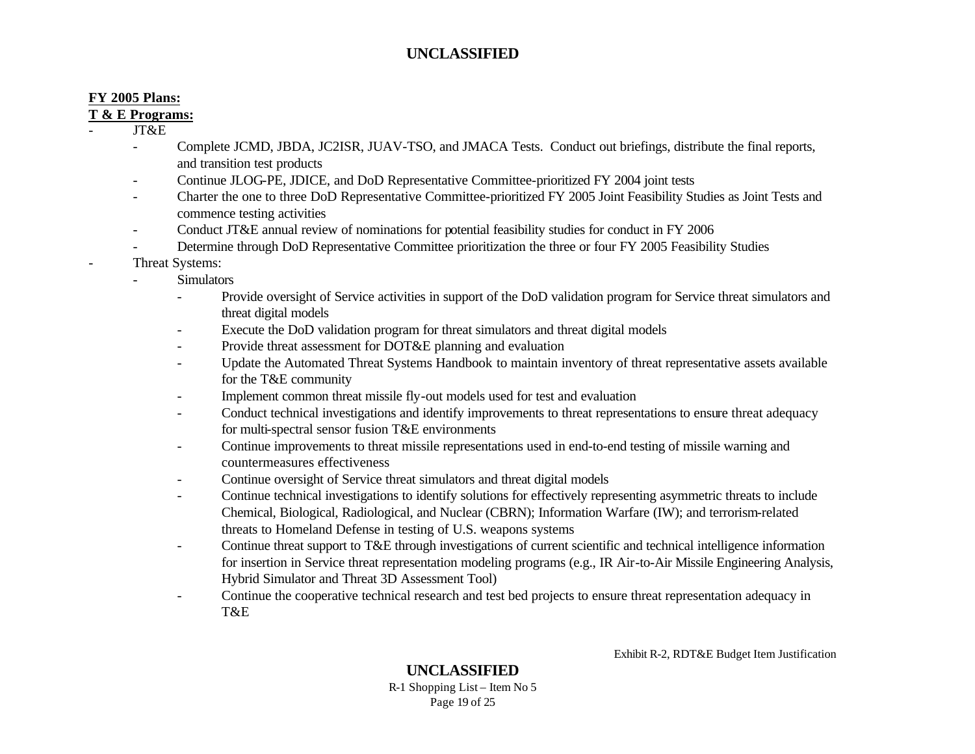#### **FY 2005 Plans:**

#### **T & E Programs:**

- JT&E

- Complete JCMD, JBDA, JC2ISR, JUAV-TSO, and JMACA Tests. Conduct out briefings, distribute the final reports, and transition test products
- Continue JLOG-PE, JDICE, and DoD Representative Committee-prioritized FY 2004 joint tests
- Charter the one to three DoD Representative Committee-prioritized FY 2005 Joint Feasibility Studies as Joint Tests and commence testing activities
- Conduct JT&E annual review of nominations for potential feasibility studies for conduct in FY 2006
- Determine through DoD Representative Committee prioritization the three or four FY 2005 Feasibility Studies
- Threat Systems:
	- Simulators
		- Provide oversight of Service activities in support of the DoD validation program for Service threat simulators and threat digital models
		- Execute the DoD validation program for threat simulators and threat digital models
		- Provide threat assessment for DOT&E planning and evaluation
		- Update the Automated Threat Systems Handbook to maintain inventory of threat representative assets available for the T&E community
		- Implement common threat missile fly-out models used for test and evaluation
		- Conduct technical investigations and identify improvements to threat representations to ensure threat adequacy for multi-spectral sensor fusion T&E environments
		- Continue improvements to threat missile representations used in end-to-end testing of missile warning and countermeasures effectiveness
		- Continue oversight of Service threat simulators and threat digital models
		- Continue technical investigations to identify solutions for effectively representing asymmetric threats to include Chemical, Biological, Radiological, and Nuclear (CBRN); Information Warfare (IW); and terrorism-related threats to Homeland Defense in testing of U.S. weapons systems
		- Continue threat support to T&E through investigations of current scientific and technical intelligence information for insertion in Service threat representation modeling programs (e.g., IR Air-to-Air Missile Engineering Analysis, Hybrid Simulator and Threat 3D Assessment Tool)
		- Continue the cooperative technical research and test bed projects to ensure threat representation adequacy in T&E

Exhibit R-2, RDT&E Budget Item Justification

**UNCLASSIFIED** R-1 Shopping List – Item No 5 Page 19 of 25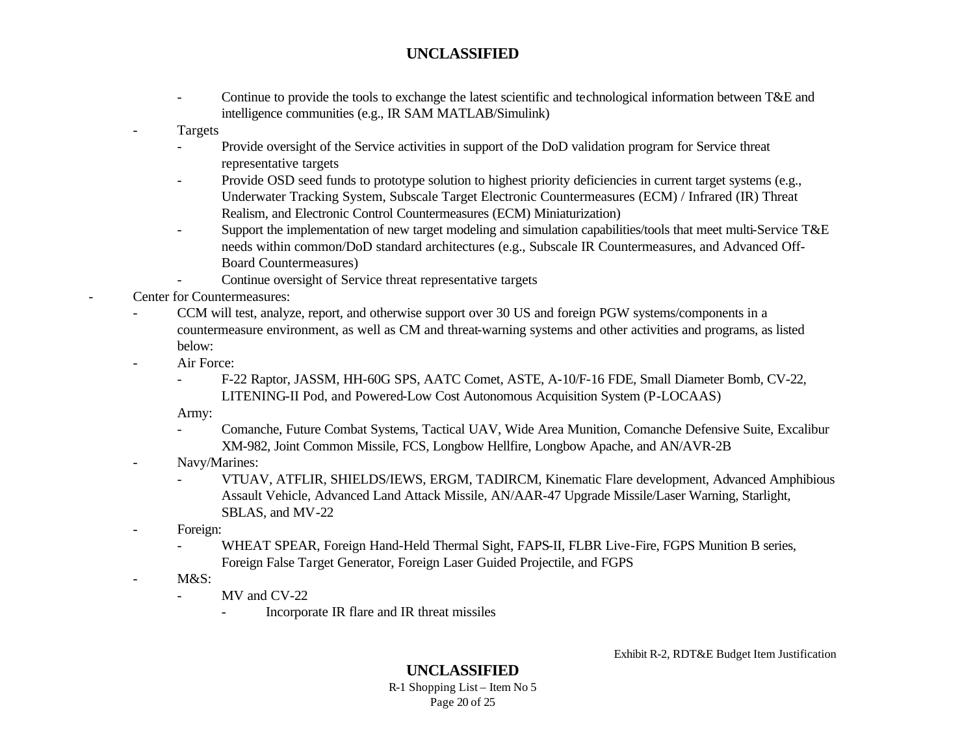- Continue to provide the tools to exchange the latest scientific and technological information between T&E and intelligence communities (e.g., IR SAM MATLAB/Simulink)
- **Targets** 
	- Provide oversight of the Service activities in support of the DoD validation program for Service threat representative targets
	- Provide OSD seed funds to prototype solution to highest priority deficiencies in current target systems (e.g., Underwater Tracking System, Subscale Target Electronic Countermeasures (ECM) / Infrared (IR) Threat Realism, and Electronic Control Countermeasures (ECM) Miniaturization)
	- Support the implementation of new target modeling and simulation capabilities/tools that meet multi-Service T&E needs within common/DoD standard architectures (e.g., Subscale IR Countermeasures, and Advanced Off-Board Countermeasures)
	- Continue oversight of Service threat representative targets
- Center for Countermeasures:
	- CCM will test, analyze, report, and otherwise support over 30 US and foreign PGW systems/components in a countermeasure environment, as well as CM and threat-warning systems and other activities and programs, as listed below:
	- Air Force:
		- F-22 Raptor, JASSM, HH-60G SPS, AATC Comet, ASTE, A-10/F-16 FDE, Small Diameter Bomb, CV-22, LITENING-II Pod, and Powered-Low Cost Autonomous Acquisition System (P-LOCAAS)

Army:

- Comanche, Future Combat Systems, Tactical UAV, Wide Area Munition, Comanche Defensive Suite, Excalibur XM-982, Joint Common Missile, FCS, Longbow Hellfire, Longbow Apache, and AN/AVR-2B
- Navy/Marines:
	- VTUAV, ATFLIR, SHIELDS/IEWS, ERGM, TADIRCM, Kinematic Flare development, Advanced Amphibious Assault Vehicle, Advanced Land Attack Missile, AN/AAR-47 Upgrade Missile/Laser Warning, Starlight, SBLAS, and MV-22
- Foreign:
	- WHEAT SPEAR, Foreign Hand-Held Thermal Sight, FAPS-II, FLBR Live-Fire, FGPS Munition B series, Foreign False Target Generator, Foreign Laser Guided Projectile, and FGPS
- M&S:
	- MV and CV-22
		- Incorporate IR flare and IR threat missiles

Exhibit R-2, RDT&E Budget Item Justification

## **UNCLASSIFIED**

R-1 Shopping List – Item No 5 Page 20 of 25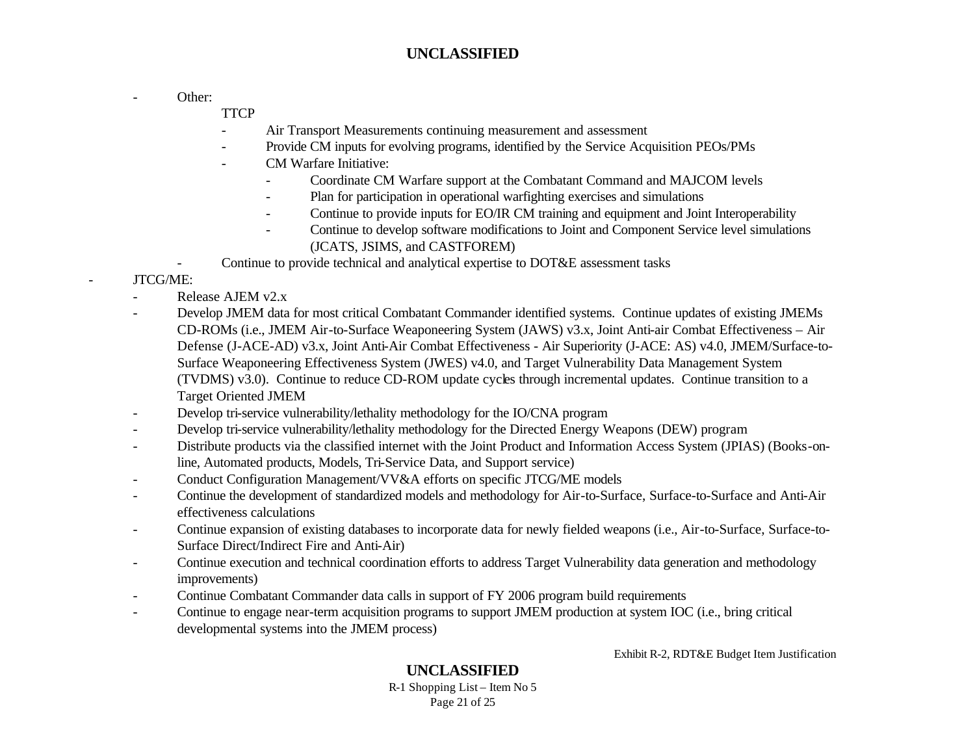- Other:

**TTCP** 

- Air Transport Measurements continuing measurement and assessment
- Provide CM inputs for evolving programs, identified by the Service Acquisition PEOs/PMs
- CM Warfare Initiative:
	- Coordinate CM Warfare support at the Combatant Command and MAJCOM levels
	- Plan for participation in operational warfighting exercises and simulations
	- Continue to provide inputs for EO/IR CM training and equipment and Joint Interoperability
	- Continue to develop software modifications to Joint and Component Service level simulations (JCATS, JSIMS, and CASTFOREM)
- Continue to provide technical and analytical expertise to DOT&E assessment tasks

#### - JTCG/ME:

- Release AJEM v2.x
- Develop JMEM data for most critical Combatant Commander identified systems. Continue updates of existing JMEMs CD-ROMs (i.e., JMEM Air-to-Surface Weaponeering System (JAWS) v3.x, Joint Anti-air Combat Effectiveness – Air Defense (J-ACE-AD) v3.x, Joint Anti-Air Combat Effectiveness - Air Superiority (J-ACE: AS) v4.0, JMEM/Surface-to-Surface Weaponeering Effectiveness System (JWES) v4.0, and Target Vulnerability Data Management System (TVDMS) v3.0). Continue to reduce CD-ROM update cycles through incremental updates. Continue transition to a Target Oriented JMEM
- Develop tri-service vulnerability/lethality methodology for the IO/CNA program
- Develop tri-service vulnerability/lethality methodology for the Directed Energy Weapons (DEW) program
- Distribute products via the classified internet with the Joint Product and Information Access System (JPIAS) (Books-online, Automated products, Models, Tri-Service Data, and Support service)
- Conduct Configuration Management/VV&A efforts on specific JTCG/ME models
- Continue the development of standardized models and methodology for Air-to-Surface, Surface-to-Surface and Anti-Air effectiveness calculations
- Continue expansion of existing databases to incorporate data for newly fielded weapons (i.e., Air-to-Surface, Surface-to-Surface Direct/Indirect Fire and Anti-Air)
- Continue execution and technical coordination efforts to address Target Vulnerability data generation and methodology improvements)
- Continue Combatant Commander data calls in support of FY 2006 program build requirements
- Continue to engage near-term acquisition programs to support JMEM production at system IOC (i.e., bring critical developmental systems into the JMEM process)

Exhibit R-2, RDT&E Budget Item Justification

# **UNCLASSIFIED**

R-1 Shopping List – Item No 5 Page 21 of 25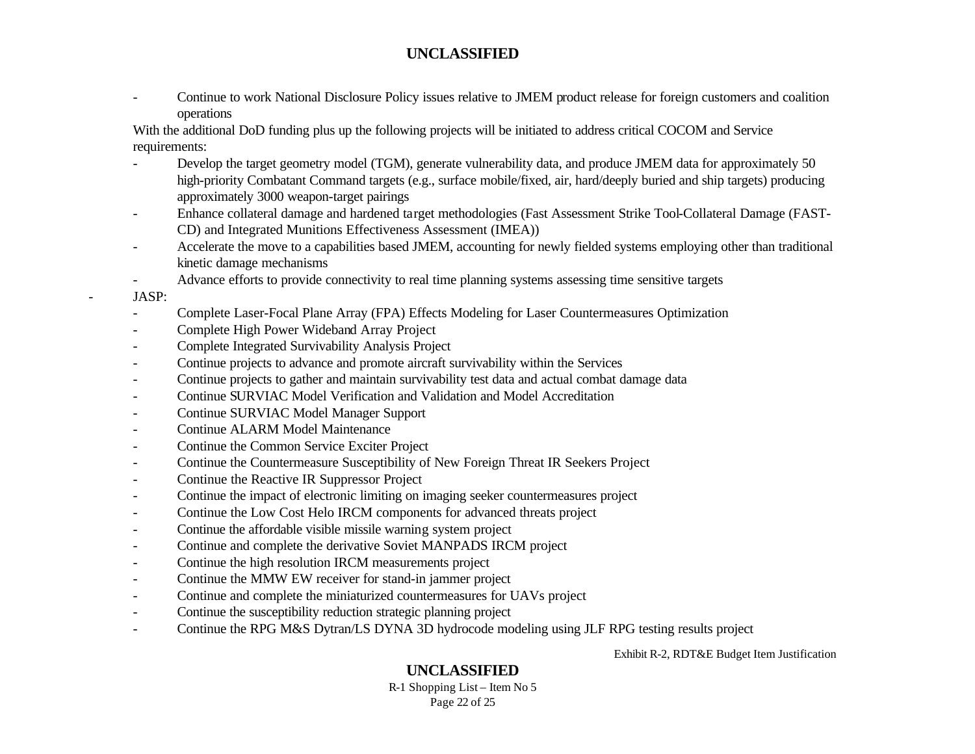- Continue to work National Disclosure Policy issues relative to JMEM product release for foreign customers and coalition operations

With the additional DoD funding plus up the following projects will be initiated to address critical COCOM and Service requirements:

- Develop the target geometry model (TGM), generate vulnerability data, and produce JMEM data for approximately 50 high-priority Combatant Command targets (e.g., surface mobile/fixed, air, hard/deeply buried and ship targets) producing approximately 3000 weapon-target pairings
- Enhance collateral damage and hardened target methodologies (Fast Assessment Strike Tool-Collateral Damage (FAST-CD) and Integrated Munitions Effectiveness Assessment (IMEA))
- Accelerate the move to a capabilities based JMEM, accounting for newly fielded systems employing other than traditional kinetic damage mechanisms
- Advance efforts to provide connectivity to real time planning systems assessing time sensitive targets
- JASP:
- Complete Laser-Focal Plane Array (FPA) Effects Modeling for Laser Countermeasures Optimization
- Complete High Power Wideband Array Project
- Complete Integrated Survivability Analysis Project
- Continue projects to advance and promote aircraft survivability within the Services
- Continue projects to gather and maintain survivability test data and actual combat damage data
- Continue SURVIAC Model Verification and Validation and Model Accreditation
- Continue SURVIAC Model Manager Support
- Continue ALARM Model Maintenance
- Continue the Common Service Exciter Project
- Continue the Countermeasure Susceptibility of New Foreign Threat IR Seekers Project
- Continue the Reactive IR Suppressor Project
- Continue the impact of electronic limiting on imaging seeker countermeasures project
- Continue the Low Cost Helo IRCM components for advanced threats project
- Continue the affordable visible missile warning system project
- Continue and complete the derivative Soviet MANPADS IRCM project
- Continue the high resolution IRCM measurements project
- Continue the MMW EW receiver for stand-in jammer project
- Continue and complete the miniaturized countermeasures for UAVs project
- Continue the susceptibility reduction strategic planning project
- Continue the RPG M&S Dytran/LS DYNA 3D hydrocode modeling using JLF RPG testing results project

Exhibit R-2, RDT&E Budget Item Justification

# **UNCLASSIFIED**

R-1 Shopping List – Item No 5 Page 22 of 25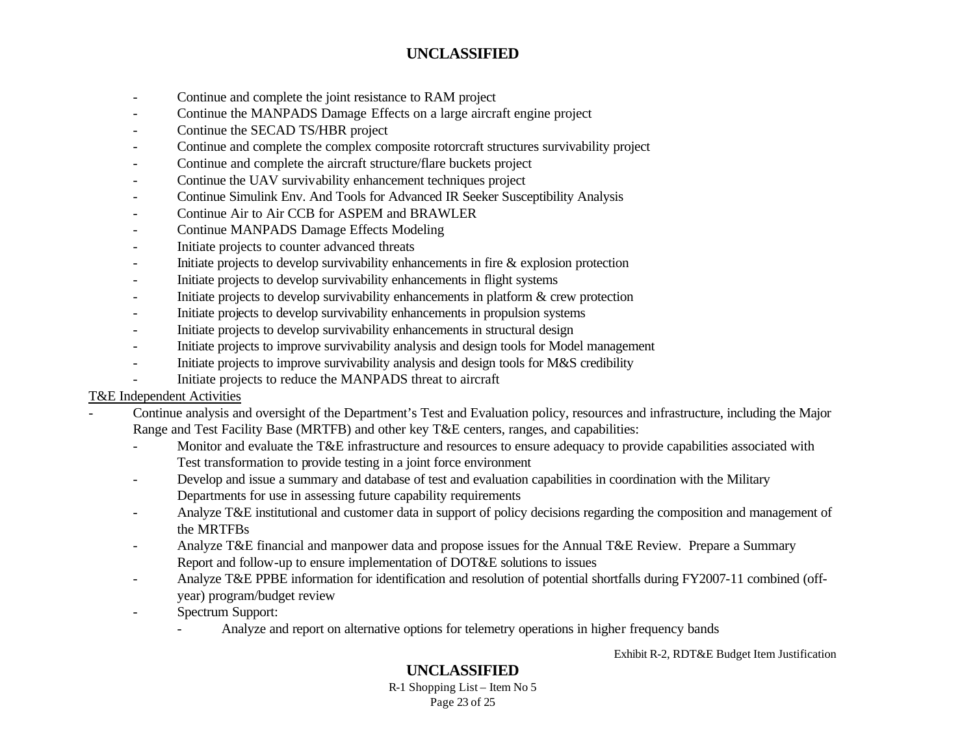- Continue and complete the joint resistance to RAM project
- Continue the MANPADS Damage Effects on a large aircraft engine project
- Continue the SECAD TS/HBR project
- Continue and complete the complex composite rotorcraft structures survivability project
- Continue and complete the aircraft structure/flare buckets project
- Continue the UAV survivability enhancement techniques project
- Continue Simulink Env. And Tools for Advanced IR Seeker Susceptibility Analysis
- Continue Air to Air CCB for ASPEM and BRAWLER
- Continue MANPADS Damage Effects Modeling
- Initiate projects to counter advanced threats
- Initiate projects to develop survivability enhancements in fire & explosion protection
- Initiate projects to develop survivability enhancements in flight systems
- Initiate projects to develop survivability enhancements in platform & crew protection
- Initiate projects to develop survivability enhancements in propulsion systems
- Initiate projects to develop survivability enhancements in structural design
- Initiate projects to improve survivability analysis and design tools for Model management
- Initiate projects to improve survivability analysis and design tools for M&S credibility
- Initiate projects to reduce the MANPADS threat to aircraft

#### T&E Independent Activities

- Continue analysis and oversight of the Department's Test and Evaluation policy, resources and infrastructure, including the Major Range and Test Facility Base (MRTFB) and other key T&E centers, ranges, and capabilities:
	- Monitor and evaluate the T&E infrastructure and resources to ensure adequacy to provide capabilities associated with Test transformation to provide testing in a joint force environment
	- Develop and issue a summary and database of test and evaluation capabilities in coordination with the Military Departments for use in assessing future capability requirements
	- Analyze T&E institutional and customer data in support of policy decisions regarding the composition and management of the MRTFBs
	- Analyze T&E financial and manpower data and propose issues for the Annual T&E Review. Prepare a Summary Report and follow-up to ensure implementation of DOT&E solutions to issues
	- Analyze T&E PPBE information for identification and resolution of potential shortfalls during FY2007-11 combined (offyear) program/budget review
	- Spectrum Support:
		- Analyze and report on alternative options for telemetry operations in higher frequency bands

Exhibit R-2, RDT&E Budget Item Justification

# **UNCLASSIFIED**

R-1 Shopping List – Item No 5 Page 23 of 25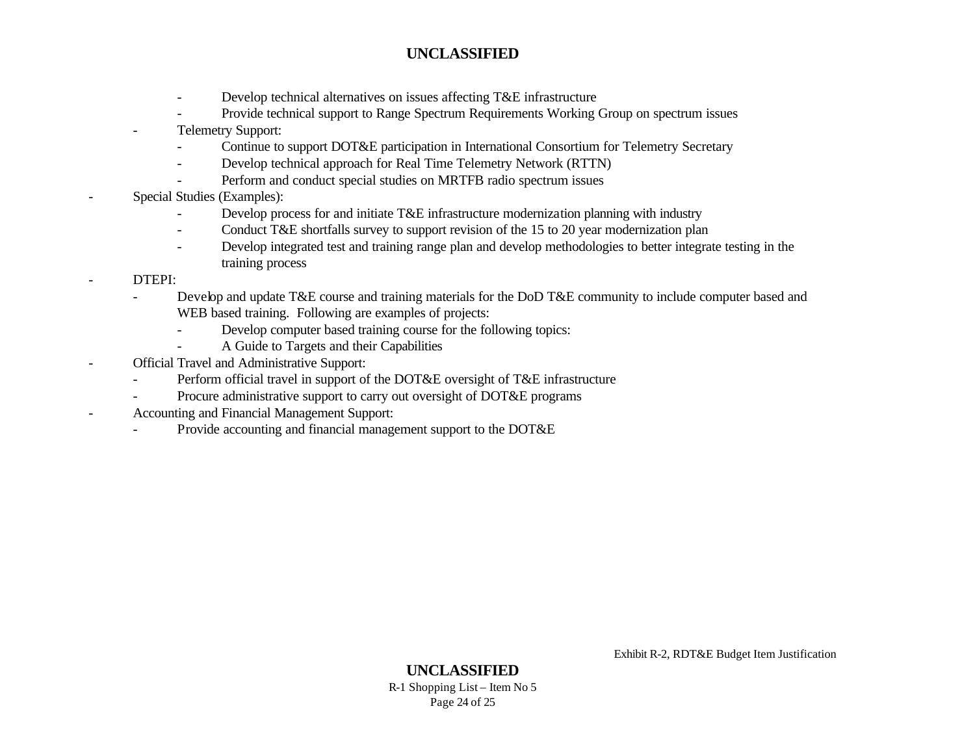- Develop technical alternatives on issues affecting T&E infrastructure
- Provide technical support to Range Spectrum Requirements Working Group on spectrum issues
- Telemetry Support:
	- Continue to support DOT&E participation in International Consortium for Telemetry Secretary
	- Develop technical approach for Real Time Telemetry Network (RTTN)
	- Perform and conduct special studies on MRTFB radio spectrum issues
- Special Studies (Examples):
	- Develop process for and initiate T&E infrastructure modernization planning with industry
	- Conduct T&E shortfalls survey to support revision of the 15 to 20 year modernization plan
	- Develop integrated test and training range plan and develop methodologies to better integrate testing in the training process
	- DTEPI:
		- Develop and update T&E course and training materials for the DoD T&E community to include computer based and WEB based training. Following are examples of projects:
			- Develop computer based training course for the following topics:
				- A Guide to Targets and their Capabilities
- Official Travel and Administrative Support:
	- Perform official travel in support of the DOT&E oversight of T&E infrastructure
	- Procure administrative support to carry out oversight of DOT&E programs
- Accounting and Financial Management Support:
	- Provide accounting and financial management support to the DOT&E

Exhibit R-2, RDT&E Budget Item Justification

**UNCLASSIFIED** R-1 Shopping List – Item No 5 Page 24 of 25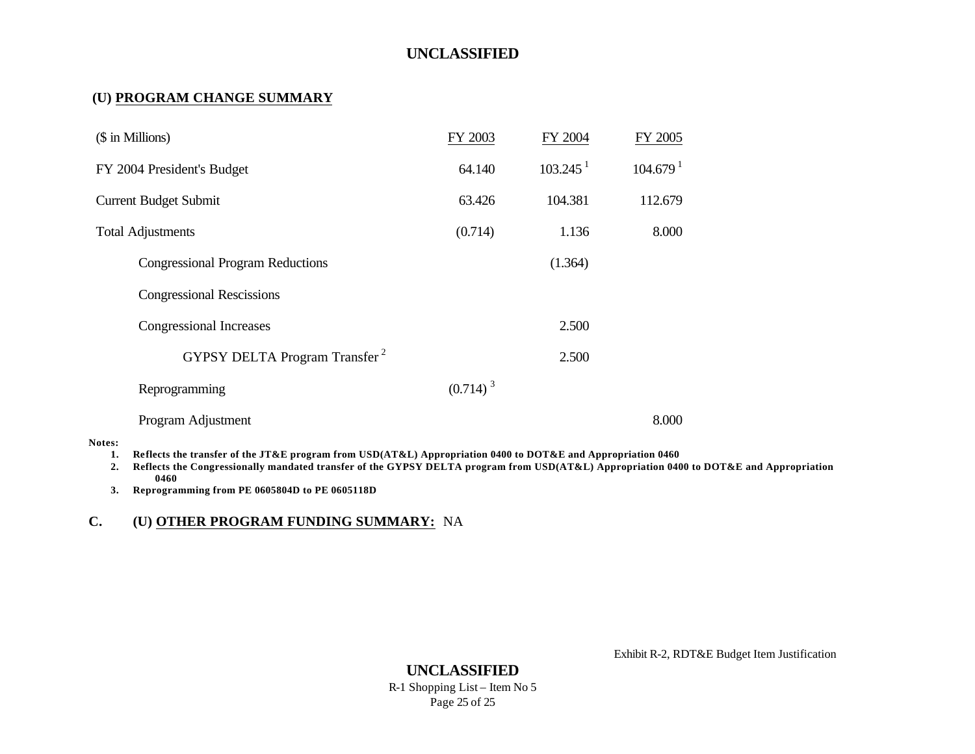#### **(U) PROGRAM CHANGE SUMMARY**

| (\$ in Millions)                          | FY 2003     | FY 2004              | FY 2005              |
|-------------------------------------------|-------------|----------------------|----------------------|
| FY 2004 President's Budget                | 64.140      | 103.245 <sup>1</sup> | 104.679 <sup>1</sup> |
| <b>Current Budget Submit</b>              | 63.426      | 104.381              | 112.679              |
| <b>Total Adjustments</b>                  | (0.714)     | 1.136                | 8.000                |
| <b>Congressional Program Reductions</b>   |             | (1.364)              |                      |
| <b>Congressional Rescissions</b>          |             |                      |                      |
| Congressional Increases                   |             | 2.500                |                      |
| GYPSY DELTA Program Transfer <sup>2</sup> |             | 2.500                |                      |
| Reprogramming                             | $(0.714)^3$ |                      |                      |
| Program Adjustment                        |             |                      | 8.000                |

#### **Notes:**

**1. Reflects the transfer of the JT&E program from USD(AT&L) Appropriation 0400 to DOT&E and Appropriation 0460**

**2. Reflects the Congressionally mandated transfer of the GYPSY DELTA program from USD(AT&L) Appropriation 0400 to DOT&E and Appropriation 0460**

**3. Reprogramming from PE 0605804D to PE 0605118D**

#### **C. (U) OTHER PROGRAM FUNDING SUMMARY:** NA

Exhibit R-2, RDT&E Budget Item Justification

**UNCLASSIFIED** R-1 Shopping List – Item No 5 Page 25 of 25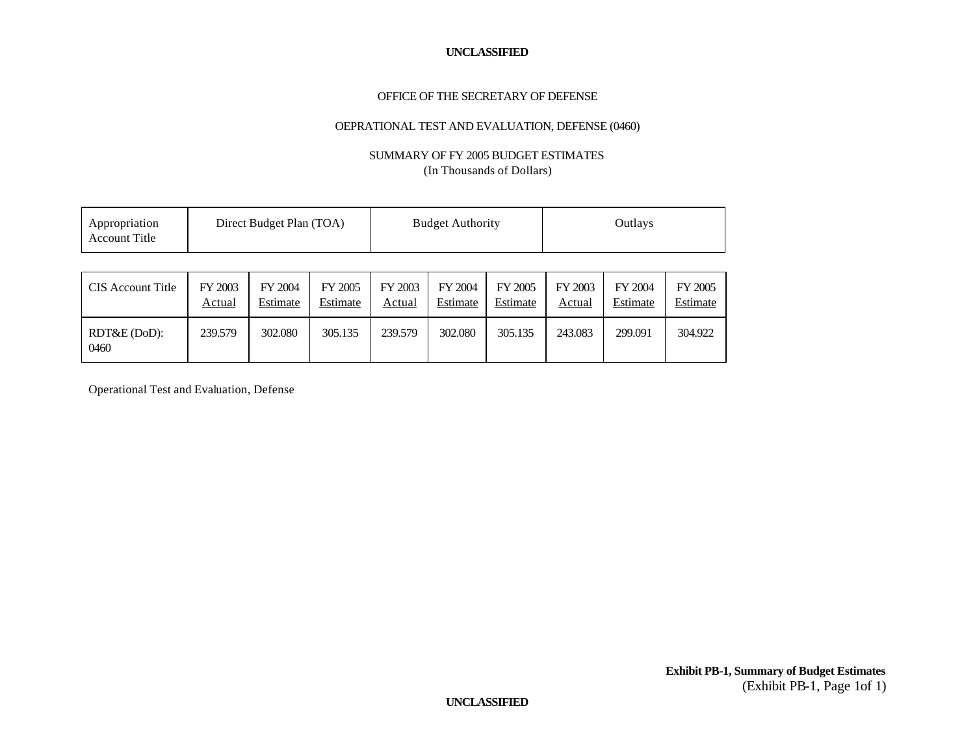#### OFFICE OF THE SECRETARY OF DEFENSE

#### OEPRATIONAL TEST AND EVALUATION, DEFENSE (0460)

#### SUMMARY OF FY 2005 BUDGET ESTIMATES (In Thousands of Dollars)

| Appropriation<br><b>Account Title</b> | Direct Budget Plan (TOA) |                     | <b>Budget Authority</b> |                   | Outlays             |                     |                   |                     |                     |
|---------------------------------------|--------------------------|---------------------|-------------------------|-------------------|---------------------|---------------------|-------------------|---------------------|---------------------|
|                                       |                          |                     |                         |                   |                     |                     |                   |                     |                     |
| CIS Account Title                     | FY 2003<br>Actual        | FY 2004<br>Estimate | FY 2005<br>Estimate     | FY 2003<br>Actual | FY 2004<br>Estimate | FY 2005<br>Estimate | FY 2003<br>Actual | FY 2004<br>Estimate | FY 2005<br>Estimate |
| RDT&E (DoD):<br>0460                  | 239.579                  | 302.080             | 305.135                 | 239.579           | 302.080             | 305.135             | 243.083           | 299.091             | 304.922             |

Operational Test and Evaluation, Defense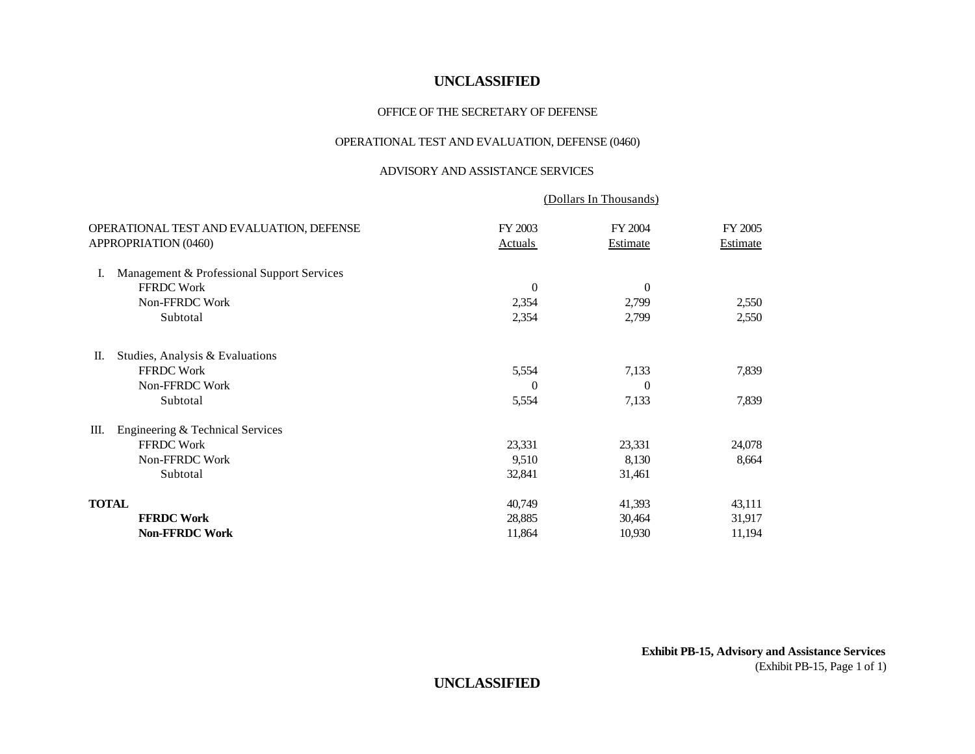#### OFFICE OF THE SECRETARY OF DEFENSE

#### OPERATIONAL TEST AND EVALUATION, DEFENSE (0460)

#### ADVISORY AND ASSISTANCE SERVICES

| (Dollars In Thousands)    |                     |                     |  |
|---------------------------|---------------------|---------------------|--|
| FY 2003<br><b>Actuals</b> | FY 2004<br>Estimate | FY 2005<br>Estimate |  |
|                           |                     |                     |  |
| $\theta$                  | $\theta$            |                     |  |
| 2,354                     | 2,799               | 2,550               |  |
| 2,354                     | 2,799               | 2,550               |  |
|                           |                     |                     |  |
| 5,554                     | 7,133               | 7,839               |  |
| $\Omega$                  | $\Omega$            |                     |  |
| 5,554                     | 7,133               | 7,839               |  |
|                           |                     |                     |  |
| 23,331                    | 23,331              | 24,078              |  |
| 9,510                     | 8,130               | 8,664               |  |
| 32,841                    | 31,461              |                     |  |
| 40,749                    | 41,393              | 43,111              |  |
| 28,885                    | 30,464              | 31,917              |  |
| 11,864                    | 10,930              | 11,194              |  |
|                           |                     |                     |  |

**Exhibit PB-15, Advisory and Assistance Services** (Exhibit PB-15, Page 1 of 1)

### **UNCLASSIFIED**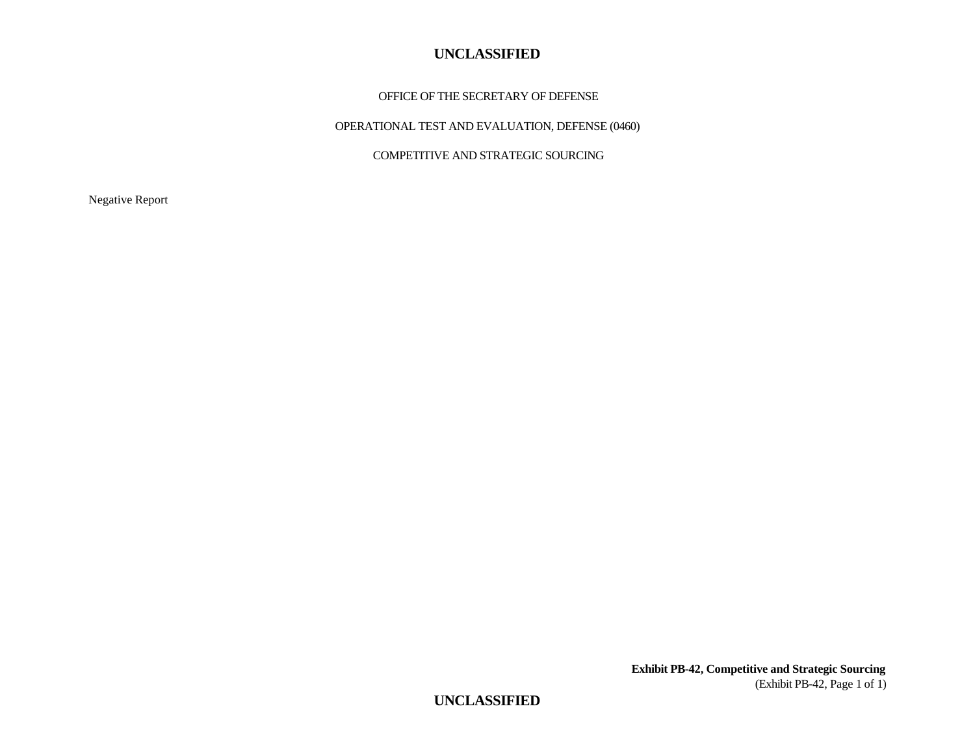#### OFFICE OF THE SECRETARY OF DEFENSE

OPERATIONAL TEST AND EVALUATION, DEFENSE (0460)

COMPETITIVE AND STRATEGIC SOURCING

Negative Report

**Exhibit PB-42, Competitive and Strategic Sourcing** (Exhibit PB-42, Page 1 of 1)

**UNCLASSIFIED**